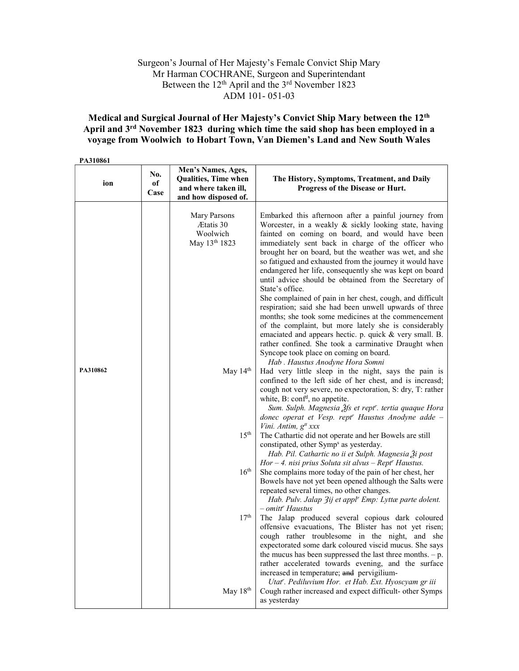## Surgeon's Journal of Her Majesty's Female Convict Ship Mary Mr Harman COCHRANE, Surgeon and Superintendant Between the 12<sup>th</sup> April and the 3<sup>rd</sup> November 1823 ADM 101- 051-03

## Medical and Surgical Journal of Her Majesty's Convict Ship Mary between the 12th April and 3<sup>rd</sup> November 1823 during which time the said shop has been employed in a voyage from Woolwich to Hobart Town, Van Diemen's Land and New South Wales

PA310861

| ion      | No.<br>of<br>Case | Men's Names, Ages,<br><b>Qualities, Time when</b><br>and where taken ill,<br>and how disposed of. | The History, Symptoms, Treatment, and Daily<br>Progress of the Disease or Hurt.                                                                                                                                                                                                                                                                                                                                                                                                                                                                                                                                                                                                                                                                                                                                                                                                                                                                                                                                                                 |
|----------|-------------------|---------------------------------------------------------------------------------------------------|-------------------------------------------------------------------------------------------------------------------------------------------------------------------------------------------------------------------------------------------------------------------------------------------------------------------------------------------------------------------------------------------------------------------------------------------------------------------------------------------------------------------------------------------------------------------------------------------------------------------------------------------------------------------------------------------------------------------------------------------------------------------------------------------------------------------------------------------------------------------------------------------------------------------------------------------------------------------------------------------------------------------------------------------------|
| PA310862 |                   | Mary Parsons<br>Ætatis 30<br>Woolwich<br>May 13th 1823<br>May 14th                                | Embarked this afternoon after a painful journey from<br>Worcester, in a weakly & sickly looking state, having<br>fainted on coming on board, and would have been<br>immediately sent back in charge of the officer who<br>brought her on board, but the weather was wet, and she<br>so fatigued and exhausted from the journey it would have<br>endangered her life, consequently she was kept on board<br>until advice should be obtained from the Secretary of<br>State's office.<br>She complained of pain in her chest, cough, and difficult<br>respiration; said she had been unwell upwards of three<br>months; she took some medicines at the commencement<br>of the complaint, but more lately she is considerably<br>emaciated and appears hectic. p. quick & very small. B.<br>rather confined. She took a carminative Draught when<br>Syncope took place on coming on board.<br>Hab . Haustus Anodyne Hora Somni<br>Had very little sleep in the night, says the pain is<br>confined to the left side of her chest, and is increasd; |
|          |                   |                                                                                                   | cough not very severe, no expectoration, S: dry, T: rather<br>white, B: conf <sup>d</sup> , no appetite.<br>Sum. Sulph. Magnesia Ѯfs et rept". tertia quaque Hora<br>donec operat et Vesp. rept <sup>r</sup> Haustus Anodyne adde -<br>Vini. Antim, g <sup>tt</sup> xxx                                                                                                                                                                                                                                                                                                                                                                                                                                                                                                                                                                                                                                                                                                                                                                         |
|          |                   | 15 <sup>th</sup>                                                                                  | The Cathartic did not operate and her Bowels are still<br>constipated, other Symp <sup>s</sup> as yesterday.<br>Hab. Pil. Cathartic no ii et Sulph. Magnesia $\tilde{A}$ i post<br>$Hor-4$ . nisi prius Soluta sit alvus - Rept <sup>r</sup> Haustus.                                                                                                                                                                                                                                                                                                                                                                                                                                                                                                                                                                                                                                                                                                                                                                                           |
|          |                   | $16^{\text{th}}$                                                                                  | She complains more today of the pain of her chest, her<br>Bowels have not yet been opened although the Salts were<br>repeated several times, no other changes.<br>Hab. Pulv. Jalap 3ij et appl <sup>r</sup> Emp: Lyttæ parte dolent.<br>- omitt <sup>r</sup> Haustus                                                                                                                                                                                                                                                                                                                                                                                                                                                                                                                                                                                                                                                                                                                                                                            |
|          |                   | 17 <sup>th</sup>                                                                                  | The Jalap produced several copious dark coloured<br>offensive evacuations, The Blister has not yet risen;<br>cough rather troublesome in the night, and she<br>expectorated some dark coloured viscid mucus. She says<br>the mucus has been suppressed the last three months. $-p$ .<br>rather accelerated towards evening, and the surface<br>increased in temperature; and pervigilium-<br>Utat". Pediluvium Hor. et Hab. Ext. Hyoscyam gr iii                                                                                                                                                                                                                                                                                                                                                                                                                                                                                                                                                                                                |
|          |                   | May 18th                                                                                          | Cough rather increased and expect difficult- other Symps<br>as yesterday                                                                                                                                                                                                                                                                                                                                                                                                                                                                                                                                                                                                                                                                                                                                                                                                                                                                                                                                                                        |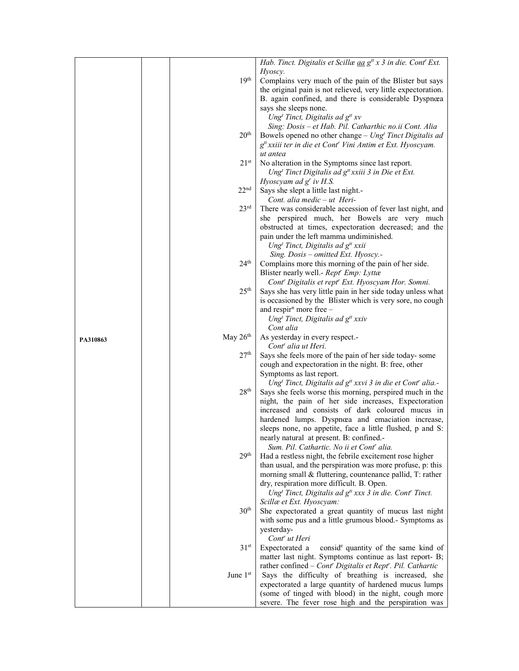|          |                  | Hab. Tinct. Digitalis et Scillæ aa g <sup>#</sup> x 3 in die. Cont <sup>r</sup> Ext.                         |
|----------|------------------|--------------------------------------------------------------------------------------------------------------|
|          |                  | Hyoscy.                                                                                                      |
|          | 19 <sup>th</sup> | Complains very much of the pain of the Blister but says                                                      |
|          |                  |                                                                                                              |
|          |                  | the original pain is not relieved, very little expectoration.                                                |
|          |                  | B. again confined, and there is considerable Dyspnœa                                                         |
|          |                  | says she sleeps none.                                                                                        |
|          |                  | Ung <sup>t</sup> Tinct, Digitalis ad $g^{tt}$ xv                                                             |
|          |                  | Sing: Dosis - et Hab. Pil. Catharthic no.ii Cont. Alia                                                       |
|          | 20 <sup>th</sup> | Bowels opened no other change $-$ Ung <sup>t</sup> Tinct Digitalis ad                                        |
|          |                  | g <sup>tt</sup> xxiii ter in die et Cont <sup>r</sup> Vini Antim et Ext. Hyoscyam.                           |
|          |                  | ut antea                                                                                                     |
|          | 21 <sup>st</sup> | No alteration in the Symptoms since last report.                                                             |
|          |                  | Ung <sup>t</sup> Tinct Digitalis ad $g^t$ xxiii 3 in Die et Ext.                                             |
|          |                  | Hyoscyam ad $gr$ iv H.S.                                                                                     |
|          | 22 <sup>nd</sup> | Says she slept a little last night.-                                                                         |
|          |                  | Cont. alia medic $- ut$ Heri-                                                                                |
|          | 23 <sup>rd</sup> | There was considerable accession of fever last night, and                                                    |
|          |                  | she perspired much, her Bowels are very much                                                                 |
|          |                  | obstructed at times, expectoration decreased; and the                                                        |
|          |                  | pain under the left mamma undiminished.                                                                      |
|          |                  |                                                                                                              |
|          |                  | Ung <sup>t</sup> Tinct, Digitalis ad g <sup>tt</sup> xxii                                                    |
|          |                  | Sing. Dosis - omitted Ext. Hyoscy.-                                                                          |
|          | 24 <sup>th</sup> | Complains more this morning of the pain of her side.                                                         |
|          |                  | Blister nearly well.- Rept' Emp: Lyttæ                                                                       |
|          |                  | Cont' Digitalis et rept' Ext. Hyoscyam Hor. Somni.                                                           |
|          | 25 <sup>th</sup> | Says she has very little pain in her side today unless what                                                  |
|          |                  | is occasioned by the Blister which is very sore, no cough                                                    |
|          |                  | and respir <sup>n</sup> more free $-$                                                                        |
|          |                  | Ung <sup>t</sup> Tinct, Digitalis ad $g^{tt}$ xxiv                                                           |
|          |                  | Cont alia                                                                                                    |
|          |                  |                                                                                                              |
| PA310863 | May 26th         | As yesterday in every respect.-                                                                              |
|          |                  | Cont <sup>r</sup> alia ut Heri.                                                                              |
|          | 27 <sup>th</sup> | Says she feels more of the pain of her side today-some                                                       |
|          |                  | cough and expectoration in the night. B: free, other                                                         |
|          |                  | Symptoms as last report.                                                                                     |
|          |                  | Ung <sup>t</sup> Tinct, Digitalis ad g <sup>tt</sup> xxvi 3 in die et Cont <sup>r</sup> alia.-               |
|          | $28^{\rm th}$    | Says she feels worse this morning, perspired much in the                                                     |
|          |                  | night, the pain of her side increases, Expectoration                                                         |
|          |                  | increased and consists of dark coloured mucus in                                                             |
|          |                  | hardened lumps. Dyspnœa and emaciation increase,                                                             |
|          |                  |                                                                                                              |
|          |                  | sleeps none, no appetite, face a little flushed, p and S:                                                    |
|          |                  | nearly natural at present. B: confined.-<br>Sum. Pil. Cathartic. No ii et Cont' alia.                        |
|          | 29 <sup>th</sup> |                                                                                                              |
|          |                  | Had a restless night, the febrile excitement rose higher                                                     |
|          |                  | than usual, and the perspiration was more profuse, p: this                                                   |
|          |                  | morning small & fluttering, countenance pallid, T: rather                                                    |
|          |                  | dry, respiration more difficult. B. Open.                                                                    |
|          |                  | Ung <sup>t</sup> Tinct, Digitalis ad $g^{tt}$ xxx 3 in die. Cont' Tinct.                                     |
|          |                  | Scillæ et Ext. Hyoscyam:                                                                                     |
|          | 30 <sup>th</sup> | She expectorated a great quantity of mucus last night                                                        |
|          |                  | with some pus and a little grumous blood.- Symptoms as                                                       |
|          |                  | yesterday-                                                                                                   |
|          |                  | Cont <sup>r</sup> ut Heri                                                                                    |
|          | 31 <sup>st</sup> | Expectorated a<br>conside quantity of the same kind of                                                       |
|          |                  | matter last night. Symptoms continue as last report- B;                                                      |
|          |                  | rather confined $-$ Cont' Digitalis et Rept''. Pil. Cathartic                                                |
|          | June 1st         | Says the difficulty of breathing is increased, she                                                           |
|          |                  | expectorated a large quantity of hardened mucus lumps                                                        |
|          |                  | (some of tinged with blood) in the night, cough more<br>severe. The fever rose high and the perspiration was |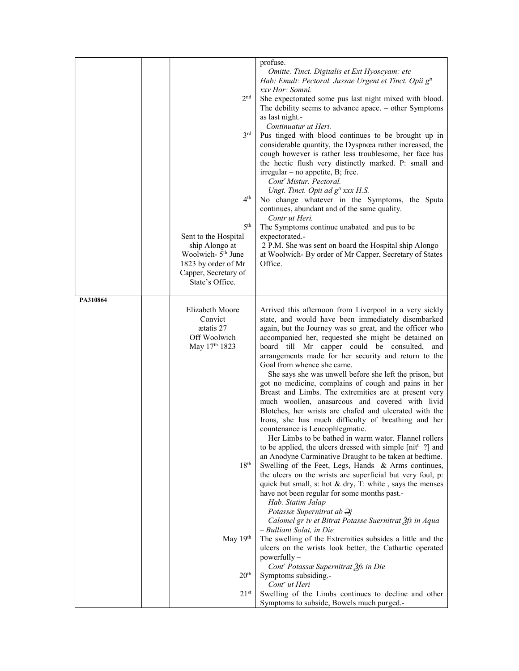|          | 2 <sup>nd</sup><br>3 <sup>rd</sup><br>4 <sup>th</sup><br>5 <sup>th</sup><br>Sent to the Hospital<br>ship Alongo at<br>Woolwich- 5 <sup>th</sup> June<br>1823 by order of Mr<br>Capper, Secretary of<br>State's Office. | profuse.<br>Omitte. Tinct. Digitalis et Ext Hyoscyam: etc<br>Hab: Emult: Pectoral. Jussae Urgent et Tinct. Opii g <sup>tt</sup><br>xxv Hor: Somni.<br>She expectorated some pus last night mixed with blood.<br>The debility seems to advance apace. $-$ other Symptoms<br>as last night.-<br>Continuatur ut Heri.<br>Pus tinged with blood continues to be brought up in<br>considerable quantity, the Dyspnœa rather increased, the<br>cough however is rather less troublesome, her face has<br>the hectic flush very distinctly marked. P: small and<br>$irregular - no$ appetite, B; free.<br>Cont <sup>r</sup> Mistur. Pectoral.<br>Ungt. Tinct. Opii ad g <sup>tt</sup> xxx H.S.<br>No change whatever in the Symptoms, the Sputa<br>continues, abundant and of the same quality.<br>Contr ut Heri.<br>The Symptoms continue unabated and pus to be<br>expectorated.-<br>2 P.M. She was sent on board the Hospital ship Alongo<br>at Woolwich-By order of Mr Capper, Secretary of States<br>Office.                                                                                                                                                                                                                                                                                                                                                                                                                                                                                                                                                                                                                                    |
|----------|------------------------------------------------------------------------------------------------------------------------------------------------------------------------------------------------------------------------|-----------------------------------------------------------------------------------------------------------------------------------------------------------------------------------------------------------------------------------------------------------------------------------------------------------------------------------------------------------------------------------------------------------------------------------------------------------------------------------------------------------------------------------------------------------------------------------------------------------------------------------------------------------------------------------------------------------------------------------------------------------------------------------------------------------------------------------------------------------------------------------------------------------------------------------------------------------------------------------------------------------------------------------------------------------------------------------------------------------------------------------------------------------------------------------------------------------------------------------------------------------------------------------------------------------------------------------------------------------------------------------------------------------------------------------------------------------------------------------------------------------------------------------------------------------------------------------------------------------------------------------------------|
| PA310864 | Elizabeth Moore<br>Convict<br>aetatis 27<br>Off Woolwich<br>May 17th 1823<br>18 <sup>th</sup><br>May 19th<br>$20^{\rm th}$<br>21 <sup>st</sup>                                                                         | Arrived this afternoon from Liverpool in a very sickly<br>state, and would have been immediately disembarked<br>again, but the Journey was so great, and the officer who<br>accompanied her, requested she might be detained on<br>board till Mr capper could be consulted,<br>and<br>arrangements made for her security and return to the<br>Goal from whence she came.<br>She says she was unwell before she left the prison, but<br>got no medicine, complains of cough and pains in her<br>Breast and Limbs. The extremities are at present very<br>much woollen, anasarcous and covered with livid<br>Blotches, her wrists are chafed and ulcerated with the<br>Irons, she has much difficulty of breathing and her<br>countenance is Leucophlegmatic.<br>Her Limbs to be bathed in warm water. Flannel rollers<br>to be applied, the ulcers dressed with simple [nit <sup>t</sup> ?] and<br>an Anodyne Carminative Draught to be taken at bedtime.<br>Swelling of the Feet, Legs, Hands & Arms continues,<br>the ulcers on the wrists are superficial but very foul, p:<br>quick but small, s: hot $&$ dry, T: white, says the menses<br>have not been regular for some months past.-<br>Hab. Statim Jalap<br>Potassæ Supernitrat ab Əj<br>Calomel gr iv et Bitrat Potasse Suernitrat 2fs in Aqua<br>- Bulliant Solat, in Die<br>The swelling of the Extremities subsides a little and the<br>ulcers on the wrists look better, the Cathartic operated<br>powerfully -<br>Cont <sup>r</sup> Potassæ Supernitrat 2fs in Die<br>Symptoms subsiding.-<br>Cont <sup>r</sup> ut Heri<br>Swelling of the Limbs continues to decline and other |
|          |                                                                                                                                                                                                                        | Symptoms to subside, Bowels much purged.-                                                                                                                                                                                                                                                                                                                                                                                                                                                                                                                                                                                                                                                                                                                                                                                                                                                                                                                                                                                                                                                                                                                                                                                                                                                                                                                                                                                                                                                                                                                                                                                                     |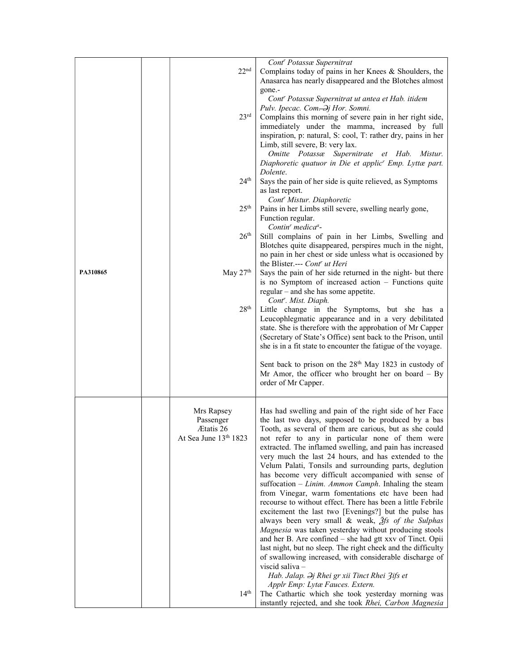|          |                                             | Cont' Potassæ Supernitrat                                                                                                                                                                  |
|----------|---------------------------------------------|--------------------------------------------------------------------------------------------------------------------------------------------------------------------------------------------|
|          | 22 <sup>nd</sup>                            | Complains today of pains in her Knees & Shoulders, the<br>Anasarca has nearly disappeared and the Blotches almost                                                                          |
|          |                                             | gone.-<br>Cont <sup>r</sup> Potassæ Supernitrat ut antea et Hab. itidem<br>Pulv. Ipecac. Com. Dj Hor. Somni.                                                                               |
|          | 23 <sup>rd</sup>                            | Complains this morning of severe pain in her right side,<br>immediately under the mamma, increased by full<br>inspiration, p: natural, S: cool, T: rather dry, pains in her                |
|          |                                             | Limb, still severe, B: very lax.<br>Omitte Potassæ Supernitrate et Hab. Mistur.<br>Diaphoretic quatuor in Die et applic' Emp. Lyttæ part.                                                  |
|          | 24 <sup>th</sup>                            | Dolente.<br>Says the pain of her side is quite relieved, as Symptoms                                                                                                                       |
|          | 25 <sup>th</sup>                            | as last report.<br>Cont <sup>r</sup> Mistur. Diaphoretic                                                                                                                                   |
|          |                                             | Pains in her Limbs still severe, swelling nearly gone,<br>Function regular.<br>Contin <sup>r</sup> medica <sup>a</sup> -                                                                   |
|          | 26 <sup>th</sup>                            | Still complains of pain in her Limbs, Swelling and<br>Blotches quite disappeared, perspires much in the night,<br>no pain in her chest or side unless what is occasioned by                |
| PA310865 | May $27th$                                  | the Blister.--- Cont' ut Heri<br>Says the pain of her side returned in the night- but there                                                                                                |
|          |                                             | is no Symptom of increased action - Functions quite<br>regular – and she has some appetite.                                                                                                |
|          | 28 <sup>th</sup>                            | Cont <sup>r</sup> . Mist. Diaph.<br>Little change in the Symptoms, but she has a<br>Leucophlegmatic appearance and in a very debilitated                                                   |
|          |                                             | state. She is therefore with the approbation of Mr Capper<br>(Secretary of State's Office) sent back to the Prison, until<br>she is in a fit state to encounter the fatigue of the voyage. |
|          |                                             | Sent back to prison on the 28 <sup>th</sup> May 1823 in custody of<br>Mr Amor, the officer who brought her on board $-$ By<br>order of Mr Capper.                                          |
|          | Mrs Rapsey<br>Passenger<br><b>Ætatis</b> 26 | Has had swelling and pain of the right side of her Face<br>the last two days, supposed to be produced by a bas<br>Tooth, as several of them are carious, but as she could                  |
|          | At Sea June 13th 1823                       | not refer to any in particular none of them were<br>extracted. The inflamed swelling, and pain has increased<br>very much the last 24 hours, and has extended to the                       |
|          |                                             | Velum Palati, Tonsils and surrounding parts, deglution<br>has become very difficult accompanied with sense of<br>suffocation $-Linim$ . Ammon Camph. Inhaling the steam                    |
|          |                                             | from Vinegar, warm fomentations etc have been had<br>recourse to without effect. There has been a little Febrile<br>excitement the last two [Evenings?] but the pulse has                  |
|          |                                             | always been very small & weak, $\tilde{f}$ s of the Sulphas<br>Magnesia was taken yesterday without producing stools<br>and her B. Are confined – she had gtt xxv of Tinct. Opii           |
|          |                                             | last night, but no sleep. The right cheek and the difficulty<br>of swallowing increased, with considerable discharge of<br>viscid saliva -                                                 |
|          |                                             | Hab. Jalap. $\partial j$ Rhei gr xii Tinct Rhei 3ifs et<br>Applr Emp: Lytæ Fauces. Extern.                                                                                                 |
|          | 14 <sup>th</sup>                            | The Cathartic which she took yesterday morning was<br>instantly rejected, and she took Rhei, Carbon Magnesia                                                                               |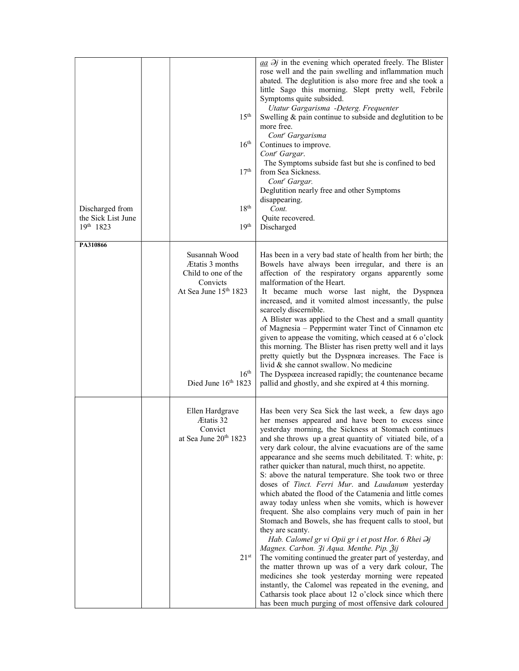| Discharged from<br>the Sick List June<br>$19^{th}$ 1823 | 15 <sup>th</sup><br>$16^{\text{th}}$<br>17 <sup>th</sup><br>$18^{\rm th}$<br>19 <sup>th</sup>                          | $\frac{aa}{a}$ $\partial j$ in the evening which operated freely. The Blister<br>rose well and the pain swelling and inflammation much<br>abated. The deglutition is also more free and she took a<br>little Sago this morning. Slept pretty well, Febrile<br>Symptoms quite subsided.<br>Utatur Gargarisma -Deterg. Frequenter<br>Swelling $\&$ pain continue to subside and deglutition to be<br>more free.<br>Cont <sup>r</sup> Gargarisma<br>Continues to improve.<br>Cont <sup>r</sup> Gargar.<br>The Symptoms subside fast but she is confined to bed<br>from Sea Sickness.<br>Cont <sup>r</sup> Gargar.<br>Deglutition nearly free and other Symptoms<br>disappearing.<br>Cont.<br>Quite recovered.<br>Discharged                                                                                                                                                                                                                                                                                                                                                                                                                                                                                                                                           |
|---------------------------------------------------------|------------------------------------------------------------------------------------------------------------------------|--------------------------------------------------------------------------------------------------------------------------------------------------------------------------------------------------------------------------------------------------------------------------------------------------------------------------------------------------------------------------------------------------------------------------------------------------------------------------------------------------------------------------------------------------------------------------------------------------------------------------------------------------------------------------------------------------------------------------------------------------------------------------------------------------------------------------------------------------------------------------------------------------------------------------------------------------------------------------------------------------------------------------------------------------------------------------------------------------------------------------------------------------------------------------------------------------------------------------------------------------------------------|
| PA310866                                                | Susannah Wood                                                                                                          |                                                                                                                                                                                                                                                                                                                                                                                                                                                                                                                                                                                                                                                                                                                                                                                                                                                                                                                                                                                                                                                                                                                                                                                                                                                                    |
|                                                         | Etatis 3 months<br>Child to one of the<br>Convicts<br>At Sea June 15th 1823<br>$16^{\text{th}}$<br>Died June 16th 1823 | Has been in a very bad state of health from her birth; the<br>Bowels have always been irregular, and there is an<br>affection of the respiratory organs apparently some<br>malformation of the Heart.<br>It became much worse last night, the Dyspnœa<br>increased, and it vomited almost incessantly, the pulse<br>scarcely discernible.<br>A Blister was applied to the Chest and a small quantity<br>of Magnesia - Peppermint water Tinct of Cinnamon etc<br>given to appease the vomiting, which ceased at 6 o'clock<br>this morning. The Blister has risen pretty well and it lays<br>pretty quietly but the Dyspnœa increases. The Face is<br>livid & she cannot swallow. No medicine<br>The Dyspœea increased rapidly; the countenance became<br>pallid and ghostly, and she expired at 4 this morning.                                                                                                                                                                                                                                                                                                                                                                                                                                                     |
|                                                         | Ellen Hardgrave<br>Ætatis 32<br>Convict<br>at Sea June 20th 1823<br>21 <sup>st</sup>                                   | Has been very Sea Sick the last week, a few days ago<br>her menses appeared and have been to excess since<br>yesterday morning, the Sickness at Stomach continues<br>and she throws up a great quantity of vitiated bile, of a<br>very dark colour, the alvine evacuations are of the same<br>appearance and she seems much debilitated. T: white, p:<br>rather quicker than natural, much thirst, no appetite.<br>S: above the natural temperature. She took two or three<br>doses of Tinct. Ferri Mur. and Laudanum yesterday<br>which abated the flood of the Catamenia and little comes<br>away today unless when she vomits, which is however<br>frequent. She also complains very much of pain in her<br>Stomach and Bowels, she has frequent calls to stool, but<br>they are scanty.<br>Hab. Calomel gr vi Opii gr i et post Hor. 6 Rhei $\partial j$<br>Magnes. Carbon. 3i Aqua. Menthe. Pip. 3ij<br>The vomiting continued the greater part of yesterday, and<br>the matter thrown up was of a very dark colour, The<br>medicines she took yesterday morning were repeated<br>instantly, the Calomel was repeated in the evening, and<br>Catharsis took place about 12 o'clock since which there<br>has been much purging of most offensive dark coloured |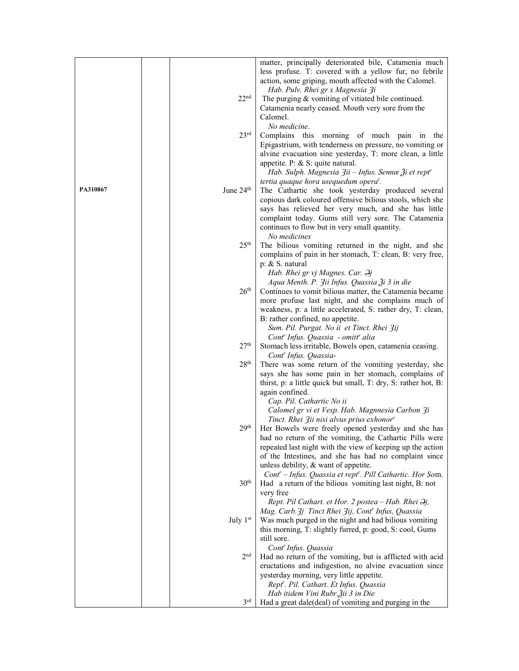|          |                       | matter, principally deteriorated bile, Catamenia much<br>less profuse. T: covered with a yellow fur, no febrile<br>action, some griping, mouth affected with the Calomel. |
|----------|-----------------------|---------------------------------------------------------------------------------------------------------------------------------------------------------------------------|
|          |                       | Hab. Pulv. Rhei gr x Magnesia 3i                                                                                                                                          |
|          | 22 <sup>nd</sup>      | The purging & vomiting of vitiated bile continued.                                                                                                                        |
|          |                       | Catamenia nearly ceased. Mouth very sore from the<br>Calomel.                                                                                                             |
|          |                       | No medicine.                                                                                                                                                              |
|          | 23 <sup>rd</sup>      | Complains this morning of much pain in the                                                                                                                                |
|          |                       | Epigastrium, with tenderness on pressure, no vomiting or                                                                                                                  |
|          |                       | alvine evacuation sine yesterday, T: more clean, a little                                                                                                                 |
|          |                       | appetite. P: & S: quite natural.                                                                                                                                          |
|          |                       | Hab. Sulph. Magnesia 3ii – Infus. Sennæ 3i et rept <sup>r</sup>                                                                                                           |
|          |                       | tertia quaque hora usequedum opera <sup>t</sup> .                                                                                                                         |
| PA310867 | June 24 <sup>th</sup> | The Cathartic she took yesterday produced several                                                                                                                         |
|          |                       | copious dark coloured offensive bilious stools, which she                                                                                                                 |
|          |                       | says has relieved her very much, and she has little                                                                                                                       |
|          |                       | complaint today. Gums still very sore. The Catamenia                                                                                                                      |
|          |                       | continues to flow but in very small quantity.<br>No medicines                                                                                                             |
|          | 25 <sup>th</sup>      | The bilious vomiting returned in the night, and she                                                                                                                       |
|          |                       | complains of pain in her stomach, T: clean, B: very free,                                                                                                                 |
|          |                       | $p: \& S.$ natural                                                                                                                                                        |
|          |                       | Hab. Rhei gr vj Magnes. Car. $\partial j$                                                                                                                                 |
|          |                       | Aqua Menth. P. 3ii Infus. Quassia 3i 3 in die                                                                                                                             |
|          | 26 <sup>th</sup>      | Continues to vomit bilious matter, the Catamenia became                                                                                                                   |
|          |                       | more profuse last night, and she complains much of                                                                                                                        |
|          |                       | weakness, p: a little accelerated, S: rather dry, T: clean,                                                                                                               |
|          |                       | B: rather confined, no appetite.<br>Sum. Pil. Purgat. No ii et Tinct. Rhei 3ij                                                                                            |
|          |                       | Cont <sup>r</sup> Infus. Quassia - omitt <sup>r</sup> alia                                                                                                                |
|          | 27 <sup>th</sup>      | Stomach less irritable, Bowels open, catamenia ceasing.                                                                                                                   |
|          |                       | Cont <sup>r</sup> Infus. Quassia-                                                                                                                                         |
|          | 28 <sup>th</sup>      | There was some return of the vomiting yesterday, she                                                                                                                      |
|          |                       | says she has some pain in her stomach, complains of                                                                                                                       |
|          |                       | thirst, p: a little quick but small, T: dry, S: rather hot, B:<br>again confined.                                                                                         |
|          |                       | Cap. Pil. Cathartic No ii                                                                                                                                                 |
|          |                       | Calomel gr vi et Vesp. Hab. Magnnesia Carbon 3i                                                                                                                           |
|          |                       | Tinct. Rhei 3ii nisi alvus prius exhonor <sup>r</sup>                                                                                                                     |
|          | 29 <sup>th</sup>      | Her Bowels were freely opened yesterday and she has                                                                                                                       |
|          |                       | had no return of the vomiting, the Cathartic Pills were                                                                                                                   |
|          |                       | repeated last night with the view of keeping up the action                                                                                                                |
|          |                       | of the Intestines, and she has had no complaint since                                                                                                                     |
|          |                       | unless debility, & want of appetite.                                                                                                                                      |
|          | 30 <sup>th</sup>      | Cont' - Infus. Quassia et rept'. Pill Cathartic. Hor Som.<br>Had a return of the bilious vomiting last night, B: not                                                      |
|          |                       | very free                                                                                                                                                                 |
|          |                       | Rept. Pil Cathart. et Hor. 2 postea - Hab. Rhei $\partial j$ ,                                                                                                            |
|          |                       | Mag. Carb. 3j Tinct Rhei 3ij, Cont' Infus, Quassia                                                                                                                        |
|          | July 1st              | Was much purged in the night and had bilious vomiting                                                                                                                     |
|          |                       | this morning, T: slightly furred, p: good, S: cool, Gums                                                                                                                  |
|          |                       | still sore.                                                                                                                                                               |
|          |                       | Cont <sup>r</sup> Infus. Quassia                                                                                                                                          |
|          | 2 <sub>nd</sub>       | Had no return of the vomiting, but is afflicted with acid                                                                                                                 |
|          |                       | eructations and indigestion, no alvine evacuation since<br>yesterday morning, very little appetite.                                                                       |
|          |                       | Rept'. Pil. Cathart. Et Infus. Quassia                                                                                                                                    |
|          |                       | Hab itidem Vini Rubr. Žii 3 in Die                                                                                                                                        |
|          | 3 <sup>rd</sup>       | Had a great dale(deal) of vomiting and purging in the                                                                                                                     |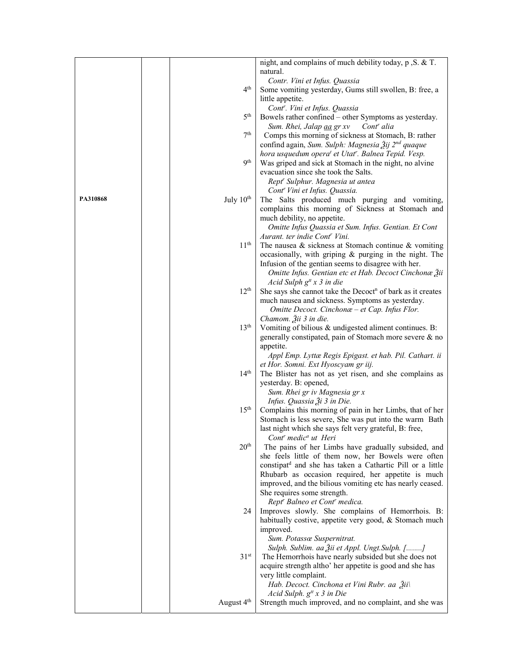|          |                        | night, and complains of much debility today, p , S. & T.                                                                              |
|----------|------------------------|---------------------------------------------------------------------------------------------------------------------------------------|
|          |                        | natural.                                                                                                                              |
|          |                        | Contr. Vini et Infus. Quassia                                                                                                         |
|          | 4 <sup>th</sup>        | Some vomiting yesterday, Gums still swollen, B: free, a                                                                               |
|          |                        | little appetite.                                                                                                                      |
|          |                        | Cont''. Vini et Infus. Quassia                                                                                                        |
|          | 5 <sup>th</sup>        | Bowels rather confined - other Symptoms as yesterday.                                                                                 |
|          | 7 <sup>th</sup>        | Cont <sup>r</sup> alia<br>Sum. Rhei, Jalap aa gr xv                                                                                   |
|          |                        | Comps this morning of sickness at Stomach, B: rather                                                                                  |
|          |                        | confind again, Sum. Sulph: Magnesia Žij 2 <sup>nd</sup> quaque                                                                        |
|          | <b>9</b> th            | hora usquedum opera <sup>t</sup> et Utat <sup>r</sup> . Balnea Tepid. Vesp.<br>Was griped and sick at Stomach in the night, no alvine |
|          |                        | evacuation since she took the Salts.                                                                                                  |
|          |                        | Rept <sup>r</sup> Sulphur. Magnesia ut antea                                                                                          |
|          |                        | Cont' Vini et Infus. Quassia.                                                                                                         |
| PA310868 | July 10 <sup>th</sup>  | The Salts produced much purging and vomiting,                                                                                         |
|          |                        | complains this morning of Sickness at Stomach and                                                                                     |
|          |                        | much debility, no appetite.                                                                                                           |
|          |                        | Omitte Infus Quassia et Sum. Infus. Gentian. Et Cont                                                                                  |
|          |                        | Aurant. ter indie Cont' Vini.                                                                                                         |
|          | 11 <sup>th</sup>       | The nausea $\&$ sickness at Stomach continue $\&$ vomiting                                                                            |
|          |                        | occasionally, with griping & purging in the night. The                                                                                |
|          |                        | Infusion of the gentian seems to disagree with her.                                                                                   |
|          |                        | Omitte Infus. Gentian etc et Hab. Decoct Cinchonæ Žii                                                                                 |
|          |                        | Acid Sulph $g^{tt}$ x 3 in die                                                                                                        |
|          | 12 <sup>th</sup>       | She says she cannot take the Decoct <sup>n</sup> of bark as it creates                                                                |
|          |                        | much nausea and sickness. Symptoms as yesterday.                                                                                      |
|          |                        | Omitte Decoct. Cinchonæ - et Cap. Infus Flor.                                                                                         |
|          | 13 <sup>th</sup>       | Chamom. Žii 3 in die.<br>Vomiting of bilious & undigested aliment continues. B:                                                       |
|          |                        | generally constipated, pain of Stomach more severe & no                                                                               |
|          |                        | appetite.                                                                                                                             |
|          |                        | Appl Emp. Lyttæ Regis Epigast. et hab. Pil. Cathart. ii                                                                               |
|          |                        | et Hor. Somni. Ext Hyoscyam gr iij.                                                                                                   |
|          | 14 <sup>th</sup>       | The Blister has not as yet risen, and she complains as                                                                                |
|          |                        | yesterday. B: opened,                                                                                                                 |
|          |                        | Sum. Rhei gr iv Magnesia gr x                                                                                                         |
|          |                        | Infus. Quassia Ѯi 3 in Die.                                                                                                           |
|          | 15 <sup>th</sup>       | Complains this morning of pain in her Limbs, that of her                                                                              |
|          |                        | Stomach is less severe, She was put into the warm Bath                                                                                |
|          |                        | last night which she says felt very grateful, B: free,                                                                                |
|          |                        | Cont <sup>r</sup> medic <sup>a</sup> ut Heri                                                                                          |
|          | 20 <sup>th</sup>       | The pains of her Limbs have gradually subsided, and                                                                                   |
|          |                        | she feels little of them now, her Bowels were often<br>constipat <sup>d</sup> and she has taken a Cathartic Pill or a little          |
|          |                        | Rhubarb as occasion required, her appetite is much                                                                                    |
|          |                        | improved, and the bilious vomiting etc has nearly ceased.                                                                             |
|          |                        | She requires some strength.                                                                                                           |
|          |                        | Rept' Balneo et Cont' medica.                                                                                                         |
|          | 24                     | Improves slowly. She complains of Hemorrhois. B:                                                                                      |
|          |                        | habitually costive, appetite very good, & Stomach much                                                                                |
|          |                        | improved.                                                                                                                             |
|          |                        | Sum. Potassæ Suspernitrat.                                                                                                            |
|          |                        | Sulph. Sublim. aa Žii et Appl. Ungt. Sulph. []                                                                                        |
|          | 31 <sup>st</sup>       | The Hemorrhois have nearly subsided but she does not                                                                                  |
|          |                        | acquire strength altho' her appetite is good and she has                                                                              |
|          |                        | very little complaint.                                                                                                                |
|          |                        | Hab. Decoct. Cinchona et Vini Rubr. aa Žii\                                                                                           |
|          | August 4 <sup>th</sup> | Acid Sulph. $g^{tt}$ x 3 in Die<br>Strength much improved, and no complaint, and she was                                              |
|          |                        |                                                                                                                                       |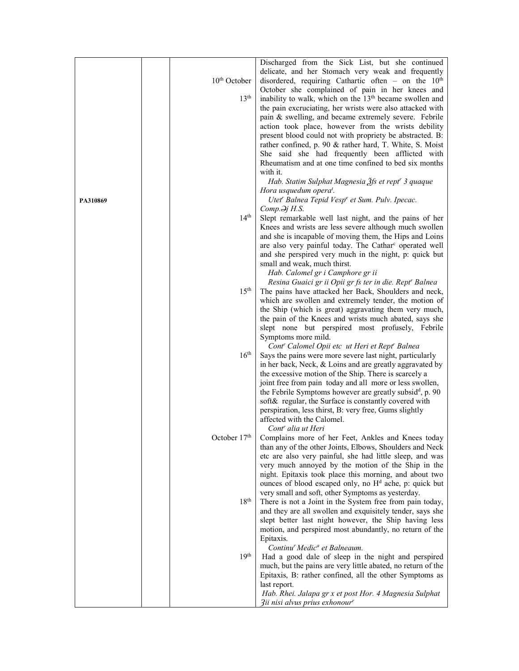|          |                  | Discharged from the Sick List, but she continued                                                                 |
|----------|------------------|------------------------------------------------------------------------------------------------------------------|
|          |                  | delicate, and her Stomach very weak and frequently                                                               |
|          | $10th$ October   | disordered, requiring Cathartic often – on the $10th$                                                            |
|          |                  | October she complained of pain in her knees and                                                                  |
|          | 13 <sup>th</sup> | inability to walk, which on the 13 <sup>th</sup> became swollen and                                              |
|          |                  | the pain excruciating, her wrists were also attacked with                                                        |
|          |                  | pain & swelling, and became extremely severe. Febrile                                                            |
|          |                  | action took place, however from the wrists debility                                                              |
|          |                  | present blood could not with propriety be abstracted. B:                                                         |
|          |                  | rather confined, p. 90 & rather hard, T. White, S. Moist                                                         |
|          |                  | She said she had frequently been afflicted with<br>Rheumatism and at one time confined to bed six months         |
|          |                  | with it.                                                                                                         |
|          |                  | Hab. Statim Sulphat Magnesia Ѯfs et rept" 3 quaque                                                               |
|          |                  | Hora usquedum opera <sup>t</sup> .                                                                               |
| PA310869 |                  | Utet' Balnea Tepid Vespe et Sum. Pulv. Ipecac.                                                                   |
|          |                  | $Comp.\n\partial j H.S.$                                                                                         |
|          | 14 <sup>th</sup> | Slept remarkable well last night, and the pains of her                                                           |
|          |                  | Knees and wrists are less severe although much swollen                                                           |
|          |                  | and she is incapable of moving them, the Hips and Loins                                                          |
|          |                  | are also very painful today. The Cathar <sup>c</sup> operated well                                               |
|          |                  | and she perspired very much in the night, p: quick but                                                           |
|          |                  | small and weak, much thirst.                                                                                     |
|          |                  | Hab. Calomel gr i Camphore gr ii                                                                                 |
|          |                  | Resina Guaici gr ii Opii gr fs ter in die. Rept' Balnea                                                          |
|          | 15 <sup>th</sup> | The pains have attacked her Back, Shoulders and neck,                                                            |
|          |                  | which are swollen and extremely tender, the motion of<br>the Ship (which is great) aggravating them very much,   |
|          |                  | the pain of the Knees and wrists much abated, says she                                                           |
|          |                  | slept none but perspired most profusely, Febrile                                                                 |
|          |                  | Symptoms more mild.                                                                                              |
|          |                  | Cont <sup>r</sup> Calomel Opii etc ut Heri et Rept <sup>r</sup> Balnea                                           |
|          | 16 <sup>th</sup> | Says the pains were more severe last night, particularly                                                         |
|          |                  | in her back, Neck, & Loins and are greatly aggravated by                                                         |
|          |                  | the excessive motion of the Ship. There is scarcely a                                                            |
|          |                  | joint free from pain today and all more or less swollen,                                                         |
|          |                  | the Febrile Symptoms however are greatly subsid <sup>d</sup> , p. 90                                             |
|          |                  | soft& regular, the Surface is constantly covered with                                                            |
|          |                  | perspiration, less thirst, B: very free, Gums slightly<br>affected with the Calomel.                             |
|          |                  | Cont <sup>r</sup> alia ut Heri                                                                                   |
|          | October $17th$   | Complains more of her Feet, Ankles and Knees today                                                               |
|          |                  | than any of the other Joints, Elbows, Shoulders and Neck                                                         |
|          |                  | etc are also very painful, she had little sleep, and was                                                         |
|          |                  | very much annoyed by the motion of the Ship in the                                                               |
|          |                  | night. Epitaxis took place this morning, and about two                                                           |
|          |                  | ounces of blood escaped only, no H <sup>d</sup> ache, p: quick but                                               |
|          |                  | very small and soft, other Symptoms as yesterday.                                                                |
|          | 18 <sup>th</sup> | There is not a Joint in the System free from pain today,                                                         |
|          |                  | and they are all swollen and exquisitely tender, says she                                                        |
|          |                  | slept better last night however, the Ship having less<br>motion, and perspired most abundantly, no return of the |
|          |                  | Epitaxis.                                                                                                        |
|          |                  | Continu' Medic <sup>a</sup> et Balneaum.                                                                         |
|          | 19 <sup>th</sup> | Had a good dale of sleep in the night and perspired                                                              |
|          |                  | much, but the pains are very little abated, no return of the                                                     |
|          |                  | Epitaxis, B: rather confined, all the other Symptoms as                                                          |
|          |                  | last report.                                                                                                     |
|          |                  | Hab. Rhei. Jalapa gr x et post Hor. 4 Magnesia Sulphat                                                           |
|          |                  | 3ii nisi alvus prius exhonour <sup>r</sup>                                                                       |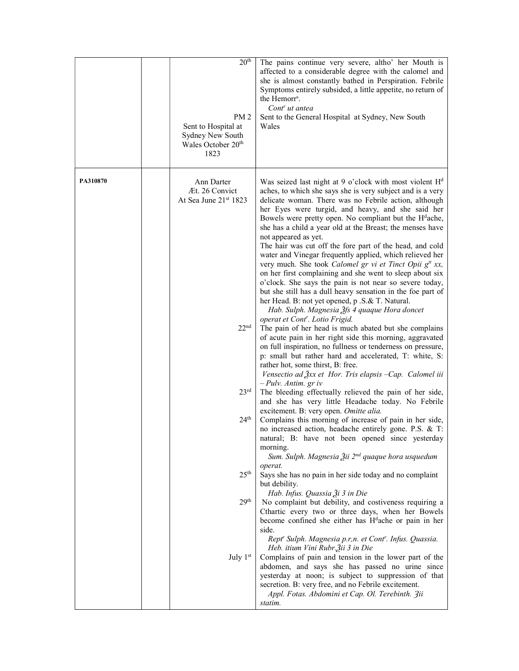|          | 20 <sup>th</sup><br>PM <sub>2</sub><br>Sent to Hospital at<br>Sydney New South<br>Wales October 20 <sup>th</sup><br>1823 | The pains continue very severe, altho' her Mouth is<br>affected to a considerable degree with the calomel and<br>she is almost constantly bathed in Perspiration. Febrile<br>Symptoms entirely subsided, a little appetite, no return of<br>the Hemorr <sup>s</sup> .<br>Cont <sup>r</sup> ut antea<br>Sent to the General Hospital at Sydney, New South<br>Wales                                                                                                                                                                                                                                                                                                                                                                                                                                                                                                                                        |
|----------|--------------------------------------------------------------------------------------------------------------------------|----------------------------------------------------------------------------------------------------------------------------------------------------------------------------------------------------------------------------------------------------------------------------------------------------------------------------------------------------------------------------------------------------------------------------------------------------------------------------------------------------------------------------------------------------------------------------------------------------------------------------------------------------------------------------------------------------------------------------------------------------------------------------------------------------------------------------------------------------------------------------------------------------------|
| PA310870 | Ann Darter<br>Æt. 26 Convict<br>At Sea June 21st 1823                                                                    | Was seized last night at 9 o'clock with most violent $Hd$<br>aches, to which she says she is very subject and is a very<br>delicate woman. There was no Febrile action, although<br>her Eyes were turgid, and heavy, and she said her<br>Bowels were pretty open. No compliant but the H <sup>d</sup> ache,<br>she has a child a year old at the Breast; the menses have<br>not appeared as yet.<br>The hair was cut off the fore part of the head, and cold<br>water and Vinegar frequently applied, which relieved her<br>very much. She took Calomel gr vi et Tinct Opii g <sup>tt</sup> xx,<br>on her first complaining and she went to sleep about six<br>o'clock. She says the pain is not near so severe today,<br>but she still has a dull heavy sensation in the foe part of<br>her Head. B: not yet opened, p .S.& T. Natural.<br>Hab. Sulph. Magnesia $\tilde{\beta}$ fs 4 quaque Hora doncet |
|          | 22 <sup>nd</sup>                                                                                                         | operat et Cont <sup>r</sup> . Lotio Frigid.<br>The pain of her head is much abated but she complains<br>of acute pain in her right side this morning, aggravated<br>on full inspiration, no fullness or tenderness on pressure,<br>p: small but rather hard and accelerated, T: white, S:<br>rather hot, some thirst, B: free.<br>Vensectio ad $\frac{3}{2}xx$ et Hor. Tris elapsis -Cap. Calomel iii<br>$-$ Pulv. Antim. gr iv                                                                                                                                                                                                                                                                                                                                                                                                                                                                          |
|          | 23 <sup>rd</sup>                                                                                                         | The bleeding effectually relieved the pain of her side,<br>and she has very little Headache today. No Febrile                                                                                                                                                                                                                                                                                                                                                                                                                                                                                                                                                                                                                                                                                                                                                                                            |
|          | 24 <sup>th</sup>                                                                                                         | excitement. B: very open. Omitte alia.<br>Complains this morning of increase of pain in her side,<br>no increased action, headache entirely gone. P.S. & T:<br>natural; B: have not been opened since yesterday<br>morning.<br>Sum. Sulph. Magnesia Žii 2 <sup>nd</sup> quaque hora usquedum                                                                                                                                                                                                                                                                                                                                                                                                                                                                                                                                                                                                             |
|          | 25 <sup>th</sup>                                                                                                         | operat.<br>Says she has no pain in her side today and no complaint<br>but debility.                                                                                                                                                                                                                                                                                                                                                                                                                                                                                                                                                                                                                                                                                                                                                                                                                      |
|          | 29 <sup>th</sup>                                                                                                         | Hab. Infus. Quassia Ѯi 3 in Die<br>No complaint but debility, and costiveness requiring a<br>Cthartic every two or three days, when her Bowels<br>become confined she either has H <sup>d</sup> ache or pain in her<br>side.<br>Rept' Sulph. Magnesia p.r,n. et Cont'. Infus. Quassia.                                                                                                                                                                                                                                                                                                                                                                                                                                                                                                                                                                                                                   |
|          | July 1st                                                                                                                 | Heb. itium Vini Rubr. Žii 3 in Die<br>Complains of pain and tension in the lower part of the<br>abdomen, and says she has passed no urine since<br>yesterday at noon; is subject to suppression of that<br>secretion. B: very free, and no Febrile excitement.<br>Appl. Fotas. Abdomini et Cap. Ol. Terebinth. 3ii<br>statim.                                                                                                                                                                                                                                                                                                                                                                                                                                                                                                                                                                            |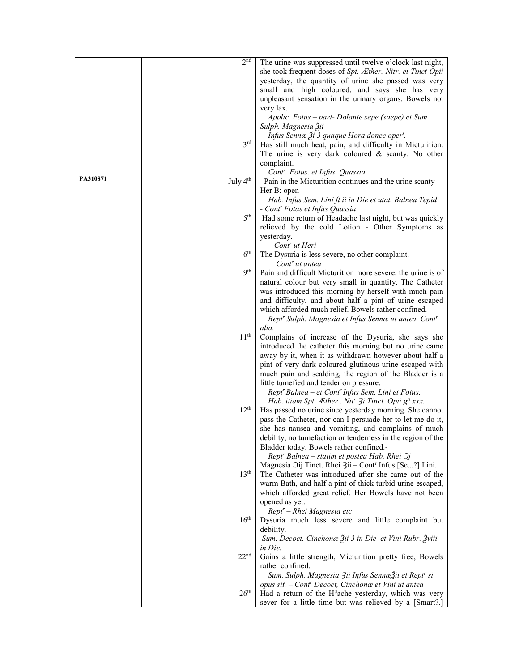|          | 2 <sup>nd</sup>      | The urine was suppressed until twelve o'clock last night,                    |
|----------|----------------------|------------------------------------------------------------------------------|
|          |                      | she took frequent doses of Spt. Æther. Nitr. et Tinct Opii                   |
|          |                      | yesterday, the quantity of urine she passed was very                         |
|          |                      | small and high coloured, and says she has very                               |
|          |                      | unpleasant sensation in the urinary organs. Bowels not                       |
|          |                      | very lax.                                                                    |
|          |                      |                                                                              |
|          |                      | Applic. Fotus – part- Dolante sepe (saepe) et Sum.                           |
|          |                      | Sulph. Magnesia Žii                                                          |
|          |                      | Infus Sennæ Ži 3 quaque Hora donec oper <sup>t</sup> .                       |
|          | $3^{\text{rd}}$      | Has still much heat, pain, and difficulty in Micturition.                    |
|          |                      | The urine is very dark coloured $&$ scanty. No other                         |
|          |                      | complaint.                                                                   |
|          |                      | Cont'. Fotus. et Infus. Quassia.                                             |
| PA310871 | July 4 <sup>th</sup> | Pain in the Micturition continues and the urine scanty                       |
|          |                      | Her B: open                                                                  |
|          |                      | Hab. Infus Sem. Lini ft ii in Die et utat. Balnea Tepid                      |
|          |                      | - Cont <sup>r</sup> Fotas et Infus Quassia                                   |
|          | 5 <sup>th</sup>      | Had some return of Headache last night, but was quickly                      |
|          |                      | relieved by the cold Lotion - Other Symptoms as                              |
|          |                      | yesterday.                                                                   |
|          |                      | Cont <sup>r</sup> ut Heri                                                    |
|          | 6 <sup>th</sup>      | The Dysuria is less severe, no other complaint.                              |
|          |                      | Cont <sup>r</sup> ut antea                                                   |
|          | <b>9</b> th          | Pain and difficult Micturition more severe, the urine is of                  |
|          |                      | natural colour but very small in quantity. The Catheter                      |
|          |                      | was introduced this morning by herself with much pain                        |
|          |                      | and difficulty, and about half a pint of urine escaped                       |
|          |                      | which afforded much relief. Bowels rather confined.                          |
|          |                      |                                                                              |
|          |                      | Rept' Sulph. Magnesia et Infus Sennæ ut antea. Cont'                         |
|          | 11 <sup>th</sup>     | alia.                                                                        |
|          |                      | Complains of increase of the Dysuria, she says she                           |
|          |                      | introduced the catheter this morning but no urine came                       |
|          |                      | away by it, when it as withdrawn however about half a                        |
|          |                      | pint of very dark coloured glutinous urine escaped with                      |
|          |                      | much pain and scalding, the region of the Bladder is a                       |
|          |                      | little tumefied and tender on pressure.                                      |
|          |                      | Rept' Balnea - et Cont' Infus Sem. Lini et Fotus.                            |
|          |                      | Hab. itiam Spt. Æther . Nit <sup>r</sup> 3i Tinct. Opii g <sup>tt</sup> xxx. |
|          | 12 <sup>th</sup>     | Has passed no urine since yesterday morning. She cannot                      |
|          |                      | pass the Catheter, nor can I persuade her to let me do it,                   |
|          |                      | she has nausea and vomiting, and complains of much                           |
|          |                      | debility, no tumefaction or tenderness in the region of the                  |
|          |                      | Bladder today. Bowels rather confined.-                                      |
|          |                      | Rept' Balnea – statim et postea Hab. Rhei $\partial j$                       |
|          |                      | Magnesia Əij Tinct. Rhei 3ii – Cont <sup>r</sup> Infus [Se?] Lini.           |
|          | 13 <sup>th</sup>     | The Catheter was introduced after she came out of the                        |
|          |                      | warm Bath, and half a pint of thick turbid urine escaped,                    |
|          |                      | which afforded great relief. Her Bowels have not been                        |
|          |                      | opened as yet.                                                               |
|          |                      | Rept'' - Rhei Magnesia etc                                                   |
|          | 16 <sup>th</sup>     | Dysuria much less severe and little complaint but                            |
|          |                      | debility.                                                                    |
|          |                      | Sum. Decoct. Cinchonae Žii 3 in Die et Vini Rubr. Žviii                      |
|          |                      |                                                                              |
|          |                      | in Die.                                                                      |
|          | 22 <sup>nd</sup>     | Gains a little strength, Micturition pretty free, Bowels                     |
|          |                      | rather confined.                                                             |
|          |                      | Sum. Sulph. Magnesia <i>Zii Infus Sennæ</i> Žii et Rept <sup>r</sup> si      |
|          |                      | opus sit. - Cont' Decoct, Cinchonæ et Vini ut antea                          |
|          | 26 <sup>th</sup>     | Had a return of the H <sup>d</sup> ache yesterday, which was very            |
|          |                      | sever for a little time but was relieved by a [Smart?.]                      |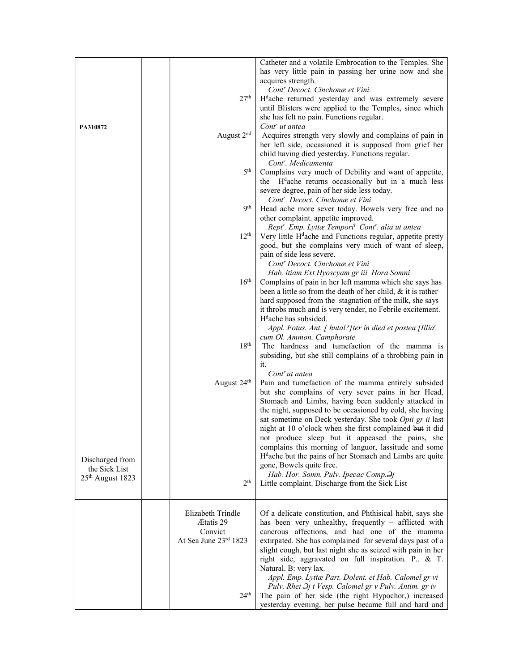|                              |                         | Catheter and a volatile Embrocation to the Temples. She                |
|------------------------------|-------------------------|------------------------------------------------------------------------|
|                              |                         | has very little pain in passing her urine now and she                  |
|                              |                         | acquires strength.                                                     |
|                              |                         | Cont <sup>r</sup> Decoct. Cinchonæ et Vini.                            |
|                              | 27 <sup>th</sup>        | H <sup>d</sup> ache returned yesterday and was extremely severe        |
|                              |                         | until Blisters were applied to the Temples, since which                |
|                              |                         | she has felt no pain. Functions regular.                               |
| PA310872                     |                         | Cont <sup>r</sup> ut antea                                             |
|                              | August 2 <sup>nd</sup>  | Acquires strength very slowly and complains of pain in                 |
|                              |                         | her left side, occasioned it is supposed from grief her                |
|                              |                         | child having died yesterday. Functions regular.                        |
|                              |                         | Cont <sup>r</sup> . Medicamenta                                        |
|                              | 5 <sup>th</sup>         | Complains very much of Debility and want of appetite,                  |
|                              |                         | the H <sup>d</sup> ache returns occasionally but in a much less        |
|                              |                         | severe degree, pain of her side less today.                            |
|                              |                         | Cont'. Decoct. Cinchonæ et Vini                                        |
|                              | <b>9th</b>              | Head ache more sever today. Bowels very free and no                    |
|                              |                         | other complaint. appetite improved.                                    |
|                              |                         | Rept''. Emp. Lyttæ Tempori <sup>l</sup> Cont''. alia ut antea          |
|                              | 12 <sup>th</sup>        | Very little H <sup>d</sup> ache and Functions regular, appetite pretty |
|                              |                         | good, but she complains very much of want of sleep,                    |
|                              |                         | pain of side less severe.                                              |
|                              |                         | Cont' Decoct. Cinchonæ et Vini                                         |
|                              |                         | Hab. itiam Ext Hyoscyam gr iii Hora Somni                              |
|                              | 16 <sup>th</sup>        | Complains of pain in her left mamma which she says has                 |
|                              |                         | been a little so from the death of her child, $\&$ it is rather        |
|                              |                         | hard supposed from the stagnation of the milk, she says                |
|                              |                         | it throbs much and is very tender, no Febrile excitement.              |
|                              |                         | H <sup>d</sup> ache has subsided.                                      |
|                              |                         | Appl. Fotus. Ant. [ hutal?] ter in died et postea [Illia <sup>r</sup>  |
|                              |                         | cum Ol. Ammon. Camphorate                                              |
|                              | 18 <sup>th</sup>        | The hardness and tumefaction of the mamma is                           |
|                              |                         | subsiding, but she still complains of a throbbing pain in              |
|                              |                         | it.                                                                    |
|                              |                         | Cont <sup>r</sup> ut antea                                             |
|                              | August 24 <sup>th</sup> | Pain and tumefaction of the mamma entirely subsided                    |
|                              |                         | but she complains of very sever pains in her Head,                     |
|                              |                         | Stomach and Limbs, having been suddenly attacked in                    |
|                              |                         | the night, supposed to be occasioned by cold, she having               |
|                              |                         | sat sometime on Deck yesterday. She took Opii gr ii last               |
|                              |                         | night at 10 o'clock when she first complained but it did               |
|                              |                         | not produce sleep but it appeased the pains, she                       |
|                              |                         | complains this morning of languor, lassitude and some                  |
| Discharged from              |                         | H <sup>d</sup> ache but the pains of her Stomach and Limbs are quite   |
| the Sick List                |                         | gone, Bowels quite free.                                               |
| 25 <sup>th</sup> August 1823 |                         | Hab. Hor. Somn. Pulv. Ipecac Comp. Dj                                  |
|                              | 2 <sup>th</sup>         | Little complaint. Discharge from the Sick List                         |
|                              |                         |                                                                        |
|                              |                         |                                                                        |
|                              | Elizabeth Trindle       | Of a delicate constitution, and Phthisical habit, says she             |
|                              | Ætatis 29               | has been very unhealthy, frequently - afflicted with                   |
|                              | Convict                 | cancrous affections, and had one of the mamma                          |
|                              | At Sea June 23rd 1823   | extirpated. She has complained for several days past of a              |
|                              |                         | slight cough, but last night she as seized with pain in her            |
|                              |                         | right side, aggravated on full inspiration. P. & T.                    |
|                              |                         | Natural. B: very lax.                                                  |
|                              |                         | Appl. Emp. Lyttæ Part. Dolent. et Hab. Calomel gr vi                   |
|                              |                         | Pulv. Rhei $\partial j$ t Vesp. Calomel gr v Pulv. Antim. gr iv        |
|                              | 24 <sup>th</sup>        | The pain of her side (the right Hypochor,) increased                   |
|                              |                         | yesterday evening, her pulse became full and hard and                  |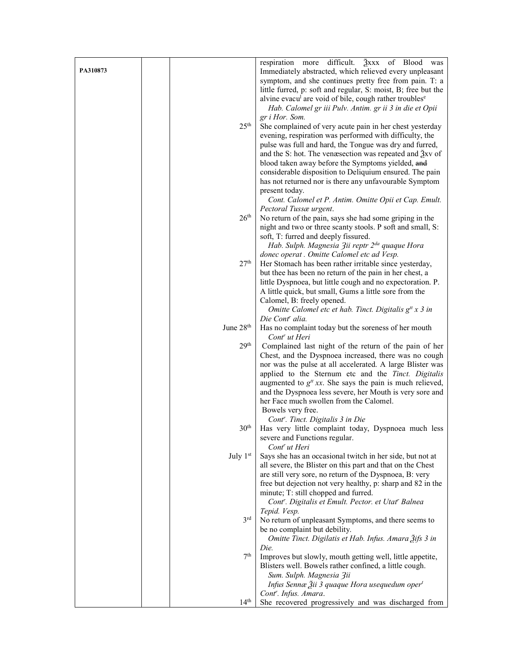|          |                       | respiration more difficult. $\frac{3}{2}$ xxx of Blood was                             |
|----------|-----------------------|----------------------------------------------------------------------------------------|
| PA310873 |                       | Immediately abstracted, which relieved every unpleasant                                |
|          |                       | symptom, and she continues pretty free from pain. T: a                                 |
|          |                       | little furred, p: soft and regular, S: moist, B; free but the                          |
|          |                       | alvine evacu <sup>l</sup> are void of bile, cough rather troubles <sup>e</sup>         |
|          |                       | Hab. Calomel gr iii Pulv. Antim. gr ii 3 in die et Opii                                |
|          |                       | gr i Hor. Som.                                                                         |
|          | 25 <sup>th</sup>      | She complained of very acute pain in her chest yesterday                               |
|          |                       | evening, respiration was performed with difficulty, the                                |
|          |                       | pulse was full and hard, the Tongue was dry and furred,                                |
|          |                       | and the S: hot. The venæsection was repeated and $\frac{3}{2}$ xv of                   |
|          |                       | blood taken away before the Symptoms yielded, and                                      |
|          |                       | considerable disposition to Deliquium ensured. The pain                                |
|          |                       | has not returned nor is there any unfavourable Symptom                                 |
|          |                       | present today.                                                                         |
|          |                       | Cont. Calomel et P. Antim. Omitte Opii et Cap. Emult.                                  |
|          |                       | Pectoral Tussæ urgent.                                                                 |
|          | 26 <sup>th</sup>      | No return of the pain, says she had some griping in the                                |
|          |                       | night and two or three scanty stools. P soft and small, S:                             |
|          |                       | soft, T: furred and deeply fissured.                                                   |
|          |                       | Hab. Sulph. Magnesia 3ii reptr 2 <sup>da</sup> quaque Hora                             |
|          |                       | donec operat . Omitte Calomel etc ad Vesp.                                             |
|          | 27 <sup>th</sup>      | Her Stomach has been rather irritable since yesterday,                                 |
|          |                       | but thee has been no return of the pain in her chest, a                                |
|          |                       | little Dyspnoea, but little cough and no expectoration. P.                             |
|          |                       | A little quick, but small, Gums a little sore from the                                 |
|          |                       | Calomel, B: freely opened.<br>Omitte Calomel etc et hab. Tinct. Digitalis $g^t x$ 3 in |
|          |                       | Die Cont <sup>r</sup> alia.                                                            |
|          | June 28 <sup>th</sup> | Has no complaint today but the soreness of her mouth                                   |
|          |                       | Cont <sup>r</sup> ut Heri                                                              |
|          | 29 <sup>th</sup>      | Complained last night of the return of the pain of her                                 |
|          |                       | Chest, and the Dyspnoea increased, there was no cough                                  |
|          |                       | nor was the pulse at all accelerated. A large Blister was                              |
|          |                       | applied to the Sternum etc and the Tinct. Digitalis                                    |
|          |                       | augmented to $g^t$ xx. She says the pain is much relieved,                             |
|          |                       | and the Dyspnoea less severe, her Mouth is very sore and                               |
|          |                       | her Face much swollen from the Calomel.                                                |
|          |                       | Bowels very free.                                                                      |
|          |                       | Cont <sup>r</sup> . Tinct. Digitalis 3 in Die                                          |
|          | 30 <sup>th</sup>      | Has very little complaint today, Dyspnoea much less                                    |
|          |                       | severe and Functions regular.                                                          |
|          | July $1st$            | Cont <sup>r</sup> ut Heri<br>Says she has an occasional twitch in her side, but not at |
|          |                       | all severe, the Blister on this part and that on the Chest                             |
|          |                       | are still very sore, no return of the Dyspnoea, B: very                                |
|          |                       | free but dejection not very healthy, p: sharp and 82 in the                            |
|          |                       | minute; T: still chopped and furred.                                                   |
|          |                       | Cont'. Digitalis et Emult. Pector. et Utat' Balnea                                     |
|          |                       | Tepid. Vesp.                                                                           |
|          | $3^{\text{rd}}$       | No return of unpleasant Symptoms, and there seems to                                   |
|          |                       | be no complaint but debility.                                                          |
|          |                       | Omitte Tinct. Digilatis et Hab. Infus. Amara 3ifs 3 in                                 |
|          |                       | Die.                                                                                   |
|          | 7 <sup>th</sup>       | Improves but slowly, mouth getting well, little appetite,                              |
|          |                       | Blisters well. Bowels rather confined, a little cough.                                 |
|          |                       | Sum. Sulph. Magnesia Zii                                                               |
|          |                       | Infus Sennæ Žii 3 quaque Hora usequedum oper <sup>t</sup>                              |
|          |                       | Cont <sup>r</sup> . Infus. Amara.                                                      |
|          | 14 <sup>th</sup>      | She recovered progressively and was discharged from                                    |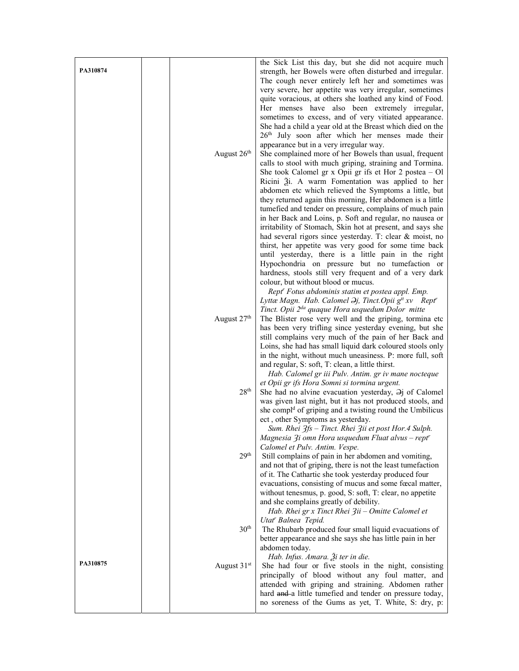|          |                         | the Sick List this day, but she did not acquire much                                                                       |
|----------|-------------------------|----------------------------------------------------------------------------------------------------------------------------|
| PA310874 |                         | strength, her Bowels were often disturbed and irregular.                                                                   |
|          |                         | The cough never entirely left her and sometimes was                                                                        |
|          |                         | very severe, her appetite was very irregular, sometimes<br>quite voracious, at others she loathed any kind of Food.        |
|          |                         | Her menses have also been extremely irregular,                                                                             |
|          |                         | sometimes to excess, and of very vitiated appearance.                                                                      |
|          |                         | She had a child a year old at the Breast which died on the                                                                 |
|          |                         | 26th July soon after which her menses made their                                                                           |
|          |                         | appearance but in a very irregular way.                                                                                    |
|          | August 26 <sup>th</sup> | She complained more of her Bowels than usual, frequent                                                                     |
|          |                         | calls to stool with much griping, straining and Tormina.                                                                   |
|          |                         | She took Calomel gr x Opii gr ifs et Hor $2$ postea $-$ Ol                                                                 |
|          |                         | Ricini Ѯi. A warm Fomentation was applied to her<br>abdomen etc which relieved the Symptoms a little, but                  |
|          |                         | they returned again this morning, Her abdomen is a little                                                                  |
|          |                         | tumefied and tender on pressure, complains of much pain                                                                    |
|          |                         | in her Back and Loins, p. Soft and regular, no nausea or                                                                   |
|          |                         | irritability of Stomach, Skin hot at present, and says she                                                                 |
|          |                         | had several rigors since yesterday. T: clear & moist, no                                                                   |
|          |                         | thirst, her appetite was very good for some time back                                                                      |
|          |                         | until yesterday, there is a little pain in the right                                                                       |
|          |                         | Hypochondria on pressure but no tumefaction or<br>hardness, stools still very frequent and of a very dark                  |
|          |                         | colour, but without blood or mucus.                                                                                        |
|          |                         | Rept <sup>r</sup> Fotus abdominis statim et postea appl. Emp.                                                              |
|          |                         | Lyttæ Magn. Hab. Calomel $\Theta$ j, Tinct. Opii g <sup>tt</sup> xv Rept <sup>r</sup>                                      |
|          |                         | Tinct. Opii 2 <sup>da</sup> quaque Hora usquedum Dolor mitte                                                               |
|          | August 27th             | The Blister rose very well and the griping, tormina etc                                                                    |
|          |                         | has been very trifling since yesterday evening, but she                                                                    |
|          |                         | still complains very much of the pain of her Back and<br>Loins, she had has small liquid dark coloured stools only         |
|          |                         | in the night, without much uneasiness. P: more full, soft                                                                  |
|          |                         | and regular, S: soft, T: clean, a little thirst.                                                                           |
|          |                         | Hab. Calomel gr iii Pulv. Antim. gr iv mane nocteque                                                                       |
|          |                         | et Opii gr ifs Hora Somni si tormina urgent.                                                                               |
|          | $28^{\rm th}$           | She had no alvine evacuation yesterday, $\Theta$ j of Calomel<br>was given last night, but it has not produced stools, and |
|          |                         | she compl <sup>d</sup> of griping and a twisting round the Umbilicus                                                       |
|          |                         | ect, other Symptoms as yesterday.                                                                                          |
|          |                         | Sum. Rhei 3fs - Tinct. Rhei 3ii et post Hor. 4 Sulph.                                                                      |
|          |                         | Magnesia 3i omn Hora usquedum Fluat alvus - rept                                                                           |
|          |                         | Calomel et Pulv. Antim. Vespe.                                                                                             |
|          | 29 <sup>th</sup>        | Still complains of pain in her abdomen and vomiting,                                                                       |
|          |                         | and not that of griping, there is not the least tumefaction<br>of it. The Cathartic she took yesterday produced four       |
|          |                         | evacuations, consisting of mucus and some fœcal matter,                                                                    |
|          |                         | without tenesmus, p. good, S: soft, T: clear, no appetite                                                                  |
|          |                         | and she complains greatly of debility.                                                                                     |
|          |                         | Hab. Rhei gr x Tinct Rhei 3ii – Omitte Calomel et                                                                          |
|          |                         | Utat' Balnea Tepid.                                                                                                        |
|          | 30 <sup>th</sup>        | The Rhubarb produced four small liquid evacuations of                                                                      |
|          |                         | better appearance and she says she has little pain in her<br>abdomen today.                                                |
|          |                         | Hab. Infus. Amara. Ži ter in die.                                                                                          |
| PA310875 | August 31 <sup>st</sup> | She had four or five stools in the night, consisting                                                                       |
|          |                         | principally of blood without any foul matter, and                                                                          |
|          |                         | attended with griping and straining. Abdomen rather                                                                        |
|          |                         | hard and a little tumefied and tender on pressure today,                                                                   |
|          |                         | no soreness of the Gums as yet, T. White, S: dry, p:                                                                       |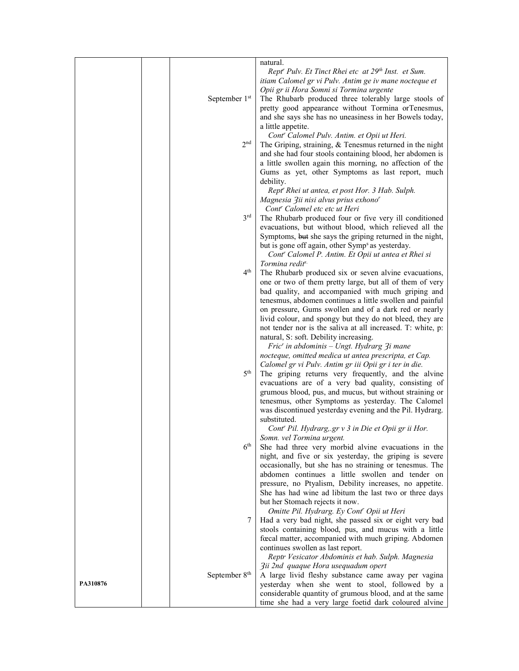|          |                           | natural.                                                        |
|----------|---------------------------|-----------------------------------------------------------------|
|          |                           | Rept' Pulv. Et Tinct Rhei etc at 29th Inst. et Sum.             |
|          |                           | itiam Calomel gr vi Pulv. Antim ge iv mane nocteque et          |
|          |                           |                                                                 |
|          |                           | Opii gr ii Hora Somni si Tormina urgente                        |
|          | September 1st             | The Rhubarb produced three tolerably large stools of            |
|          |                           | pretty good appearance without Tormina orTenesmus,              |
|          |                           | and she says she has no uneasiness in her Bowels today,         |
|          |                           |                                                                 |
|          |                           | a little appetite.                                              |
|          |                           | Cont <sup>r</sup> Calomel Pulv. Antim. et Opii ut Heri.         |
|          | 2 <sub>nd</sub>           | The Griping, straining, & Tenesmus returned in the night        |
|          |                           |                                                                 |
|          |                           | and she had four stools containing blood, her abdomen is        |
|          |                           | a little swollen again this morning, no affection of the        |
|          |                           | Gums as yet, other Symptoms as last report, much                |
|          |                           | debility.                                                       |
|          |                           |                                                                 |
|          |                           | Rept <sup>r</sup> Rhei ut antea, et post Hor. 3 Hab. Sulph.     |
|          |                           | Magnesia 3ii nisi alvus prius exhono <sup>r</sup>               |
|          |                           | Cont <sup>r</sup> Calomel etc etc ut Heri                       |
|          | 3 <sup>rd</sup>           | The Rhubarb produced four or five very ill conditioned          |
|          |                           |                                                                 |
|          |                           | evacuations, but without blood, which relieved all the          |
|          |                           | Symptoms, but she says the griping returned in the night,       |
|          |                           | but is gone off again, other Symp <sup>s</sup> as yesterday.    |
|          |                           |                                                                 |
|          |                           | Cont <sup>r</sup> Calomel P. Antim. Et Opii ut antea et Rhei si |
|          |                           | Tormina redit <sup>s.</sup>                                     |
|          | $4^{\text{th}}$           | The Rhubarb produced six or seven alvine evacuations,           |
|          |                           | one or two of them pretty large, but all of them of very        |
|          |                           | bad quality, and accompanied with much griping and              |
|          |                           |                                                                 |
|          |                           | tenesmus, abdomen continues a little swollen and painful        |
|          |                           | on pressure, Gums swollen and of a dark red or nearly           |
|          |                           | livid colour, and spongy but they do not bleed, they are        |
|          |                           |                                                                 |
|          |                           | not tender nor is the saliva at all increased. T: white, p:     |
|          |                           | natural, S: soft. Debility increasing.                          |
|          |                           | Fric' in abdominis - Ungt. Hydrarg 3i mane                      |
|          |                           | nocteque, omitted medica ut antea prescripta, et Cap.           |
|          |                           |                                                                 |
|          |                           | Calomel gr vi Pulv. Antim gr iii Opii gr i ter in die.          |
|          | 5 <sup>th</sup>           | The griping returns very frequently, and the alvine             |
|          |                           | evacuations are of a very bad quality, consisting of            |
|          |                           | grumous blood, pus, and mucus, but without straining or         |
|          |                           |                                                                 |
|          |                           | tenesmus, other Symptoms as yesterday. The Calomel              |
|          |                           | was discontinued yesterday evening and the Pil. Hydrarg.        |
|          |                           | substituted.                                                    |
|          |                           | Cont' Pil. Hydrarg, gr v 3 in Die et Opii gr ii Hor.            |
|          |                           |                                                                 |
|          |                           | Somn. vel Tormina urgent.                                       |
|          | 6 <sup>th</sup>           | She had three very morbid alvine evacuations in the             |
|          |                           | night, and five or six yesterday, the griping is severe         |
|          |                           | occasionally, but she has no straining or tenesmus. The         |
|          |                           |                                                                 |
|          |                           | abdomen continues a little swollen and tender on                |
|          |                           | pressure, no Ptyalism, Debility increases, no appetite.         |
|          |                           | She has had wine ad libitum the last two or three days          |
|          |                           | but her Stomach rejects it now.                                 |
|          |                           |                                                                 |
|          |                           | Omitte Pil. Hydrarg. Ey Cont' Opii ut Heri                      |
|          | 7                         | Had a very bad night, she passed six or eight very bad          |
|          |                           | stools containing blood, pus, and mucus with a little           |
|          |                           | fœcal matter, accompanied with much griping. Abdomen            |
|          |                           |                                                                 |
|          |                           | continues swollen as last report.                               |
|          |                           | Reptr Vesicator Abdominis et hab. Sulph. Magnesia               |
|          |                           | 3ii 2nd quaque Hora usequadum opert                             |
|          | September 8 <sup>th</sup> | A large livid fleshy substance came away per vagina             |
| PA310876 |                           | yesterday when she went to stool, followed by a                 |
|          |                           |                                                                 |
|          |                           | considerable quantity of grumous blood, and at the same         |
|          |                           | time she had a very large foetid dark coloured alvine           |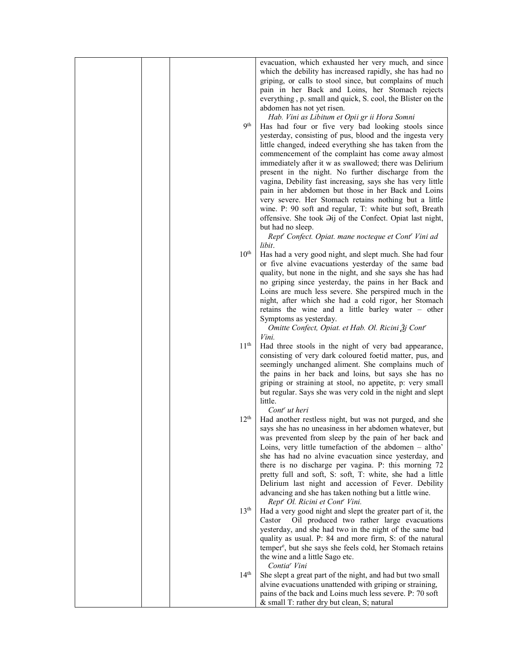|  | 9 <sup>th</sup>  | evacuation, which exhausted her very much, and since<br>which the debility has increased rapidly, she has had no<br>griping, or calls to stool since, but complains of much<br>pain in her Back and Loins, her Stomach rejects<br>everything, p. small and quick, S. cool, the Blister on the<br>abdomen has not yet risen.<br>Hab. Vini as Libitum et Opii gr ii Hora Somni<br>Has had four or five very bad looking stools since<br>yesterday, consisting of pus, blood and the ingesta very<br>little changed, indeed everything she has taken from the<br>commencement of the complaint has come away almost<br>immediately after it w as swallowed; there was Delirium<br>present in the night. No further discharge from the<br>vagina, Debility fast increasing, says she has very little<br>pain in her abdomen but those in her Back and Loins<br>very severe. Her Stomach retains nothing but a little<br>wine. P: 90 soft and regular, T: white but soft, Breath<br>offensive. She took $\Theta$ ij of the Confect. Opiat last night,<br>but had no sleep. |
|--|------------------|-----------------------------------------------------------------------------------------------------------------------------------------------------------------------------------------------------------------------------------------------------------------------------------------------------------------------------------------------------------------------------------------------------------------------------------------------------------------------------------------------------------------------------------------------------------------------------------------------------------------------------------------------------------------------------------------------------------------------------------------------------------------------------------------------------------------------------------------------------------------------------------------------------------------------------------------------------------------------------------------------------------------------------------------------------------------------|
|  |                  |                                                                                                                                                                                                                                                                                                                                                                                                                                                                                                                                                                                                                                                                                                                                                                                                                                                                                                                                                                                                                                                                       |
|  |                  | Rept' Confect. Opiat. mane nocteque et Cont' Vini ad<br>libit.                                                                                                                                                                                                                                                                                                                                                                                                                                                                                                                                                                                                                                                                                                                                                                                                                                                                                                                                                                                                        |
|  | $10^{\rm th}$    | Has had a very good night, and slept much. She had four<br>or five alvine evacuations yesterday of the same bad<br>quality, but none in the night, and she says she has had<br>no griping since yesterday, the pains in her Back and<br>Loins are much less severe. She perspired much in the<br>night, after which she had a cold rigor, her Stomach<br>retains the wine and a little barley water – other<br>Symptoms as yesterday.                                                                                                                                                                                                                                                                                                                                                                                                                                                                                                                                                                                                                                 |
|  |                  | Omitte Confect, Opiat. et Hab. Ol. Ricini Žj Cont'                                                                                                                                                                                                                                                                                                                                                                                                                                                                                                                                                                                                                                                                                                                                                                                                                                                                                                                                                                                                                    |
|  | 11 <sup>th</sup> | Vini.<br>Had three stools in the night of very bad appearance,<br>consisting of very dark coloured foetid matter, pus, and<br>seemingly unchanged aliment. She complains much of<br>the pains in her back and loins, but says she has no<br>griping or straining at stool, no appetite, p: very small<br>but regular. Says she was very cold in the night and slept<br>little.<br>Cont <sup>r</sup> ut heri                                                                                                                                                                                                                                                                                                                                                                                                                                                                                                                                                                                                                                                           |
|  | 12 <sup>th</sup> | Had another restless night, but was not purged, and she<br>says she has no uneasiness in her abdomen whatever, but<br>was prevented from sleep by the pain of her back and<br>Loins, very little tumefaction of the abdomen - altho'<br>she has had no alvine evacuation since yesterday, and<br>there is no discharge per vagina. P: this morning 72<br>pretty full and soft, S: soft, T: white, she had a little<br>Delirium last night and accession of Fever. Debility<br>advancing and she has taken nothing but a little wine.<br>Rept <sup>r</sup> Ol. Ricini et Cont <sup>r</sup> Vini.                                                                                                                                                                                                                                                                                                                                                                                                                                                                       |
|  | 13 <sup>th</sup> | Had a very good night and slept the greater part of it, the<br>Oil produced two rather large evacuations<br>Castor<br>yesterday, and she had two in the night of the same bad<br>quality as usual. P: 84 and more firm, S: of the natural<br>temper <sup>e</sup> , but she says she feels cold, her Stomach retains<br>the wine and a little Sago etc.                                                                                                                                                                                                                                                                                                                                                                                                                                                                                                                                                                                                                                                                                                                |
|  | 14 <sup>th</sup> | Contia <sup>r</sup> Vini                                                                                                                                                                                                                                                                                                                                                                                                                                                                                                                                                                                                                                                                                                                                                                                                                                                                                                                                                                                                                                              |
|  |                  | She slept a great part of the night, and had but two small<br>alvine evacuations unattended with griping or straining,                                                                                                                                                                                                                                                                                                                                                                                                                                                                                                                                                                                                                                                                                                                                                                                                                                                                                                                                                |
|  |                  | pains of the back and Loins much less severe. P: 70 soft                                                                                                                                                                                                                                                                                                                                                                                                                                                                                                                                                                                                                                                                                                                                                                                                                                                                                                                                                                                                              |
|  |                  | & small T: rather dry but clean, S; natural                                                                                                                                                                                                                                                                                                                                                                                                                                                                                                                                                                                                                                                                                                                                                                                                                                                                                                                                                                                                                           |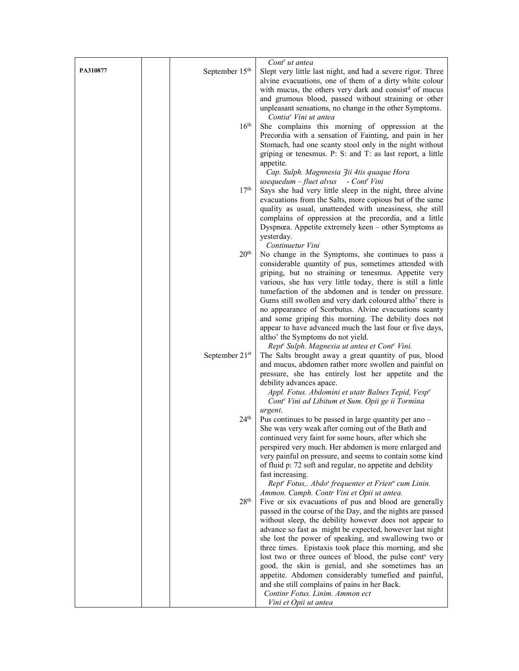|          |                            | Cont <sup>r</sup> ut antea                                                                                            |
|----------|----------------------------|-----------------------------------------------------------------------------------------------------------------------|
| PA310877 | September 15 <sup>th</sup> | Slept very little last night, and had a severe rigor. Three                                                           |
|          |                            | alvine evacuations, one of them of a dirty white colour                                                               |
|          |                            | with mucus, the others very dark and consist <sup>d</sup> of mucus                                                    |
|          |                            | and grumous blood, passed without straining or other                                                                  |
|          |                            | unpleasant sensations, no change in the other Symptoms.<br>Contia <sup>r</sup> Vini ut antea                          |
|          | 16 <sup>th</sup>           | She complains this morning of oppression at the                                                                       |
|          |                            | Precordia with a sensation of Fainting, and pain in her                                                               |
|          |                            | Stomach, had one scanty stool only in the night without                                                               |
|          |                            | griping or tenesmus. P: S: and T: as last report, a little<br>appetite.                                               |
|          |                            | Cap. Sulph. Magnnesia 3ii 4tis quaque Hora                                                                            |
|          |                            | usequedum $-f$ luet alvus - Cont <sup>r</sup> Vini                                                                    |
|          | 17 <sup>th</sup>           | Says she had very little sleep in the night, three alvine<br>evacuations from the Salts, more copious but of the same |
|          |                            | quality as usual, unattended with uneasiness, she still                                                               |
|          |                            | complains of oppression at the precordia, and a little                                                                |
|          |                            | Dyspnœa. Appetite extremely keen - other Symptoms as                                                                  |
|          |                            | yesterday.                                                                                                            |
|          | 20 <sup>th</sup>           | Continuetur Vini                                                                                                      |
|          |                            | No change in the Symptoms, she continues to pass a<br>considerable quantity of pus, sometimes attended with           |
|          |                            | griping, but no straining or tenesmus. Appetite very                                                                  |
|          |                            | various, she has very little today, there is still a little                                                           |
|          |                            | tumefaction of the abdomen and is tender on pressure.                                                                 |
|          |                            | Gums still swollen and very dark coloured altho' there is                                                             |
|          |                            | no appearance of Scorbutus. Alvine evacuations scanty                                                                 |
|          |                            | and some griping this morning. The debility does not                                                                  |
|          |                            | appear to have advanced much the last four or five days,                                                              |
|          |                            | altho' the Symptoms do not yield.                                                                                     |
|          |                            | Rept' Sulph. Magnesia ut antea et Cont' Vini.                                                                         |
|          | September 21st             | The Salts brought away a great quantity of pus, blood<br>and mucus, abdomen rather more swollen and painful on        |
|          |                            | pressure, she has entirely lost her appetite and the                                                                  |
|          |                            | debility advances apace.                                                                                              |
|          |                            | Appl. Fotus. Abdomini et utatr Balnes Tepid, Vesp <sup>e</sup>                                                        |
|          |                            | Cont <sup>r</sup> Vini ad Libitum et Sum. Opii ge ii Tormina                                                          |
|          |                            | urgent.                                                                                                               |
|          | 24 <sup>th</sup>           | Pus continues to be passed in large quantity per ano -                                                                |
|          |                            | She was very weak after coming out of the Bath and                                                                    |
|          |                            | continued very faint for some hours, after which she                                                                  |
|          |                            | perspired very much. Her abdomen is more enlarged and                                                                 |
|          |                            | very painful on pressure, and seems to contain some kind                                                              |
|          |                            | of fluid p: 72 soft and regular, no appetite and debility<br>fast increasing.                                         |
|          |                            | Rept' Fotus,. Abdo <sup>s</sup> frequenter et Frien <sup>n</sup> cum Linin.                                           |
|          |                            | Ammon. Camph. Contr Vini et Opii ut antea.                                                                            |
|          | 28 <sup>th</sup>           | Five or six evacuations of pus and blood are generally                                                                |
|          |                            | passed in the course of the Day, and the nights are passed                                                            |
|          |                            | without sleep, the debility however does not appear to                                                                |
|          |                            | advance so fast as might be expected, however last night                                                              |
|          |                            | she lost the power of speaking, and swallowing two or                                                                 |
|          |                            | three times. Epistaxis took place this morning, and she                                                               |
|          |                            | lost two or three ounces of blood, the pulse cont <sup>s</sup> very                                                   |
|          |                            | good, the skin is genial, and she sometimes has an                                                                    |
|          |                            | appetite. Abdomen considerably tumefied and painful,<br>and she still complains of pains in her Back.                 |
|          |                            | Continr Fotus. Linim. Ammon ect                                                                                       |
|          |                            | Vini et Opii ut antea                                                                                                 |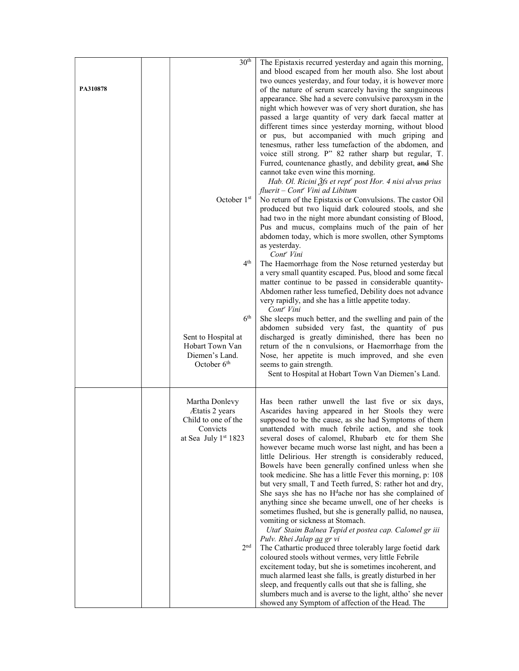| PA310878 | 30 <sup>th</sup><br>October 1st<br>4 <sup>th</sup><br>6 <sup>th</sup><br>Sent to Hospital at<br>Hobart Town Van<br>Diemen's Land.<br>October $6th$ | The Epistaxis recurred yesterday and again this morning,<br>and blood escaped from her mouth also. She lost about<br>two ounces yesterday, and four today, it is however more<br>of the nature of serum scarcely having the sanguineous<br>appearance. She had a severe convulsive paroxysm in the<br>night which however was of very short duration, she has<br>passed a large quantity of very dark faecal matter at<br>different times since yesterday morning, without blood<br>or pus, but accompanied with much griping and<br>tenesmus, rather less tumefaction of the abdomen, and<br>voice still strong. P" 82 rather sharp but regular, T.<br>Furred, countenance ghastly, and debility great, and She<br>cannot take even wine this morning.<br>Hab. Ol. Ricini $\tilde{g}$ fs et rept <sup>r</sup> post Hor. 4 nisi alvus prius<br>fluerit – Cont <sup>r</sup> Vini ad Libitum<br>No return of the Epistaxis or Convulsions. The castor Oil<br>produced but two liquid dark coloured stools, and she<br>had two in the night more abundant consisting of Blood,<br>Pus and mucus, complains much of the pain of her<br>abdomen today, which is more swollen, other Symptoms<br>as yesterday.<br>Cont <sup>r</sup> Vini<br>The Haemorrhage from the Nose returned yesterday but<br>a very small quantity escaped. Pus, blood and some fæcal<br>matter continue to be passed in considerable quantity-<br>Abdomen rather less tumefied, Debility does not advance<br>very rapidly, and she has a little appetite today.<br>Cont <sup>r</sup> Vini<br>She sleeps much better, and the swelling and pain of the<br>abdomen subsided very fast, the quantity of pus<br>discharged is greatly diminished, there has been no<br>return of the n convulsions, or Haemorrhage from the<br>Nose, her appetite is much improved, and she even<br>seems to gain strength.<br>Sent to Hospital at Hobart Town Van Diemen's Land. |
|----------|----------------------------------------------------------------------------------------------------------------------------------------------------|---------------------------------------------------------------------------------------------------------------------------------------------------------------------------------------------------------------------------------------------------------------------------------------------------------------------------------------------------------------------------------------------------------------------------------------------------------------------------------------------------------------------------------------------------------------------------------------------------------------------------------------------------------------------------------------------------------------------------------------------------------------------------------------------------------------------------------------------------------------------------------------------------------------------------------------------------------------------------------------------------------------------------------------------------------------------------------------------------------------------------------------------------------------------------------------------------------------------------------------------------------------------------------------------------------------------------------------------------------------------------------------------------------------------------------------------------------------------------------------------------------------------------------------------------------------------------------------------------------------------------------------------------------------------------------------------------------------------------------------------------------------------------------------------------------------------------------------------------------------------------------------------------------------------------------|
|          | Martha Donlevy<br>Ætatis 2 years<br>Child to one of the<br>Convicts<br>at Sea July 1st 1823<br>2 <sub>nd</sub>                                     | Has been rather unwell the last five or six days,<br>Ascarides having appeared in her Stools they were<br>supposed to be the cause, as she had Symptoms of them<br>unattended with much febrile action, and she took<br>several doses of calomel, Rhubarb etc for them She<br>however became much worse last night, and has been a<br>little Delirious. Her strength is considerably reduced,<br>Bowels have been generally confined unless when she<br>took medicine. She has a little Fever this morning, p: 108<br>but very small, T and Teeth furred, S: rather hot and dry,<br>She says she has no H <sup>d</sup> ache nor has she complained of<br>anything since she became unwell, one of her cheeks is<br>sometimes flushed, but she is generally pallid, no nausea,<br>vomiting or sickness at Stomach.<br>Utat' Staim Balnea Tepid et postea cap. Calomel gr iii<br>Pulv. Rhei Jalap aa gr vi<br>The Cathartic produced three tolerably large foetid dark<br>coloured stools without vermes, very little Febrile<br>excitement today, but she is sometimes incoherent, and<br>much alarmed least she falls, is greatly disturbed in her<br>sleep, and frequently calls out that she is falling, she<br>slumbers much and is averse to the light, altho' she never<br>showed any Symptom of affection of the Head. The                                                                                                                                                                                                                                                                                                                                                                                                                                                                                                                                                                                                |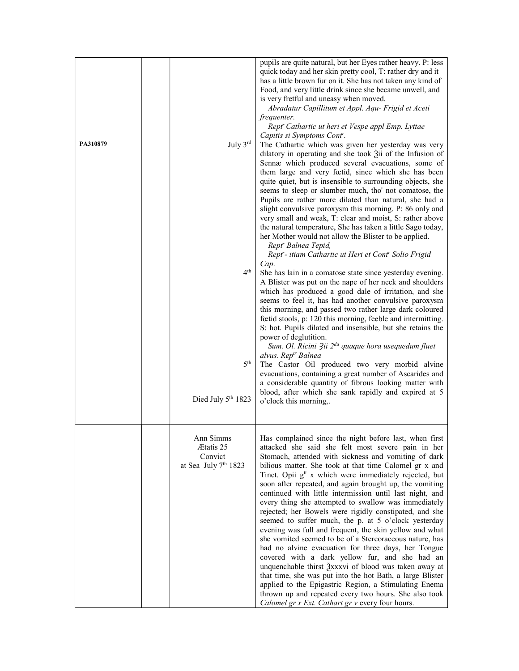| PA310879 | July 3rd<br>4 <sup>th</sup><br>5 <sup>th</sup><br>Died July 5th 1823  | pupils are quite natural, but her Eyes rather heavy. P: less<br>quick today and her skin pretty cool, T: rather dry and it<br>has a little brown fur on it. She has not taken any kind of<br>Food, and very little drink since she became unwell, and<br>is very fretful and uneasy when moved.<br>Abradatur Capillitum et Appl. Aqu- Frigid et Aceti<br>frequenter.<br>Rept' Cathartic ut heri et Vespe appl Emp. Lyttae<br>Capitis si Symptoms Cont <sup>r</sup> .<br>The Cathartic which was given her yesterday was very<br>dilatory in operating and she took $\tilde{a}$ ii of the Infusion of<br>Sennæ which produced several evacuations, some of<br>them large and very fœtid, since which she has been<br>quite quiet, but is insensible to surrounding objects, she<br>seems to sleep or slumber much, tho' not comatose, the<br>Pupils are rather more dilated than natural, she had a<br>slight convulsive paroxysm this morning. P: 86 only and<br>very small and weak, T: clear and moist, S: rather above<br>the natural temperature, She has taken a little Sago today,<br>her Mother would not allow the Blister to be applied.<br>Rept <sup>r</sup> Balnea Tepid,<br>Rept'- itiam Cathartic ut Heri et Cont' Solio Frigid<br>Cap.<br>She has lain in a comatose state since yesterday evening.<br>A Blister was put on the nape of her neck and shoulders<br>which has produced a good dale of irritation, and she<br>seems to feel it, has had another convulsive paroxysm<br>this morning, and passed two rather large dark coloured<br>fœtid stools, p: 120 this morning, feeble and intermitting.<br>S: hot. Pupils dilated and insensible, but she retains the<br>power of deglutition.<br>Sum. Ol. Ricini 3ii 2 <sup>da</sup> quaque hora usequedum fluet<br>alvus. Rep <sup>tr</sup> Balnea<br>The Castor Oil produced two very morbid alvine<br>evacuations, containing a great number of Ascarides and<br>a considerable quantity of fibrous looking matter with<br>blood, after which she sank rapidly and expired at 5<br>o'clock this morning,. |
|----------|-----------------------------------------------------------------------|--------------------------------------------------------------------------------------------------------------------------------------------------------------------------------------------------------------------------------------------------------------------------------------------------------------------------------------------------------------------------------------------------------------------------------------------------------------------------------------------------------------------------------------------------------------------------------------------------------------------------------------------------------------------------------------------------------------------------------------------------------------------------------------------------------------------------------------------------------------------------------------------------------------------------------------------------------------------------------------------------------------------------------------------------------------------------------------------------------------------------------------------------------------------------------------------------------------------------------------------------------------------------------------------------------------------------------------------------------------------------------------------------------------------------------------------------------------------------------------------------------------------------------------------------------------------------------------------------------------------------------------------------------------------------------------------------------------------------------------------------------------------------------------------------------------------------------------------------------------------------------------------------------------------------------------------------------------------------------------------------------------------------------------------------------------------------------|
|          | Ann Simms<br>Ætatis 25<br>Convict<br>at Sea July 7 <sup>th</sup> 1823 | Has complained since the night before last, when first<br>attacked she said she felt most severe pain in her<br>Stomach, attended with sickness and vomiting of dark<br>bilious matter. She took at that time Calomel gr x and<br>Tinct. Opii g <sup>tt</sup> x which were immediately rejected, but<br>soon after repeated, and again brought up, the vomiting<br>continued with little intermission until last night, and<br>every thing she attempted to swallow was immediately<br>rejected; her Bowels were rigidly constipated, and she<br>seemed to suffer much, the p. at 5 o'clock yesterday<br>evening was full and frequent, the skin yellow and what<br>she vomited seemed to be of a Stercoraceous nature, has<br>had no alvine evacuation for three days, her Tongue<br>covered with a dark yellow fur, and she had an<br>unquenchable thirst $\frac{3}{2}$ xxxvi of blood was taken away at<br>that time, she was put into the hot Bath, a large Blister<br>applied to the Epigastric Region, a Stimulating Enema<br>thrown up and repeated every two hours. She also took<br>Calomel gr x Ext. Cathart gr v every four hours.                                                                                                                                                                                                                                                                                                                                                                                                                                                                                                                                                                                                                                                                                                                                                                                                                                                                                                                                  |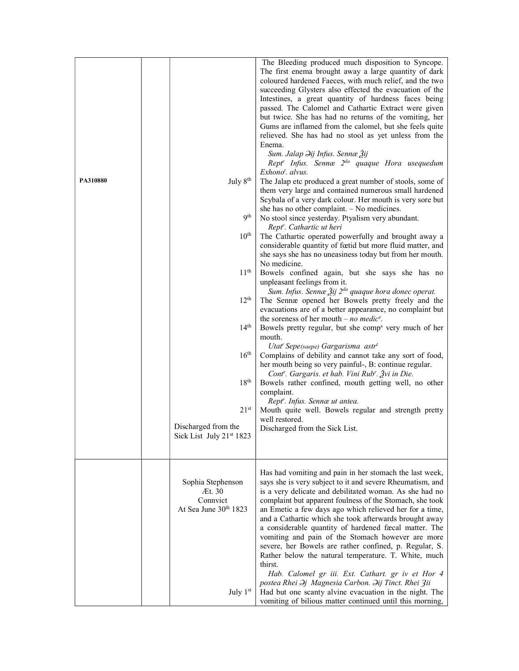| PA310880 | July $8th$<br>9 <sup>th</sup><br>$10^{\rm th}$<br>11 <sup>th</sup><br>$12^{\text{th}}$<br>14 <sup>th</sup><br>16 <sup>th</sup><br>18 <sup>th</sup><br>$21^{st}$<br>Discharged from the<br>Sick List July 21st 1823 | The first enema brought away a large quantity of dark<br>coloured hardened Faeces, with much relief, and the two<br>succeeding Glysters also effected the evacuation of the<br>Intestines, a great quantity of hardness faces being<br>passed. The Calomel and Cathartic Extract were given<br>but twice. She has had no returns of the vomiting, her<br>Gums are inflamed from the calomel, but she feels quite<br>relieved. She has had no stool as yet unless from the<br>Enema.<br>Sum. Jalap <i><del>J</del>ij Infus. Sennæ Žij</i><br>Rept <sup>r</sup> Infus. Sennæ 2 <sup>da</sup> quaque Hora usequedum<br>$Exhonot$ . alvus.<br>The Jalap etc produced a great number of stools, some of<br>them very large and contained numerous small hardened<br>Scybala of a very dark colour. Her mouth is very sore but<br>she has no other complaint. - No medicines.<br>No stool since yesterday. Ptyalism very abundant.<br>Rept <sup>r</sup> . Cathartic ut heri<br>The Cathartic operated powerfully and brought away a<br>considerable quantity of fœtid but more fluid matter, and<br>she says she has no uneasiness today but from her mouth.<br>No medicine.<br>Bowels confined again, but she says she has no<br>unpleasant feelings from it.<br>Sum. Infus. Sennæ Žij 2 <sup>da</sup> quaque hora donec operat.<br>The Sennæ opened her Bowels pretty freely and the<br>evacuations are of a better appearance, no complaint but<br>the soreness of her mouth – no medic <sup>e</sup> .<br>Bowels pretty regular, but she comp <sup>s</sup> very much of her<br>mouth.<br>Utat' Sepe(saepe) Gargarisma astr <sup>t</sup><br>Complains of debility and cannot take any sort of food,<br>her mouth being so very painful-, B: continue regular.<br>Cont <sup>r</sup> . Gargaris. et hab. Vini Rub <sup>r</sup> . Žvi in Die.<br>Bowels rather confined, mouth getting well, no other<br>complaint.<br>Rept'. Infus. Sennæ ut antea.<br>Mouth quite well. Bowels regular and strength pretty<br>well restored.<br>Discharged from the Sick List. |
|----------|--------------------------------------------------------------------------------------------------------------------------------------------------------------------------------------------------------------------|-----------------------------------------------------------------------------------------------------------------------------------------------------------------------------------------------------------------------------------------------------------------------------------------------------------------------------------------------------------------------------------------------------------------------------------------------------------------------------------------------------------------------------------------------------------------------------------------------------------------------------------------------------------------------------------------------------------------------------------------------------------------------------------------------------------------------------------------------------------------------------------------------------------------------------------------------------------------------------------------------------------------------------------------------------------------------------------------------------------------------------------------------------------------------------------------------------------------------------------------------------------------------------------------------------------------------------------------------------------------------------------------------------------------------------------------------------------------------------------------------------------------------------------------------------------------------------------------------------------------------------------------------------------------------------------------------------------------------------------------------------------------------------------------------------------------------------------------------------------------------------------------------------------------------------------------------------------------------------------------------------------------------------------------------------------|
|          | Sophia Stephenson<br>Æt. 30<br>Connvict<br>At Sea June 30th 1823<br>July 1st                                                                                                                                       | Has had vomiting and pain in her stomach the last week,<br>says she is very subject to it and severe Rheumatism, and<br>is a very delicate and debilitated woman. As she had no<br>complaint but apparent foulness of the Stomach, she took<br>an Emetic a few days ago which relieved her for a time,<br>and a Cathartic which she took afterwards brought away<br>a considerable quantity of hardened fæcal matter. The<br>vomiting and pain of the Stomach however are more<br>severe, her Bowels are rather confined, p. Regular, S.<br>Rather below the natural temperature. T. White, much<br>thirst.<br>Hab. Calomel gr iii. Ext. Cathart. gr iv et Hor 4<br>postea Rhei Əj Magnesia Carbon. Əij Tinct. Rhei Zii<br>Had but one scanty alvine evacuation in the night. The<br>vomiting of bilious matter continued until this morning,                                                                                                                                                                                                                                                                                                                                                                                                                                                                                                                                                                                                                                                                                                                                                                                                                                                                                                                                                                                                                                                                                                                                                                                                             |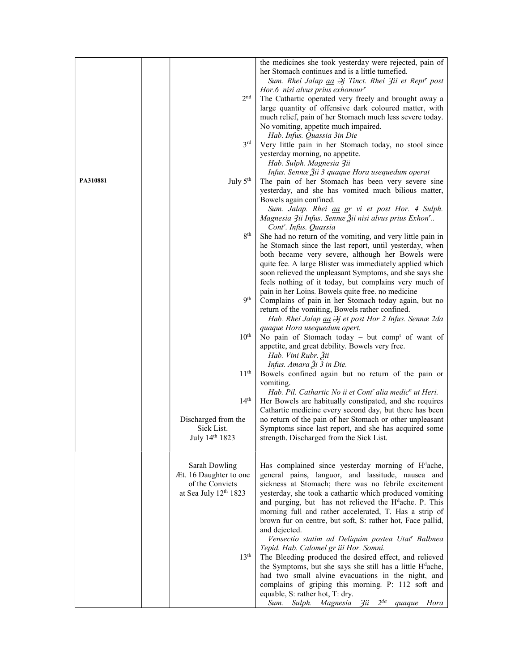|          |                        | the medicines she took yesterday were rejected, pain of                |
|----------|------------------------|------------------------------------------------------------------------|
|          |                        | her Stomach continues and is a little tumefied.                        |
|          |                        | Sum. Rhei Jalap aa $\partial j$ Tinct. Rhei 3ii et Rept' post          |
|          |                        | Hor.6 nisi alvus prius exhonour <sup>r</sup>                           |
|          | 2 <sup>nd</sup>        | The Cathartic operated very freely and brought away a                  |
|          |                        | large quantity of offensive dark coloured matter, with                 |
|          |                        |                                                                        |
|          |                        | much relief, pain of her Stomach much less severe today.               |
|          |                        | No vomiting, appetite much impaired.                                   |
|          |                        | Hab. Infus. Quassia 3in Die                                            |
|          | 3 <sup>rd</sup>        | Very little pain in her Stomach today, no stool since                  |
|          |                        | yesterday morning, no appetite.                                        |
|          |                        | Hab. Sulph. Magnesia Zii                                               |
|          |                        | Infus. Sennæ Žii 3 quaque Hora usequedum operat                        |
| PA310881 | July $5th$             | The pain of her Stomach has been very severe sine                      |
|          |                        |                                                                        |
|          |                        | yesterday, and she has vomited much bilious matter,                    |
|          |                        | Bowels again confined.                                                 |
|          |                        | Sum. Jalap. Rhei aa gr vi et post Hor. 4 Sulph.                        |
|          |                        | Magnesia 3ii Infus. Sennæ Žii nisi alvus prius Exhon'                  |
|          |                        | Cont <sup>r</sup> . Infus. Quassia                                     |
|          | 8 <sup>th</sup>        | She had no return of the vomiting, and very little pain in             |
|          |                        | he Stomach since the last report, until yesterday, when                |
|          |                        | both became very severe, although her Bowels were                      |
|          |                        |                                                                        |
|          |                        | quite fee. A large Blister was immediately applied which               |
|          |                        | soon relieved the unpleasant Symptoms, and she says she                |
|          |                        | feels nothing of it today, but complains very much of                  |
|          |                        | pain in her Loins. Bowels quite free. no medicine                      |
|          | 9 <sup>th</sup>        | Complains of pain in her Stomach today again, but no                   |
|          |                        | return of the vomiting, Bowels rather confined.                        |
|          |                        | Hab. Rhei Jalap aa $\partial j$ et post Hor 2 Infus. Sennæ 2da         |
|          |                        |                                                                        |
|          |                        | quaque Hora usequedum opert.                                           |
|          | $10^{\rm th}$          | No pain of Stomach today – but comp <sup>t</sup> of want of            |
|          |                        | appetite, and great debility. Bowels very free.                        |
|          |                        | Hab. Vini Rubr. Žii                                                    |
|          |                        | Infus. Amara Ѯi 3 in Die.                                              |
|          | 11 <sup>th</sup>       | Bowels confined again but no return of the pain or                     |
|          |                        | vomiting.                                                              |
|          |                        | Hab. Pil. Cathartic No ii et Cont' alia medic <sup>n</sup> ut Heri.    |
|          | $14^{\text{th}}$       | Her Bowels are habitually constipated, and she requires                |
|          |                        |                                                                        |
|          |                        | Cathartic medicine every second day, but there has been                |
|          | Discharged from the    | no return of the pain of her Stomach or other unpleasant               |
|          | Sick List.             | Symptoms since last report, and she has acquired some                  |
|          | July 14th 1823         | strength. Discharged from the Sick List.                               |
|          |                        |                                                                        |
|          |                        |                                                                        |
|          | Sarah Dowling          | Has complained since yesterday morning of H <sup>d</sup> ache,         |
|          | Æt. 16 Daughter to one | general pains, languor, and lassitude, nausea and                      |
|          |                        |                                                                        |
|          | of the Convicts        | sickness at Stomach; there was no febrile excitement                   |
|          | at Sea July 12th 1823  | yesterday, she took a cathartic which produced vomiting                |
|          |                        | and purging, but has not relieved the H <sup>d</sup> ache. P. This     |
|          |                        | morning full and rather accelerated, T. Has a strip of                 |
|          |                        | brown fur on centre, but soft, S: rather hot, Face pallid,             |
|          |                        | and dejected.                                                          |
|          |                        | Vensectio statim ad Deliquim postea Utat <sup>r</sup> Balbnea          |
|          |                        | Tepid. Hab. Calomel gr iii Hor. Somni.                                 |
|          |                        |                                                                        |
|          | 13 <sup>th</sup>       | The Bleeding produced the desired effect, and relieved                 |
|          |                        | the Symptoms, but she says she still has a little H <sup>d</sup> ache, |
|          |                        | had two small alvine evacuations in the night, and                     |
|          |                        | complains of griping this morning. P: 112 soft and                     |
|          |                        | equable, S: rather hot, T: dry.                                        |
|          |                        | Sum. Sulph. Magnesia 3ii 2 <sup>da</sup><br>quaque Hora                |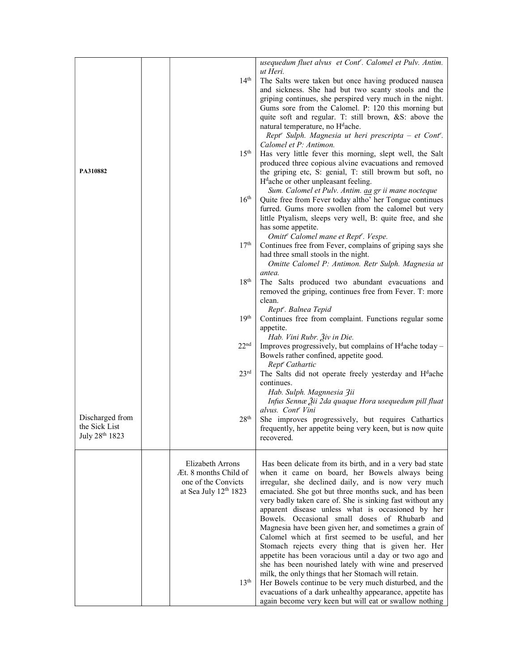|                                                    | 14 <sup>th</sup>                                                                                                     | usequedum fluet alvus et Cont'. Calomel et Pulv. Antim.<br>ut Heri.<br>The Salts were taken but once having produced nausea<br>and sickness. She had but two scanty stools and the<br>griping continues, she perspired very much in the night.<br>Gums sore from the Calomel. P: 120 this morning but<br>quite soft and regular. T: still brown, &S: above the<br>natural temperature, no H <sup>d</sup> ache.<br>Rept' Sulph. Magnesia ut heri prescripta - et Cont'.                                                                                                                                                                                                                                                                                                                                                                                                 |
|----------------------------------------------------|----------------------------------------------------------------------------------------------------------------------|------------------------------------------------------------------------------------------------------------------------------------------------------------------------------------------------------------------------------------------------------------------------------------------------------------------------------------------------------------------------------------------------------------------------------------------------------------------------------------------------------------------------------------------------------------------------------------------------------------------------------------------------------------------------------------------------------------------------------------------------------------------------------------------------------------------------------------------------------------------------|
| PA310882                                           | 15 <sup>th</sup>                                                                                                     | Calomel et P: Antimon.<br>Has very little fever this morning, slept well, the Salt<br>produced three copious alvine evacuations and removed<br>the griping etc, S: genial, T: still browm but soft, no<br>$Hdache$ or other unpleasant feeling.                                                                                                                                                                                                                                                                                                                                                                                                                                                                                                                                                                                                                        |
|                                                    | $16^{\rm th}$                                                                                                        | Sum. Calomel et Pulv. Antim. aa gr ii mane nocteque<br>Quite free from Fever today altho' her Tongue continues<br>furred. Gums more swollen from the calomel but very<br>little Ptyalism, sleeps very well, B: quite free, and she<br>has some appetite.                                                                                                                                                                                                                                                                                                                                                                                                                                                                                                                                                                                                               |
|                                                    | 17 <sup>th</sup>                                                                                                     | Omitt <sup>e</sup> Calomel mane et Rept <sup>r</sup> . Vespe.<br>Continues free from Fever, complains of griping says she<br>had three small stools in the night.<br>Omitte Calomel P: Antimon. Retr Sulph. Magnesia ut<br>antea.                                                                                                                                                                                                                                                                                                                                                                                                                                                                                                                                                                                                                                      |
|                                                    | 18 <sup>th</sup>                                                                                                     | The Salts produced two abundant evacuations and<br>removed the griping, continues free from Fever. T: more<br>clean.                                                                                                                                                                                                                                                                                                                                                                                                                                                                                                                                                                                                                                                                                                                                                   |
|                                                    | 19 <sup>th</sup>                                                                                                     | Rept'. Balnea Tepid<br>Continues free from complaint. Functions regular some<br>appetite.                                                                                                                                                                                                                                                                                                                                                                                                                                                                                                                                                                                                                                                                                                                                                                              |
|                                                    | 22 <sup>nd</sup>                                                                                                     | Hab. Vini Rubr. Živ in Die.<br>Improves progressively, but complains of $Hdache today -$<br>Bowels rather confined, appetite good.                                                                                                                                                                                                                                                                                                                                                                                                                                                                                                                                                                                                                                                                                                                                     |
|                                                    | 23 <sup>rd</sup>                                                                                                     | Rept <sup>r</sup> Cathartic<br>The Salts did not operate freely yesterday and H <sup>d</sup> ache<br>continues.<br>Hab. Sulph. Magnnesia 3ii                                                                                                                                                                                                                                                                                                                                                                                                                                                                                                                                                                                                                                                                                                                           |
|                                                    |                                                                                                                      | Infus Sennæ Žii 2da quaque Hora usequedum pill fluat<br>alvus. Cont' Vini                                                                                                                                                                                                                                                                                                                                                                                                                                                                                                                                                                                                                                                                                                                                                                                              |
| Discharged from<br>the Sick List<br>July 28th 1823 | 28 <sup>th</sup>                                                                                                     | She improves progressively, but requires Cathartics<br>frequently, her appetite being very keen, but is now quite<br>recovered.                                                                                                                                                                                                                                                                                                                                                                                                                                                                                                                                                                                                                                                                                                                                        |
|                                                    | <b>Elizabeth Arrons</b><br>Æt. 8 months Child of<br>one of the Convicts<br>at Sea July 12th 1823<br>13 <sup>th</sup> | Has been delicate from its birth, and in a very bad state<br>when it came on board, her Bowels always being<br>irregular, she declined daily, and is now very much<br>emaciated. She got but three months suck, and has been<br>very badly taken care of. She is sinking fast without any<br>apparent disease unless what is occasioned by her<br>Bowels. Occasional small doses of Rhubarb and<br>Magnesia have been given her, and sometimes a grain of<br>Calomel which at first seemed to be useful, and her<br>Stomach rejects every thing that is given her. Her<br>appetite has been voracious until a day or two ago and<br>she has been nourished lately with wine and preserved<br>milk, the only things that her Stomach will retain.<br>Her Bowels continue to be very much disturbed, and the<br>evacuations of a dark unhealthy appearance, appetite has |
|                                                    |                                                                                                                      | again become very keen but will eat or swallow nothing                                                                                                                                                                                                                                                                                                                                                                                                                                                                                                                                                                                                                                                                                                                                                                                                                 |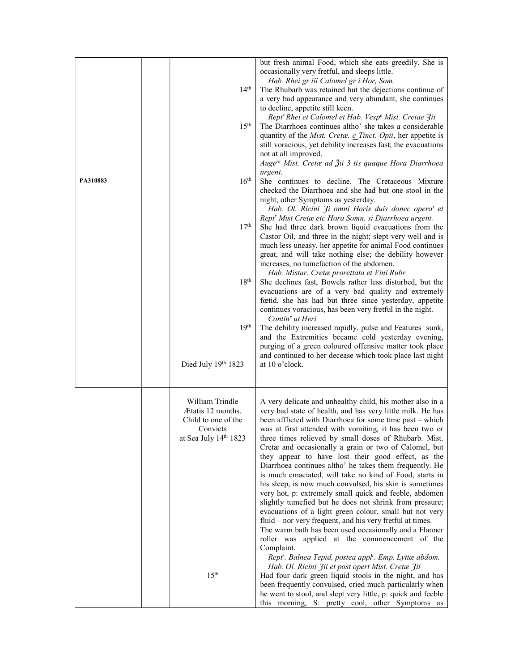|          |                                      | but fresh animal Food, which she eats greedily. She is<br>occasionally very fretful, and sleeps little.<br>Hab. Rhei gr iii Calomel gr i Hor, Som.                                |
|----------|--------------------------------------|-----------------------------------------------------------------------------------------------------------------------------------------------------------------------------------|
|          | 14 <sup>th</sup>                     | The Rhubarb was retained but the dejections continue of<br>a very bad appearance and very abundant, she continues                                                                 |
|          |                                      | to decline, appetite still keen.<br>Rept' Rhei et Calomel et Hab. Vesp <sup>e</sup> Mist. Cretae 3ii                                                                              |
|          | 15 <sup>th</sup>                     | The Diarrhoea continues altho' she takes a considerable<br>quantity of the Mist. Cretæ. c Tinct. Opii, her appetite is                                                            |
|          |                                      | still voracious, yet debility increases fast; the evacuations<br>not at all improved.                                                                                             |
|          |                                      | Auge <sup>re</sup> Mist. Cretæ ad Žii 3 tis quaque Hora Diarrhoea<br>urgent.                                                                                                      |
| PA310883 | 16 <sup>th</sup>                     | She continues to decline. The Cretaceous Mixture<br>checked the Diarrhoea and she had but one stool in the                                                                        |
|          |                                      | night, other Symptoms as yesterday.<br>Hab. Ol. Ricini 3i omni Horis duis donec opera <sup>t</sup> et                                                                             |
|          | 17 <sup>th</sup>                     | Rept' Mist Cretæ etc Hora Somn. si Diarrhoea urgent.<br>She had three dark brown liquid evacuations from the                                                                      |
|          |                                      | Castor Oil, and three in the night; slept very well and is<br>much less uneasy, her appetite for animal Food continues                                                            |
|          |                                      | great, and will take nothing else; the debility however<br>increases, no tumefaction of the abdomen.                                                                              |
|          | 18 <sup>th</sup>                     | Hab. Mistur. Cretæ prorettata et Vini Rubr.<br>She declines fast, Bowels rather less disturbed, but the                                                                           |
|          |                                      | evacuations are of a very bad quality and extremely<br>fœtid, she has had but three since yesterday, appetite                                                                     |
|          |                                      | continues voracious, has been very fretful in the night.<br>Contin <sup>r</sup> ut Heri                                                                                           |
|          | 19 <sup>th</sup>                     | The debility increased rapidly, pulse and Features sunk,<br>and the Extremities became cold yesterday evening,                                                                    |
|          |                                      | purging of a green coloured offensive matter took place<br>and continued to her decease which took place last night                                                               |
|          | Died July 19th 1823                  | at 10 o'clock.                                                                                                                                                                    |
|          | William Trindle<br>Ætatis 12 months. | A very delicate and unhealthy child, his mother also in a                                                                                                                         |
|          | Child to one of the<br>Convicts      | very bad state of health, and has very little milk. He has<br>been afflicted with Diarrhoea for some time past – which<br>was at first attended with vomiting, it has been two or |
|          | at Sea July 14th 1823                | three times relieved by small doses of Rhubarb. Mist.<br>Cretæ and occasionally a grain or two of Calomel, but                                                                    |
|          |                                      | they appear to have lost their good effect, as the                                                                                                                                |
|          |                                      | Diarrhoea continues altho' he takes them frequently. He<br>is much emaciated, will take no kind of Food, starts in                                                                |
|          |                                      | his sleep, is now much convulsed, his skin is sometimes<br>very hot, p: extremely small quick and feeble, abdomen                                                                 |
|          |                                      | slightly tumefied but he does not shrink from pressure;<br>evacuations of a light green colour, small but not very                                                                |
|          |                                      | fluid – nor very frequent, and his very fretful at times.<br>The warm bath has been used occasionally and a Flanner<br>roller was applied at the commencement of the              |
|          |                                      | Complaint.<br>Rept". Balnea Tepid, postea appl". Emp. Lyttæ abdom.                                                                                                                |
|          | 15 <sup>th</sup>                     | Hab. Ol. Ricini 3ii et post opert Mist. Cretæ 3ii<br>Had four dark green liquid stools in the night, and has                                                                      |
|          |                                      | been frequently convulsed, cried much particularly when<br>he went to stool, and slept very little, p: quick and feeble                                                           |
|          |                                      | this morning, S: pretty cool, other Symptoms as                                                                                                                                   |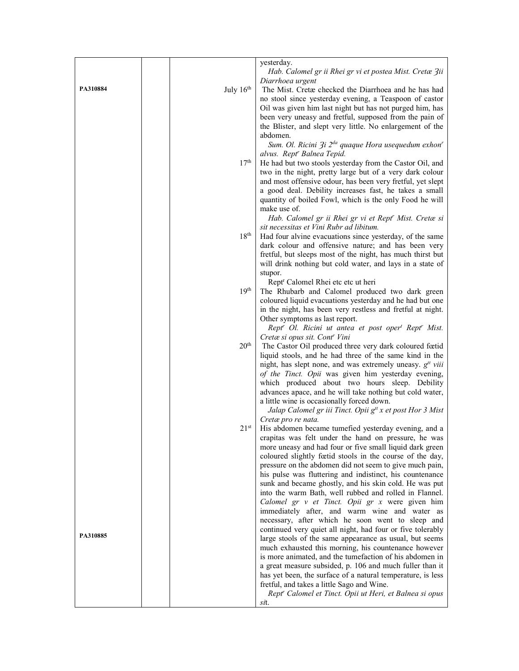|          |                  | yesterday.                                                                                                        |
|----------|------------------|-------------------------------------------------------------------------------------------------------------------|
|          |                  | Hab. Calomel gr ii Rhei gr vi et postea Mist. Cretæ Zii                                                           |
| PA310884 | July $16th$      | Diarrhoea urgent<br>The Mist. Cretæ checked the Diarrhoea and he has had                                          |
|          |                  | no stool since yesterday evening, a Teaspoon of castor                                                            |
|          |                  | Oil was given him last night but has not purged him, has                                                          |
|          |                  | been very uneasy and fretful, supposed from the pain of                                                           |
|          |                  | the Blister, and slept very little. No enlargement of the                                                         |
|          |                  | abdomen.<br>Sum. Ol. Ricini 3i 2 <sup>da</sup> quaque Hora usequedum exhon <sup>r</sup>                           |
|          |                  | alvus. Rept <sup>r</sup> Balnea Tepid.                                                                            |
|          | 17 <sup>th</sup> | He had but two stools yesterday from the Castor Oil, and                                                          |
|          |                  | two in the night, pretty large but of a very dark colour                                                          |
|          |                  | and most offensive odour, has been very fretful, yet slept                                                        |
|          |                  | a good deal. Debility increases fast, he takes a small<br>quantity of boiled Fowl, which is the only Food he will |
|          |                  | make use of.                                                                                                      |
|          |                  | Hab. Calomel gr ii Rhei gr vi et Rept' Mist. Cretæ si                                                             |
|          |                  | sit necessitas et Vini Rubr ad libitum.                                                                           |
|          | 18 <sup>th</sup> | Had four alvine evacuations since yesterday, of the same                                                          |
|          |                  | dark colour and offensive nature; and has been very<br>fretful, but sleeps most of the night, has much thirst but |
|          |                  | will drink nothing but cold water, and lays in a state of                                                         |
|          |                  | stupor.                                                                                                           |
|          |                  | Rept <sup>r</sup> Calomel Rhei etc etc ut heri                                                                    |
|          | 19 <sup>th</sup> | The Rhubarb and Calomel produced two dark green<br>coloured liquid evacuations yesterday and he had but one       |
|          |                  | in the night, has been very restless and fretful at night.                                                        |
|          |                  | Other symptoms as last report.                                                                                    |
|          |                  | Rept <sup>r</sup> Ol. Ricini ut antea et post oper <sup>t</sup> Rept <sup>r</sup> Mist.                           |
|          | 20 <sup>th</sup> | Cretæ si opus sit. Cont <sup>r</sup> Vini                                                                         |
|          |                  | The Castor Oil produced three very dark coloured fœtid<br>liquid stools, and he had three of the same kind in the |
|          |                  | night, has slept none, and was extremely uneasy. $gtt viii$                                                       |
|          |                  | of the Tinct. Opii was given him yesterday evening,                                                               |
|          |                  | which produced about two hours sleep. Debility                                                                    |
|          |                  | advances apace, and he will take nothing but cold water,<br>a little wine is occasionally forced down.            |
|          |                  | Jalap Calomel gr iii Tinct. Opii g <sup>tt</sup> x et post Hor 3 Mist                                             |
|          |                  | Cretæ pro re nata.                                                                                                |
|          | $21^{\rm st}$    | His abdomen became tumefied yesterday evening, and a                                                              |
|          |                  | crapitas was felt under the hand on pressure, he was<br>more uneasy and had four or five small liquid dark green  |
|          |                  | coloured slightly fœtid stools in the course of the day,                                                          |
|          |                  | pressure on the abdomen did not seem to give much pain,                                                           |
|          |                  | his pulse was fluttering and indistinct, his countenance                                                          |
|          |                  | sunk and became ghostly, and his skin cold. He was put                                                            |
|          |                  | into the warm Bath, well rubbed and rolled in Flannel.<br>Calomel gr v et Tinct. Opii gr x were given him         |
|          |                  | immediately after, and warm wine and water as                                                                     |
|          |                  | necessary, after which he soon went to sleep and                                                                  |
| PA310885 |                  | continued very quiet all night, had four or five tolerably                                                        |
|          |                  | large stools of the same appearance as usual, but seems<br>much exhausted this morning, his countenance however   |
|          |                  | is more animated, and the tumefaction of his abdomen in                                                           |
|          |                  | a great measure subsided, p. 106 and much fuller than it                                                          |
|          |                  | has yet been, the surface of a natural temperature, is less                                                       |
|          |                  | fretful, and takes a little Sago and Wine.<br>Rept <sup>r</sup> Calomel et Tinct. Opii ut Heri, et Balnea si opus |
|          |                  | sit.                                                                                                              |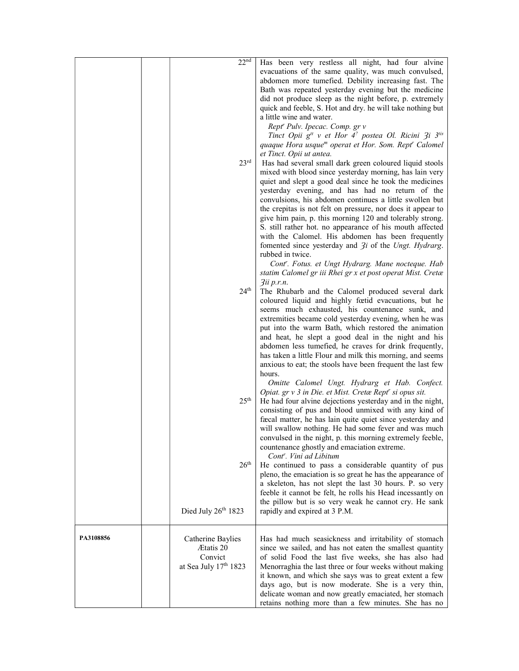|           | 22 <sup>nd</sup>      | Has been very restless all night, had four alvine                                                          |
|-----------|-----------------------|------------------------------------------------------------------------------------------------------------|
|           |                       | evacuations of the same quality, was much convulsed,                                                       |
|           |                       | abdomen more tumefied. Debility increasing fast. The                                                       |
|           |                       | Bath was repeated yesterday evening but the medicine                                                       |
|           |                       | did not produce sleep as the night before, p. extremely                                                    |
|           |                       | quick and feeble, S. Hot and dry. he will take nothing but                                                 |
|           |                       | a little wine and water.                                                                                   |
|           |                       | Rept' Pulv. Ipecac. Comp. gr v                                                                             |
|           |                       | Tinct Opii g <sup>tt</sup> v et Hor 4 <sup>2</sup> postea Ol. Ricini 3i 3 <sup>tis</sup>                   |
|           |                       | quaque Hora usque <sup>m</sup> operat et Hor. Som. Rept <sup>r</sup> Calomel                               |
|           |                       | et Tinct. Opii ut antea.                                                                                   |
|           | 23 <sup>rd</sup>      | Has had several small dark green coloured liquid stools                                                    |
|           |                       | mixed with blood since yesterday morning, has lain very                                                    |
|           |                       | quiet and slept a good deal since he took the medicines<br>yesterday evening, and has had no return of the |
|           |                       | convulsions, his abdomen continues a little swollen but                                                    |
|           |                       | the crepitas is not felt on pressure, nor does it appear to                                                |
|           |                       | give him pain, p. this morning 120 and tolerably strong.                                                   |
|           |                       | S. still rather hot. no appearance of his mouth affected                                                   |
|           |                       | with the Calomel. His abdomen has been frequently                                                          |
|           |                       | fomented since yesterday and $3i$ of the Ungt. Hydrarg.                                                    |
|           |                       | rubbed in twice.                                                                                           |
|           |                       | Cont''. Fotus. et Ungt Hydrarg. Mane nocteque. Hab                                                         |
|           |                       | statim Calomel gr iii Rhei gr x et post operat Mist. Cretæ                                                 |
|           |                       | 3ii p.r.n.                                                                                                 |
|           | 24 <sup>th</sup>      | The Rhubarb and the Calomel produced several dark                                                          |
|           |                       | coloured liquid and highly fœtid evacuations, but he                                                       |
|           |                       | seems much exhausted, his countenance sunk, and                                                            |
|           |                       | extremities became cold yesterday evening, when he was                                                     |
|           |                       | put into the warm Bath, which restored the animation                                                       |
|           |                       | and heat, he slept a good deal in the night and his                                                        |
|           |                       | abdomen less tumefied, he craves for drink frequently,                                                     |
|           |                       | has taken a little Flour and milk this morning, and seems                                                  |
|           |                       | anxious to eat; the stools have been frequent the last few<br>hours.                                       |
|           |                       | Omitte Calomel Ungt. Hydrarg et Hab. Confect.                                                              |
|           |                       | Opiat. gr v 3 in Die. et Mist. Cretæ Rept' si opus sit.                                                    |
|           | 25 <sup>th</sup>      | He had four alvine dejections yesterday and in the night,                                                  |
|           |                       | consisting of pus and blood unmixed with any kind of                                                       |
|           |                       | fæcal matter, he has lain quite quiet since yesterday and                                                  |
|           |                       | will swallow nothing. He had some fever and was much                                                       |
|           |                       | convulsed in the night, p. this morning extremely feeble,                                                  |
|           |                       | countenance ghostly and emaciation extreme.                                                                |
|           |                       | Cont <sup>r</sup> . Vini ad Libitum                                                                        |
|           | 26 <sup>th</sup>      | He continued to pass a considerable quantity of pus                                                        |
|           |                       | pleno, the emaciation is so great he has the appearance of                                                 |
|           |                       | a skeleton, has not slept the last 30 hours. P. so very                                                    |
|           |                       | feeble it cannot be felt, he rolls his Head incessantly on                                                 |
|           |                       | the pillow but is so very weak he cannot cry. He sank                                                      |
|           | Died July 26th 1823   | rapidly and expired at 3 P.M.                                                                              |
| PA3108856 | Catherine Baylies     | Has had much seasickness and irritability of stomach                                                       |
|           | Ætatis 20             | since we sailed, and has not eaten the smallest quantity                                                   |
|           | Convict               | of solid Food the last five weeks, she has also had                                                        |
|           | at Sea July 17th 1823 | Menorraghia the last three or four weeks without making                                                    |
|           |                       | it known, and which she says was to great extent a few                                                     |
|           |                       | days ago, but is now moderate. She is a very thin,                                                         |
|           |                       | delicate woman and now greatly emaciated, her stomach                                                      |
|           |                       | retains nothing more than a few minutes. She has no                                                        |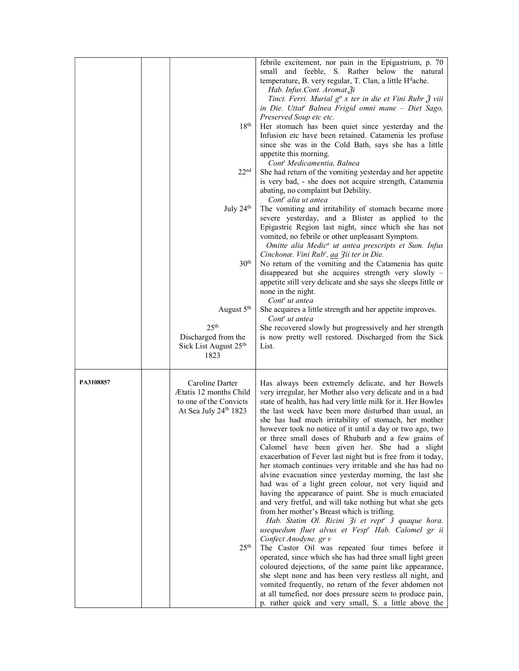|           | 18 <sup>th</sup><br>22 <sup>nd</sup><br>July $24th$<br>30 <sup>th</sup><br>August 5 <sup>th</sup><br>25 <sup>th</sup><br>Discharged from the<br>Sick List August 25 <sup>th</sup> | febrile excitement, nor pain in the Epigastrium, p. 70<br>small and feeble, S. Rather below the natural<br>temperature, B. very regular, T. Clan, a little H <sup>d</sup> ache.<br>Hab. Infus.Cont. Aromat.3i<br>Tinct. Ferri. Murial g <sup>tt</sup> x ter in die et Vini Rubr 3 viii<br>in Die. Uttat' Balnea Frigid omni mane - Diet Sago,<br>Preserved Soup etc etc.<br>Her stomach has been quiet since yesterday and the<br>Infusion etc have been retained. Catamenia les profuse<br>since she was in the Cold Bath, says she has a little<br>appetite this morning.<br>Cont' Medicamentia, Balnea<br>She had return of the vomiting yesterday and her appetite<br>is very bad, - she does not acquire strength, Catamenia<br>abating, no complaint but Debility.<br>Cont <sup>r</sup> alia ut antea<br>The vomiting and irritability of stomach became more<br>severe yesterday, and a Blister as applied to the<br>Epigastric Region last night, since which she has not<br>vomited, no febrile or other unpleasant Symptom.<br>Omitte alia Medic <sup>a</sup> ut antea prescripts et Sum. Infus<br>Cinchonæ. Vini Rub', aa 3ii ter in Die.<br>No return of the vomiting and the Catamenia has quite<br>disappeared but she acquires strength very slowly -<br>appetite still very delicate and she says she sleeps little or<br>none in the night.<br>Cont <sup>r</sup> ut antea<br>She acquires a little strength and her appetite improves.<br>Cont <sup>r</sup> ut antea<br>She recovered slowly but progressively and her strength<br>is now pretty well restored. Discharged from the Sick<br>List. |
|-----------|-----------------------------------------------------------------------------------------------------------------------------------------------------------------------------------|--------------------------------------------------------------------------------------------------------------------------------------------------------------------------------------------------------------------------------------------------------------------------------------------------------------------------------------------------------------------------------------------------------------------------------------------------------------------------------------------------------------------------------------------------------------------------------------------------------------------------------------------------------------------------------------------------------------------------------------------------------------------------------------------------------------------------------------------------------------------------------------------------------------------------------------------------------------------------------------------------------------------------------------------------------------------------------------------------------------------------------------------------------------------------------------------------------------------------------------------------------------------------------------------------------------------------------------------------------------------------------------------------------------------------------------------------------------------------------------------------------------------------------------------------------------------------------------------------------------------|
| PA3108857 | 1823<br>Caroline Darter<br>Ætatis 12 months Child<br>to one of the Convicts<br>At Sea July 24th 1823<br>25 <sup>th</sup>                                                          | Has always been extremely delicate, and her Bowels<br>very irregular, her Mother also very delicate and in a bad<br>state of health, has had very little milk for it. Her Bowles<br>the last week have been more disturbed than usual, an<br>she has had much irritability of stomach, her mother<br>however took no notice of it until a day or two ago, two<br>or three small doses of Rhubarb and a few grains of<br>Calomel have been given her. She had a slight<br>exacerbation of Fever last night but is free from it today,<br>her stomach continues very irritable and she has had no<br>alvine evacuation since yesterday morning, the last she<br>had was of a light green colour, not very liquid and<br>having the appearance of paint. She is much emaciated<br>and very fretful, and will take nothing but what she gets<br>from her mother's Breast which is trifling.<br>Hab. Statim Ol. Ricini 3i et rept <sup>r</sup> 3 quaque hora.<br>usequedum fluet alvus et Vesp <sup>e</sup> Hab. Calomel gr ii<br>Confect Anodyne. gr v<br>The Castor Oil was repeated four times before it<br>operated, since which she has had three small light green<br>coloured dejections, of the same paint like appearance,<br>she slept none and has been very restless all night, and<br>vomited frequently, no return of the fever abdomen not<br>at all tumefied, nor does pressure seem to produce pain,<br>p. rather quick and very small, S. a little above the                                                                                                                                          |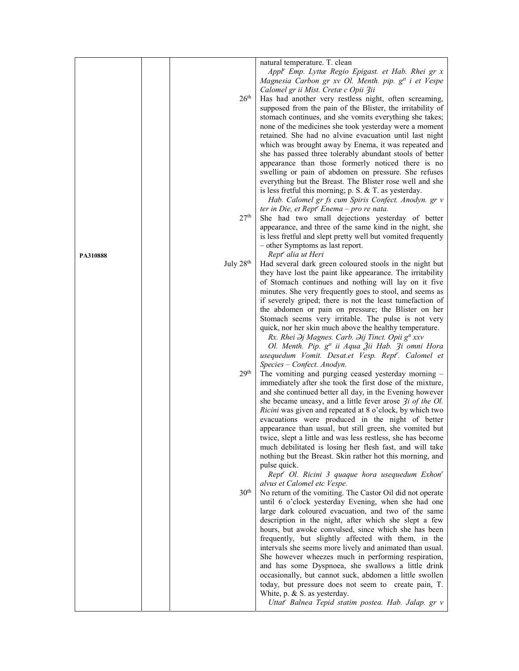| Appl' Emp. Lyttæ Regio Epigast. et Hab. Rhei gr x<br>Magnesia Carbon gr xv Ol. Menth. pip. g <sup>tt</sup> i et Vespe<br>Calomel gr ii Mist. Cretæ c Opii 3ii<br>26 <sup>th</sup><br>Has had another very restless night, often screaming,<br>supposed from the pain of the Blister, the irritability of<br>stomach continues, and she vomits everything she takes;<br>none of the medicines she took yesterday were a moment<br>retained. She had no alvine evacuation until last night<br>which was brought away by Enema, it was repeated and<br>she has passed three tolerably abundant stools of better<br>appearance than those formerly noticed there is no<br>swelling or pain of abdomen on pressure. She refuses<br>everything but the Breast. The Blister rose well and she<br>is less fretful this morning; $p. S. & T.$ as yesterday.<br>Hab. Calomel gr fs cum Spiris Confect. Anodyn. gr v<br>ter in Die, et Rept' Enema - pro re nata.<br>27 <sup>th</sup><br>She had two small dejections yesterday of better<br>appearance, and three of the same kind in the night, she<br>is less fretful and slept pretty well but vomited frequently<br>- other Symptoms as last report.<br>Rept <sup>r</sup> alia ut Heri<br>PA310888<br>July 28th<br>Had several dark green coloured stools in the night but<br>they have lost the paint like appearance. The irritability<br>of Stomach continues and nothing will lay on it five<br>minutes. She very frequently goes to stool, and seems as<br>if severely griped; there is not the least tumefaction of<br>the abdomen or pain on pressure; the Blister on her<br>Stomach seems very irritable. The pulse is not very<br>quick, nor her skin much above the healthy temperature.<br>Rx. Rhei Əj Magnes. Carb. Əij Tinct. Opii g <sup>#</sup> xxv<br>Ol. Menth. Pip. g <sup>tt</sup> ii Aqua Žii Hab. 3i omni Hora<br>usequedum Vomit. Desat.et Vesp. Rept'. Calomel et<br>Species - Confect. Anodyn.<br>29 <sup>th</sup><br>The vomiting and purging ceased yesterday morning -<br>immediately after she took the first dose of the mixture, |  | natural temperature. T. clean                            |
|----------------------------------------------------------------------------------------------------------------------------------------------------------------------------------------------------------------------------------------------------------------------------------------------------------------------------------------------------------------------------------------------------------------------------------------------------------------------------------------------------------------------------------------------------------------------------------------------------------------------------------------------------------------------------------------------------------------------------------------------------------------------------------------------------------------------------------------------------------------------------------------------------------------------------------------------------------------------------------------------------------------------------------------------------------------------------------------------------------------------------------------------------------------------------------------------------------------------------------------------------------------------------------------------------------------------------------------------------------------------------------------------------------------------------------------------------------------------------------------------------------------------------------------------------------------------------------------------------------------------------------------------------------------------------------------------------------------------------------------------------------------------------------------------------------------------------------------------------------------------------------------------------------------------------------------------------------------------------------------------------------------------------------------------------------------------------------------------------------|--|----------------------------------------------------------|
|                                                                                                                                                                                                                                                                                                                                                                                                                                                                                                                                                                                                                                                                                                                                                                                                                                                                                                                                                                                                                                                                                                                                                                                                                                                                                                                                                                                                                                                                                                                                                                                                                                                                                                                                                                                                                                                                                                                                                                                                                                                                                                          |  |                                                          |
|                                                                                                                                                                                                                                                                                                                                                                                                                                                                                                                                                                                                                                                                                                                                                                                                                                                                                                                                                                                                                                                                                                                                                                                                                                                                                                                                                                                                                                                                                                                                                                                                                                                                                                                                                                                                                                                                                                                                                                                                                                                                                                          |  |                                                          |
|                                                                                                                                                                                                                                                                                                                                                                                                                                                                                                                                                                                                                                                                                                                                                                                                                                                                                                                                                                                                                                                                                                                                                                                                                                                                                                                                                                                                                                                                                                                                                                                                                                                                                                                                                                                                                                                                                                                                                                                                                                                                                                          |  |                                                          |
|                                                                                                                                                                                                                                                                                                                                                                                                                                                                                                                                                                                                                                                                                                                                                                                                                                                                                                                                                                                                                                                                                                                                                                                                                                                                                                                                                                                                                                                                                                                                                                                                                                                                                                                                                                                                                                                                                                                                                                                                                                                                                                          |  |                                                          |
|                                                                                                                                                                                                                                                                                                                                                                                                                                                                                                                                                                                                                                                                                                                                                                                                                                                                                                                                                                                                                                                                                                                                                                                                                                                                                                                                                                                                                                                                                                                                                                                                                                                                                                                                                                                                                                                                                                                                                                                                                                                                                                          |  |                                                          |
|                                                                                                                                                                                                                                                                                                                                                                                                                                                                                                                                                                                                                                                                                                                                                                                                                                                                                                                                                                                                                                                                                                                                                                                                                                                                                                                                                                                                                                                                                                                                                                                                                                                                                                                                                                                                                                                                                                                                                                                                                                                                                                          |  |                                                          |
|                                                                                                                                                                                                                                                                                                                                                                                                                                                                                                                                                                                                                                                                                                                                                                                                                                                                                                                                                                                                                                                                                                                                                                                                                                                                                                                                                                                                                                                                                                                                                                                                                                                                                                                                                                                                                                                                                                                                                                                                                                                                                                          |  |                                                          |
|                                                                                                                                                                                                                                                                                                                                                                                                                                                                                                                                                                                                                                                                                                                                                                                                                                                                                                                                                                                                                                                                                                                                                                                                                                                                                                                                                                                                                                                                                                                                                                                                                                                                                                                                                                                                                                                                                                                                                                                                                                                                                                          |  |                                                          |
|                                                                                                                                                                                                                                                                                                                                                                                                                                                                                                                                                                                                                                                                                                                                                                                                                                                                                                                                                                                                                                                                                                                                                                                                                                                                                                                                                                                                                                                                                                                                                                                                                                                                                                                                                                                                                                                                                                                                                                                                                                                                                                          |  |                                                          |
|                                                                                                                                                                                                                                                                                                                                                                                                                                                                                                                                                                                                                                                                                                                                                                                                                                                                                                                                                                                                                                                                                                                                                                                                                                                                                                                                                                                                                                                                                                                                                                                                                                                                                                                                                                                                                                                                                                                                                                                                                                                                                                          |  |                                                          |
|                                                                                                                                                                                                                                                                                                                                                                                                                                                                                                                                                                                                                                                                                                                                                                                                                                                                                                                                                                                                                                                                                                                                                                                                                                                                                                                                                                                                                                                                                                                                                                                                                                                                                                                                                                                                                                                                                                                                                                                                                                                                                                          |  |                                                          |
|                                                                                                                                                                                                                                                                                                                                                                                                                                                                                                                                                                                                                                                                                                                                                                                                                                                                                                                                                                                                                                                                                                                                                                                                                                                                                                                                                                                                                                                                                                                                                                                                                                                                                                                                                                                                                                                                                                                                                                                                                                                                                                          |  |                                                          |
|                                                                                                                                                                                                                                                                                                                                                                                                                                                                                                                                                                                                                                                                                                                                                                                                                                                                                                                                                                                                                                                                                                                                                                                                                                                                                                                                                                                                                                                                                                                                                                                                                                                                                                                                                                                                                                                                                                                                                                                                                                                                                                          |  |                                                          |
|                                                                                                                                                                                                                                                                                                                                                                                                                                                                                                                                                                                                                                                                                                                                                                                                                                                                                                                                                                                                                                                                                                                                                                                                                                                                                                                                                                                                                                                                                                                                                                                                                                                                                                                                                                                                                                                                                                                                                                                                                                                                                                          |  |                                                          |
|                                                                                                                                                                                                                                                                                                                                                                                                                                                                                                                                                                                                                                                                                                                                                                                                                                                                                                                                                                                                                                                                                                                                                                                                                                                                                                                                                                                                                                                                                                                                                                                                                                                                                                                                                                                                                                                                                                                                                                                                                                                                                                          |  |                                                          |
|                                                                                                                                                                                                                                                                                                                                                                                                                                                                                                                                                                                                                                                                                                                                                                                                                                                                                                                                                                                                                                                                                                                                                                                                                                                                                                                                                                                                                                                                                                                                                                                                                                                                                                                                                                                                                                                                                                                                                                                                                                                                                                          |  |                                                          |
|                                                                                                                                                                                                                                                                                                                                                                                                                                                                                                                                                                                                                                                                                                                                                                                                                                                                                                                                                                                                                                                                                                                                                                                                                                                                                                                                                                                                                                                                                                                                                                                                                                                                                                                                                                                                                                                                                                                                                                                                                                                                                                          |  |                                                          |
|                                                                                                                                                                                                                                                                                                                                                                                                                                                                                                                                                                                                                                                                                                                                                                                                                                                                                                                                                                                                                                                                                                                                                                                                                                                                                                                                                                                                                                                                                                                                                                                                                                                                                                                                                                                                                                                                                                                                                                                                                                                                                                          |  |                                                          |
|                                                                                                                                                                                                                                                                                                                                                                                                                                                                                                                                                                                                                                                                                                                                                                                                                                                                                                                                                                                                                                                                                                                                                                                                                                                                                                                                                                                                                                                                                                                                                                                                                                                                                                                                                                                                                                                                                                                                                                                                                                                                                                          |  |                                                          |
|                                                                                                                                                                                                                                                                                                                                                                                                                                                                                                                                                                                                                                                                                                                                                                                                                                                                                                                                                                                                                                                                                                                                                                                                                                                                                                                                                                                                                                                                                                                                                                                                                                                                                                                                                                                                                                                                                                                                                                                                                                                                                                          |  |                                                          |
|                                                                                                                                                                                                                                                                                                                                                                                                                                                                                                                                                                                                                                                                                                                                                                                                                                                                                                                                                                                                                                                                                                                                                                                                                                                                                                                                                                                                                                                                                                                                                                                                                                                                                                                                                                                                                                                                                                                                                                                                                                                                                                          |  |                                                          |
|                                                                                                                                                                                                                                                                                                                                                                                                                                                                                                                                                                                                                                                                                                                                                                                                                                                                                                                                                                                                                                                                                                                                                                                                                                                                                                                                                                                                                                                                                                                                                                                                                                                                                                                                                                                                                                                                                                                                                                                                                                                                                                          |  |                                                          |
|                                                                                                                                                                                                                                                                                                                                                                                                                                                                                                                                                                                                                                                                                                                                                                                                                                                                                                                                                                                                                                                                                                                                                                                                                                                                                                                                                                                                                                                                                                                                                                                                                                                                                                                                                                                                                                                                                                                                                                                                                                                                                                          |  |                                                          |
|                                                                                                                                                                                                                                                                                                                                                                                                                                                                                                                                                                                                                                                                                                                                                                                                                                                                                                                                                                                                                                                                                                                                                                                                                                                                                                                                                                                                                                                                                                                                                                                                                                                                                                                                                                                                                                                                                                                                                                                                                                                                                                          |  |                                                          |
|                                                                                                                                                                                                                                                                                                                                                                                                                                                                                                                                                                                                                                                                                                                                                                                                                                                                                                                                                                                                                                                                                                                                                                                                                                                                                                                                                                                                                                                                                                                                                                                                                                                                                                                                                                                                                                                                                                                                                                                                                                                                                                          |  |                                                          |
|                                                                                                                                                                                                                                                                                                                                                                                                                                                                                                                                                                                                                                                                                                                                                                                                                                                                                                                                                                                                                                                                                                                                                                                                                                                                                                                                                                                                                                                                                                                                                                                                                                                                                                                                                                                                                                                                                                                                                                                                                                                                                                          |  |                                                          |
|                                                                                                                                                                                                                                                                                                                                                                                                                                                                                                                                                                                                                                                                                                                                                                                                                                                                                                                                                                                                                                                                                                                                                                                                                                                                                                                                                                                                                                                                                                                                                                                                                                                                                                                                                                                                                                                                                                                                                                                                                                                                                                          |  |                                                          |
|                                                                                                                                                                                                                                                                                                                                                                                                                                                                                                                                                                                                                                                                                                                                                                                                                                                                                                                                                                                                                                                                                                                                                                                                                                                                                                                                                                                                                                                                                                                                                                                                                                                                                                                                                                                                                                                                                                                                                                                                                                                                                                          |  |                                                          |
|                                                                                                                                                                                                                                                                                                                                                                                                                                                                                                                                                                                                                                                                                                                                                                                                                                                                                                                                                                                                                                                                                                                                                                                                                                                                                                                                                                                                                                                                                                                                                                                                                                                                                                                                                                                                                                                                                                                                                                                                                                                                                                          |  |                                                          |
|                                                                                                                                                                                                                                                                                                                                                                                                                                                                                                                                                                                                                                                                                                                                                                                                                                                                                                                                                                                                                                                                                                                                                                                                                                                                                                                                                                                                                                                                                                                                                                                                                                                                                                                                                                                                                                                                                                                                                                                                                                                                                                          |  |                                                          |
|                                                                                                                                                                                                                                                                                                                                                                                                                                                                                                                                                                                                                                                                                                                                                                                                                                                                                                                                                                                                                                                                                                                                                                                                                                                                                                                                                                                                                                                                                                                                                                                                                                                                                                                                                                                                                                                                                                                                                                                                                                                                                                          |  |                                                          |
|                                                                                                                                                                                                                                                                                                                                                                                                                                                                                                                                                                                                                                                                                                                                                                                                                                                                                                                                                                                                                                                                                                                                                                                                                                                                                                                                                                                                                                                                                                                                                                                                                                                                                                                                                                                                                                                                                                                                                                                                                                                                                                          |  |                                                          |
|                                                                                                                                                                                                                                                                                                                                                                                                                                                                                                                                                                                                                                                                                                                                                                                                                                                                                                                                                                                                                                                                                                                                                                                                                                                                                                                                                                                                                                                                                                                                                                                                                                                                                                                                                                                                                                                                                                                                                                                                                                                                                                          |  |                                                          |
|                                                                                                                                                                                                                                                                                                                                                                                                                                                                                                                                                                                                                                                                                                                                                                                                                                                                                                                                                                                                                                                                                                                                                                                                                                                                                                                                                                                                                                                                                                                                                                                                                                                                                                                                                                                                                                                                                                                                                                                                                                                                                                          |  |                                                          |
|                                                                                                                                                                                                                                                                                                                                                                                                                                                                                                                                                                                                                                                                                                                                                                                                                                                                                                                                                                                                                                                                                                                                                                                                                                                                                                                                                                                                                                                                                                                                                                                                                                                                                                                                                                                                                                                                                                                                                                                                                                                                                                          |  |                                                          |
|                                                                                                                                                                                                                                                                                                                                                                                                                                                                                                                                                                                                                                                                                                                                                                                                                                                                                                                                                                                                                                                                                                                                                                                                                                                                                                                                                                                                                                                                                                                                                                                                                                                                                                                                                                                                                                                                                                                                                                                                                                                                                                          |  |                                                          |
|                                                                                                                                                                                                                                                                                                                                                                                                                                                                                                                                                                                                                                                                                                                                                                                                                                                                                                                                                                                                                                                                                                                                                                                                                                                                                                                                                                                                                                                                                                                                                                                                                                                                                                                                                                                                                                                                                                                                                                                                                                                                                                          |  | and she continued better all day, in the Evening however |
| she became uneasy, and a little fever arose $\mathcal{F}$ <i>i of the Ol.</i>                                                                                                                                                                                                                                                                                                                                                                                                                                                                                                                                                                                                                                                                                                                                                                                                                                                                                                                                                                                                                                                                                                                                                                                                                                                                                                                                                                                                                                                                                                                                                                                                                                                                                                                                                                                                                                                                                                                                                                                                                            |  |                                                          |
| Ricini was given and repeated at 8 o'clock, by which two                                                                                                                                                                                                                                                                                                                                                                                                                                                                                                                                                                                                                                                                                                                                                                                                                                                                                                                                                                                                                                                                                                                                                                                                                                                                                                                                                                                                                                                                                                                                                                                                                                                                                                                                                                                                                                                                                                                                                                                                                                                 |  |                                                          |
| evacuations were produced in the night of better                                                                                                                                                                                                                                                                                                                                                                                                                                                                                                                                                                                                                                                                                                                                                                                                                                                                                                                                                                                                                                                                                                                                                                                                                                                                                                                                                                                                                                                                                                                                                                                                                                                                                                                                                                                                                                                                                                                                                                                                                                                         |  |                                                          |
| appearance than usual, but still green, she vomited but                                                                                                                                                                                                                                                                                                                                                                                                                                                                                                                                                                                                                                                                                                                                                                                                                                                                                                                                                                                                                                                                                                                                                                                                                                                                                                                                                                                                                                                                                                                                                                                                                                                                                                                                                                                                                                                                                                                                                                                                                                                  |  |                                                          |
| twice, slept a little and was less restless, she has become                                                                                                                                                                                                                                                                                                                                                                                                                                                                                                                                                                                                                                                                                                                                                                                                                                                                                                                                                                                                                                                                                                                                                                                                                                                                                                                                                                                                                                                                                                                                                                                                                                                                                                                                                                                                                                                                                                                                                                                                                                              |  |                                                          |
| much debilitated is losing her flesh fast, and will take                                                                                                                                                                                                                                                                                                                                                                                                                                                                                                                                                                                                                                                                                                                                                                                                                                                                                                                                                                                                                                                                                                                                                                                                                                                                                                                                                                                                                                                                                                                                                                                                                                                                                                                                                                                                                                                                                                                                                                                                                                                 |  |                                                          |
| nothing but the Breast. Skin rather hot this morning, and                                                                                                                                                                                                                                                                                                                                                                                                                                                                                                                                                                                                                                                                                                                                                                                                                                                                                                                                                                                                                                                                                                                                                                                                                                                                                                                                                                                                                                                                                                                                                                                                                                                                                                                                                                                                                                                                                                                                                                                                                                                |  |                                                          |
| pulse quick.                                                                                                                                                                                                                                                                                                                                                                                                                                                                                                                                                                                                                                                                                                                                                                                                                                                                                                                                                                                                                                                                                                                                                                                                                                                                                                                                                                                                                                                                                                                                                                                                                                                                                                                                                                                                                                                                                                                                                                                                                                                                                             |  |                                                          |
| Rept <sup>r</sup> Ol. Ricini 3 quaque hora usequedum Exhon <sup>r</sup>                                                                                                                                                                                                                                                                                                                                                                                                                                                                                                                                                                                                                                                                                                                                                                                                                                                                                                                                                                                                                                                                                                                                                                                                                                                                                                                                                                                                                                                                                                                                                                                                                                                                                                                                                                                                                                                                                                                                                                                                                                  |  |                                                          |
| alvus et Calomel etc Vespe.                                                                                                                                                                                                                                                                                                                                                                                                                                                                                                                                                                                                                                                                                                                                                                                                                                                                                                                                                                                                                                                                                                                                                                                                                                                                                                                                                                                                                                                                                                                                                                                                                                                                                                                                                                                                                                                                                                                                                                                                                                                                              |  |                                                          |
| 30 <sup>th</sup><br>No return of the vomiting. The Castor Oil did not operate                                                                                                                                                                                                                                                                                                                                                                                                                                                                                                                                                                                                                                                                                                                                                                                                                                                                                                                                                                                                                                                                                                                                                                                                                                                                                                                                                                                                                                                                                                                                                                                                                                                                                                                                                                                                                                                                                                                                                                                                                            |  |                                                          |
| until 6 o'clock yesterday Evening, when she had one                                                                                                                                                                                                                                                                                                                                                                                                                                                                                                                                                                                                                                                                                                                                                                                                                                                                                                                                                                                                                                                                                                                                                                                                                                                                                                                                                                                                                                                                                                                                                                                                                                                                                                                                                                                                                                                                                                                                                                                                                                                      |  |                                                          |
| large dark coloured evacuation, and two of the same                                                                                                                                                                                                                                                                                                                                                                                                                                                                                                                                                                                                                                                                                                                                                                                                                                                                                                                                                                                                                                                                                                                                                                                                                                                                                                                                                                                                                                                                                                                                                                                                                                                                                                                                                                                                                                                                                                                                                                                                                                                      |  |                                                          |
| description in the night, after which she slept a few                                                                                                                                                                                                                                                                                                                                                                                                                                                                                                                                                                                                                                                                                                                                                                                                                                                                                                                                                                                                                                                                                                                                                                                                                                                                                                                                                                                                                                                                                                                                                                                                                                                                                                                                                                                                                                                                                                                                                                                                                                                    |  |                                                          |
| hours, but awoke convulsed, since which she has been                                                                                                                                                                                                                                                                                                                                                                                                                                                                                                                                                                                                                                                                                                                                                                                                                                                                                                                                                                                                                                                                                                                                                                                                                                                                                                                                                                                                                                                                                                                                                                                                                                                                                                                                                                                                                                                                                                                                                                                                                                                     |  |                                                          |
| frequently, but slightly affected with them, in the                                                                                                                                                                                                                                                                                                                                                                                                                                                                                                                                                                                                                                                                                                                                                                                                                                                                                                                                                                                                                                                                                                                                                                                                                                                                                                                                                                                                                                                                                                                                                                                                                                                                                                                                                                                                                                                                                                                                                                                                                                                      |  |                                                          |
| intervals she seems more lively and animated than usual.                                                                                                                                                                                                                                                                                                                                                                                                                                                                                                                                                                                                                                                                                                                                                                                                                                                                                                                                                                                                                                                                                                                                                                                                                                                                                                                                                                                                                                                                                                                                                                                                                                                                                                                                                                                                                                                                                                                                                                                                                                                 |  |                                                          |
| She however wheezes much in performing respiration,                                                                                                                                                                                                                                                                                                                                                                                                                                                                                                                                                                                                                                                                                                                                                                                                                                                                                                                                                                                                                                                                                                                                                                                                                                                                                                                                                                                                                                                                                                                                                                                                                                                                                                                                                                                                                                                                                                                                                                                                                                                      |  |                                                          |
| and has some Dyspnoea, she swallows a little drink                                                                                                                                                                                                                                                                                                                                                                                                                                                                                                                                                                                                                                                                                                                                                                                                                                                                                                                                                                                                                                                                                                                                                                                                                                                                                                                                                                                                                                                                                                                                                                                                                                                                                                                                                                                                                                                                                                                                                                                                                                                       |  |                                                          |
| occasionally, but cannot suck, abdomen a little swollen                                                                                                                                                                                                                                                                                                                                                                                                                                                                                                                                                                                                                                                                                                                                                                                                                                                                                                                                                                                                                                                                                                                                                                                                                                                                                                                                                                                                                                                                                                                                                                                                                                                                                                                                                                                                                                                                                                                                                                                                                                                  |  |                                                          |
| today, but pressure does not seem to create pain, T.                                                                                                                                                                                                                                                                                                                                                                                                                                                                                                                                                                                                                                                                                                                                                                                                                                                                                                                                                                                                                                                                                                                                                                                                                                                                                                                                                                                                                                                                                                                                                                                                                                                                                                                                                                                                                                                                                                                                                                                                                                                     |  |                                                          |
| White, p. & S. as yesterday.                                                                                                                                                                                                                                                                                                                                                                                                                                                                                                                                                                                                                                                                                                                                                                                                                                                                                                                                                                                                                                                                                                                                                                                                                                                                                                                                                                                                                                                                                                                                                                                                                                                                                                                                                                                                                                                                                                                                                                                                                                                                             |  |                                                          |
| Uttat" Balnea Tepid statim postea. Hab. Jalap. gr v                                                                                                                                                                                                                                                                                                                                                                                                                                                                                                                                                                                                                                                                                                                                                                                                                                                                                                                                                                                                                                                                                                                                                                                                                                                                                                                                                                                                                                                                                                                                                                                                                                                                                                                                                                                                                                                                                                                                                                                                                                                      |  |                                                          |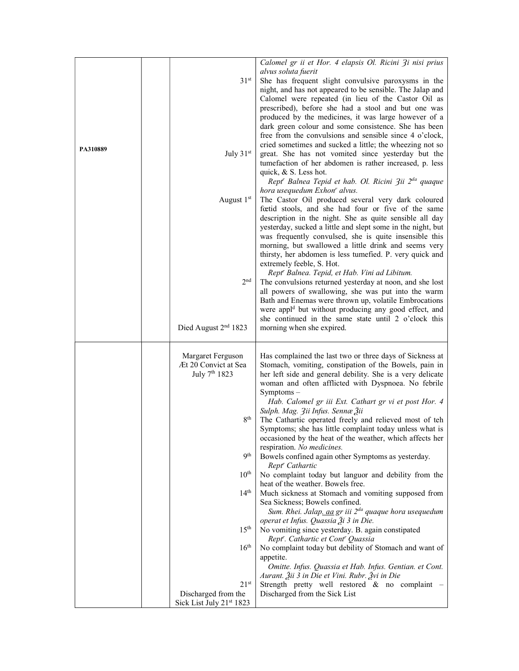|          |                                           | Calomel gr ii et Hor. 4 elapsis Ol. Ricini 3i nisi prius                                                           |
|----------|-------------------------------------------|--------------------------------------------------------------------------------------------------------------------|
|          |                                           | alvus soluta fuerit                                                                                                |
|          | 31 <sup>st</sup>                          | She has frequent slight convulsive paroxysms in the                                                                |
|          |                                           | night, and has not appeared to be sensible. The Jalap and                                                          |
|          |                                           | Calomel were repeated (in lieu of the Castor Oil as                                                                |
|          |                                           | prescribed), before she had a stool and but one was                                                                |
|          |                                           | produced by the medicines, it was large however of a                                                               |
|          |                                           | dark green colour and some consistence. She has been                                                               |
|          |                                           | free from the convulsions and sensible since 4 o'clock,                                                            |
|          |                                           | cried sometimes and sucked a little; the wheezing not so                                                           |
| PA310889 | July 31st                                 | great. She has not vomited since yesterday but the                                                                 |
|          |                                           | tumefaction of her abdomen is rather increased, p. less                                                            |
|          |                                           | quick, & S. Less hot.                                                                                              |
|          |                                           | Rept <sup>r</sup> Balnea Tepid et hab. Ol. Ricini 3ii 2 <sup>da</sup> quaque                                       |
|          |                                           | hora usequedum Exhon' alvus.                                                                                       |
|          | August 1st                                | The Castor Oil produced several very dark coloured                                                                 |
|          |                                           | feetid stools, and she had four or five of the same                                                                |
|          |                                           | description in the night. She as quite sensible all day                                                            |
|          |                                           | yesterday, sucked a little and slept some in the night, but                                                        |
|          |                                           | was frequently convulsed, she is quite insensible this                                                             |
|          |                                           | morning, but swallowed a little drink and seems very                                                               |
|          |                                           | thirsty, her abdomen is less tumefied. P. very quick and                                                           |
|          |                                           | extremely feeble, S. Hot.                                                                                          |
|          |                                           | Rept' Balnea. Tepid, et Hab. Vini ad Libitum.                                                                      |
|          | 2 <sup>nd</sup>                           | The convulsions returned yesterday at noon, and she lost                                                           |
|          |                                           | all powers of swallowing, she was put into the warm                                                                |
|          |                                           | Bath and Enemas were thrown up, volatile Embrocations                                                              |
|          |                                           | were appl <sup>d</sup> but without producing any good effect, and                                                  |
|          |                                           | she continued in the same state until 2 o'clock this                                                               |
|          | Died August 2 <sup>nd</sup> 1823          | morning when she expired.                                                                                          |
|          |                                           |                                                                                                                    |
|          | Margaret Ferguson<br>Æt 20 Convict at Sea | Has complained the last two or three days of Sickness at<br>Stomach, vomiting, constipation of the Bowels, pain in |
|          | July 7 <sup>th</sup> 1823                 | her left side and general debility. She is a very delicate                                                         |
|          |                                           | woman and often afflicted with Dyspnoea. No febrile                                                                |
|          |                                           | $Symptoms -$                                                                                                       |
|          |                                           | Hab. Calomel gr iii Ext. Cathart gr vi et post Hor. 4                                                              |
|          |                                           | Sulph. Mag. 3ii Infus. Sennæ Žii                                                                                   |
|          | 8 <sup>th</sup>                           | The Cathartic operated freely and relieved most of teh                                                             |
|          |                                           | Symptoms; she has little complaint today unless what is                                                            |
|          |                                           | occasioned by the heat of the weather, which affects her                                                           |
|          |                                           | respiration. No medicines.                                                                                         |
|          | <b>9th</b>                                | Bowels confined again other Symptoms as yesterday.                                                                 |
|          |                                           | Rept <sup>r</sup> Cathartic                                                                                        |
|          | 10 <sup>th</sup>                          | No complaint today but languor and debility from the                                                               |
|          |                                           | heat of the weather. Bowels free.                                                                                  |
|          | 14 <sup>th</sup>                          | Much sickness at Stomach and vomiting supposed from                                                                |
|          |                                           | Sea Sickness; Bowels confined.                                                                                     |
|          |                                           | Sum. Rhei. Jalap. aa gr iii 2 <sup>da</sup> quaque hora usequedum                                                  |
|          | 15 <sup>th</sup>                          | operat et Infus. Quassia Ѯi 3 in Die.                                                                              |
|          |                                           | No vomiting since yesterday. B. again constipated<br>Rept'. Cathartic et Cont' Quassia                             |
|          | 16 <sup>th</sup>                          | No complaint today but debility of Stomach and want of                                                             |
|          |                                           | appetite.                                                                                                          |
|          |                                           | Omitte. Infus. Quassia et Hab. Infus. Gentian. et Cont.                                                            |
|          |                                           | Aurant. Žii 3 in Die et Vini. Rubr. Žvi in Die                                                                     |
|          | 21 <sup>st</sup>                          | Strength pretty well restored & no complaint                                                                       |
|          | Discharged from the                       | Discharged from the Sick List                                                                                      |
|          | Sick List July 21st 1823                  |                                                                                                                    |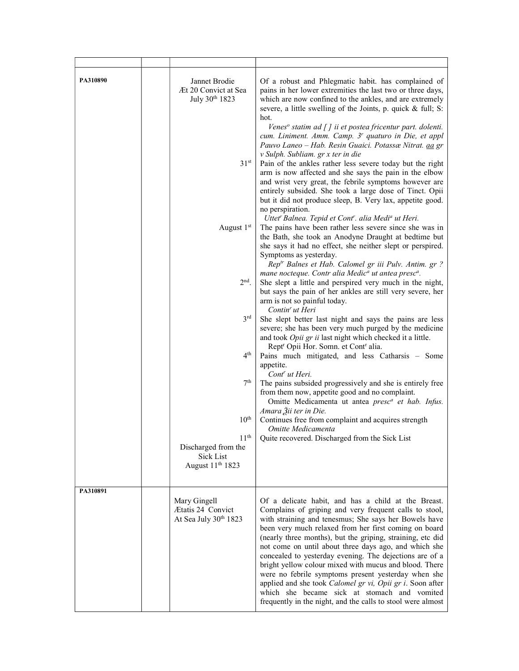| PA310890 | Jannet Brodie<br>Æt 20 Convict at Sea<br>July 30th 1823<br>31 <sup>st</sup><br>August 1st<br>$2nd$ .<br>3 <sup>rd</sup><br>4 <sup>th</sup><br>7th<br>$10^{\rm th}$<br>11 <sup>th</sup><br>Discharged from the<br>Sick List<br>August 11 <sup>th</sup> 1823 | Of a robust and Phlegmatic habit. has complained of<br>pains in her lower extremities the last two or three days,<br>which are now confined to the ankles, and are extremely<br>severe, a little swelling of the Joints, p. quick & full; S:<br>hot.<br>Venes <sup>o</sup> statim ad [] ii et postea fricentur part. dolenti.<br>cum. Liniment. Amm. Camp. 3 <sup>r</sup> quaturo in Die, et appl<br>Pauvo Laneo - Hab. Resin Guaici. Potassæ Nitrat. aa gr<br>v Sulph. Subliam. gr x ter in die<br>Pain of the ankles rather less severe today but the right<br>arm is now affected and she says the pain in the elbow<br>and wrist very great, the febrile symptoms however are<br>entirely subsided. She took a large dose of Tinct. Opii<br>but it did not produce sleep, B. Very lax, appetite good.<br>no perspiration.<br>Uttet" Balnea. Tepid et Cont". alia Medi <sup>a</sup> ut Heri.<br>The pains have been rather less severe since she was in<br>the Bath, she took an Anodyne Draught at bedtime but<br>she says it had no effect, she neither slept or perspired.<br>Symptoms as yesterday.<br>Rep <sup>tr</sup> Balnes et Hab. Calomel gr iii Pulv. Antim. gr ?<br>mane nocteque. Contr alia Medic <sup>a</sup> ut antea presc <sup>a</sup> .<br>She slept a little and perspired very much in the night,<br>but says the pain of her ankles are still very severe, her<br>arm is not so painful today.<br>Contin <sup>r</sup> ut Heri<br>She slept better last night and says the pains are less<br>severe; she has been very much purged by the medicine<br>and took Opii gr ii last night which checked it a little.<br>Rept <sup>r</sup> Opii Hor. Somn. et Cont <sup>r</sup> alia.<br>Pains much mitigated, and less Catharsis - Some<br>appetite.<br>Cont' ut Heri.<br>The pains subsided progressively and she is entirely free<br>from them now, appetite good and no complaint.<br>Omitte Medicamenta ut antea presc <sup>a</sup> et hab. Infus.<br>Amara Žii ter in Die.<br>Continues free from complaint and acquires strength<br>Omitte Medicamenta<br>Quite recovered. Discharged from the Sick List |
|----------|------------------------------------------------------------------------------------------------------------------------------------------------------------------------------------------------------------------------------------------------------------|-----------------------------------------------------------------------------------------------------------------------------------------------------------------------------------------------------------------------------------------------------------------------------------------------------------------------------------------------------------------------------------------------------------------------------------------------------------------------------------------------------------------------------------------------------------------------------------------------------------------------------------------------------------------------------------------------------------------------------------------------------------------------------------------------------------------------------------------------------------------------------------------------------------------------------------------------------------------------------------------------------------------------------------------------------------------------------------------------------------------------------------------------------------------------------------------------------------------------------------------------------------------------------------------------------------------------------------------------------------------------------------------------------------------------------------------------------------------------------------------------------------------------------------------------------------------------------------------------------------------------------------------------------------------------------------------------------------------------------------------------------------------------------------------------------------------------------------------------------------------------------------------------------------------------------------------------------------------------------------------------------------------------------------------------------------------------------------------------------------------------------------|
| PA310891 |                                                                                                                                                                                                                                                            |                                                                                                                                                                                                                                                                                                                                                                                                                                                                                                                                                                                                                                                                                                                                                                                                                                                                                                                                                                                                                                                                                                                                                                                                                                                                                                                                                                                                                                                                                                                                                                                                                                                                                                                                                                                                                                                                                                                                                                                                                                                                                                                                   |
|          | Mary Gingell<br><b>Ætatis 24 Convict</b><br>At Sea July 30th 1823                                                                                                                                                                                          | Of a delicate habit, and has a child at the Breast.<br>Complains of griping and very frequent calls to stool,<br>with straining and tenesmus; She says her Bowels have<br>been very much relaxed from her first coming on board<br>(nearly three months), but the griping, straining, etc did<br>not come on until about three days ago, and which she<br>concealed to yesterday evening. The dejections are of a<br>bright yellow colour mixed with mucus and blood. There<br>were no febrile symptoms present yesterday when she<br>applied and she took Calomel gr vi, Opii gr i. Soon after<br>which she became sick at stomach and vomited<br>frequently in the night, and the calls to stool were almost                                                                                                                                                                                                                                                                                                                                                                                                                                                                                                                                                                                                                                                                                                                                                                                                                                                                                                                                                                                                                                                                                                                                                                                                                                                                                                                                                                                                                    |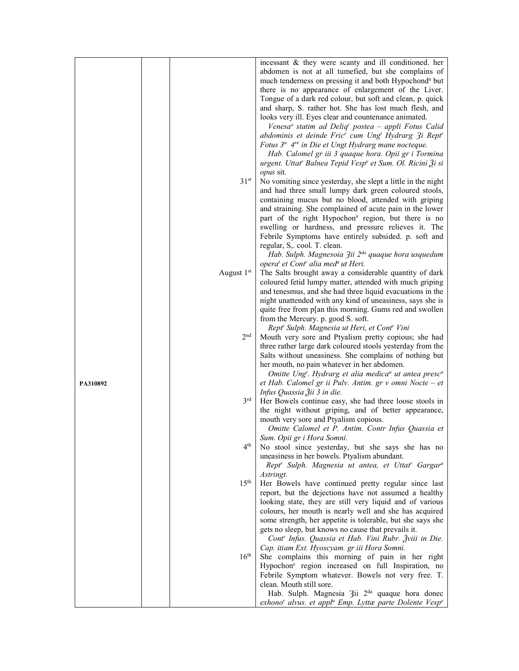|          |                  | incessant & they were scanty and ill conditioned. her                                      |
|----------|------------------|--------------------------------------------------------------------------------------------|
|          |                  | abdomen is not at all tumefied, but she complains of                                       |
|          |                  |                                                                                            |
|          |                  | much tenderness on pressing it and both Hypochond <sup>a</sup> but                         |
|          |                  | there is no appearance of enlargement of the Liver.                                        |
|          |                  | Tongue of a dark red colour, but soft and clean, p. quick                                  |
|          |                  | and sharp, S. rather hot. She has lost much flesh, and                                     |
|          |                  | looks very ill. Eyes clear and countenance animated.                                       |
|          |                  | Venesa <sup>o</sup> statim ad Deliq <sup>r</sup> postea – appli Fotus Calid                |
|          |                  | abdominis et deinde Fric' cum Ung Hydrarg 3i Rept'                                         |
|          |                  | Fotus 3 <sup>a</sup> 4 <sup>ve</sup> in Die et Ungt Hydrarg mane nocteque.                 |
|          |                  | Hab. Calomel gr iii 3 quaque hora. Opii gr i Tormina                                       |
|          |                  | urgent. Uttat' Balnea Tepid Vesp <sup>e</sup> et Sum. Ol. Ricini Ži si                     |
|          |                  | <i>opus</i> sit.                                                                           |
|          | 31 <sup>st</sup> | No vomiting since yesterday, she slept a little in the night                               |
|          |                  | and had three small lumpy dark green coloured stools,                                      |
|          |                  | containing mucus but no blood, attended with griping                                       |
|          |                  |                                                                                            |
|          |                  | and straining. She complained of acute pain in the lower                                   |
|          |                  | part of the right Hypochon <sup>a</sup> region, but there is no                            |
|          |                  | swelling or hardness, and pressure relieves it. The                                        |
|          |                  | Febrile Symptoms have entirely subsided. p. soft and                                       |
|          |                  | regular, S,. cool. T. clean.                                                               |
|          |                  | Hab. Sulph. Magnesoia 3ii 2 <sup>da</sup> quaque hora usquedum                             |
|          |                  | opera <sup>t</sup> et Cont <sup>r</sup> alia med <sup>a</sup> ut Heri.                     |
|          | August 1st       | The Salts brought away a considerable quantity of dark                                     |
|          |                  | coloured fetid lumpy matter, attended with much griping                                    |
|          |                  | and tenesmus, and she had three liquid evacuations in the                                  |
|          |                  | night unattended with any kind of uneasiness, says she is                                  |
|          |                  | quite free from p[an this morning. Gums red and swollen                                    |
|          |                  | from the Mercury. p. good S. soft.                                                         |
|          |                  | Rept' Sulph. Magnesia ut Heri, et Cont' Vini                                               |
|          | 2 <sup>nd</sup>  | Mouth very sore and Ptyalism pretty copious; she had                                       |
|          |                  | three rather large dark coloured stools yesterday from the                                 |
|          |                  | Salts without uneasiness. She complains of nothing but                                     |
|          |                  | her mouth, no pain whatever in her abdomen.                                                |
|          |                  | Omitte Ung <sup>t</sup> . Hydrarg et alia medica <sup>a</sup> ut antea presc <sup>a</sup>  |
| PA310892 |                  | et Hab. Calomel gr ii Pulv. Antim. gr v omni Nocte - et                                    |
|          |                  | Infus Quassia Žii 3 in die.                                                                |
|          | 3 <sup>rd</sup>  | Her Bowels continue easy, she had three loose stools in                                    |
|          |                  | the night without griping, and of better appearance,                                       |
|          |                  | mouth very sore and Ptyalism copious.                                                      |
|          |                  | Omitte Calomel et P. Antim. Contr Infus Quassia et                                         |
|          |                  |                                                                                            |
|          | 4 <sup>th</sup>  | Sum. Opii gr i Hora Somni.                                                                 |
|          |                  | No stool since yesterday, but she says she has no                                          |
|          |                  | uneasiness in her bowels. Ptyalism abundant.                                               |
|          |                  | Rept <sup>r</sup> Sulph. Magnesia ut antea, et Uttat <sup>r</sup> Gargar <sup>a</sup>      |
|          |                  | Astringt.                                                                                  |
|          | 15 <sup>th</sup> | Her Bowels have continued pretty regular since last                                        |
|          |                  | report, but the dejections have not assumed a healthy                                      |
|          |                  | looking state, they are still very liquid and of various                                   |
|          |                  | colours, her mouth is nearly well and she has acquired                                     |
|          |                  | some strength, her appetite is tolerable, but she says she                                 |
|          |                  | gets no sleep, but knows no cause that prevails it.                                        |
|          |                  | Cont' Infus. Quassia et Hab. Vini Rubr. Zviii in Die.                                      |
|          |                  | Cap. itiam Ext. Hyoscyam. gr iii Hora Somni.                                               |
|          | 16 <sup>th</sup> | She complains this morning of pain in her right                                            |
|          |                  | Hypochon <sup>c</sup> region increased on full Inspiration, no                             |
|          |                  | Febrile Symptom whatever. Bowels not very free. T.                                         |
|          |                  | clean. Mouth still sore.                                                                   |
|          |                  | Hab. Sulph. Magnesia 3ii 2 <sup>da</sup> quaque hora donec                                 |
|          |                  | exhono <sup>r</sup> alvus. et appl <sup>a</sup> Emp. Lyttæ parte Dolente Vesp <sup>e</sup> |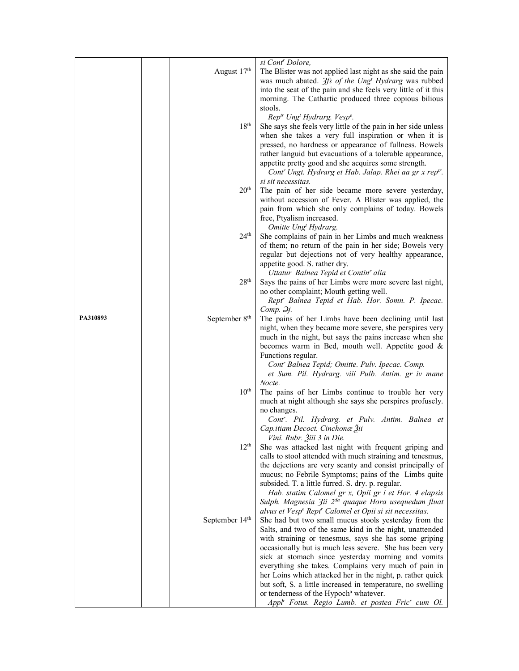|          |                            | si Cont <sup>r</sup> Dolore,                                                                                                                                                                           |
|----------|----------------------------|--------------------------------------------------------------------------------------------------------------------------------------------------------------------------------------------------------|
|          | August 17th                | The Blister was not applied last night as she said the pain<br>was much abated. <i>3fs of the Ung<sup>t</sup> Hydrarg</i> was rubbed<br>into the seat of the pain and she feels very little of it this |
|          |                            | morning. The Cathartic produced three copious bilious                                                                                                                                                  |
|          |                            | stools.                                                                                                                                                                                                |
|          |                            | Rep <sup>tr</sup> Ung <sup>t</sup> Hydrarg. Vesp <sup>e</sup> .                                                                                                                                        |
|          | 18 <sup>th</sup>           | She says she feels very little of the pain in her side unless                                                                                                                                          |
|          |                            | when she takes a very full inspiration or when it is                                                                                                                                                   |
|          |                            | pressed, no hardness or appearance of fullness. Bowels                                                                                                                                                 |
|          |                            | rather languid but evacuations of a tolerable appearance,<br>appetite pretty good and she acquires some strength.<br>Cont' Ungt. Hydrarg et Hab. Jalap. Rhei aa gr x reptr.                            |
|          |                            | si sit necessitas.                                                                                                                                                                                     |
|          | 20 <sup>th</sup>           | The pain of her side became more severe yesterday,<br>without accession of Fever. A Blister was applied, the                                                                                           |
|          |                            | pain from which she only complains of today. Bowels<br>free, Ptyalism increased.                                                                                                                       |
|          |                            | Omitte Ung <sup>t</sup> Hydrarg.                                                                                                                                                                       |
|          | 24 <sup>th</sup>           | She complains of pain in her Limbs and much weakness<br>of them; no return of the pain in her side; Bowels very                                                                                        |
|          |                            | regular but dejections not of very healthy appearance,                                                                                                                                                 |
|          |                            | appetite good. S. rather dry.                                                                                                                                                                          |
|          |                            | Uttatur Balnea Tepid et Contin' alia                                                                                                                                                                   |
|          | 28 <sup>th</sup>           | Says the pains of her Limbs were more severe last night,                                                                                                                                               |
|          |                            | no other complaint; Mouth getting well.                                                                                                                                                                |
|          |                            | Rept' Balnea Tepid et Hab. Hor. Somn. P. Ipecac.<br>Comp. 2j.                                                                                                                                          |
| PA310893 | September 8 <sup>th</sup>  | The pains of her Limbs have been declining until last                                                                                                                                                  |
|          |                            | night, when they became more severe, she perspires very                                                                                                                                                |
|          |                            | much in the night, but says the pains increase when she                                                                                                                                                |
|          |                            | becomes warm in Bed, mouth well. Appetite good &<br>Functions regular.                                                                                                                                 |
|          |                            | Cont' Balnea Tepid; Omitte. Pulv. Ipecac. Comp.                                                                                                                                                        |
|          |                            | et Sum. Pil. Hydrarg. viii Pulb. Antim. gr iv mane                                                                                                                                                     |
|          |                            | Nocte.                                                                                                                                                                                                 |
|          | $10^{\rm th}$              | The pains of her Limbs continue to trouble her very<br>much at night although she says she perspires profusely.                                                                                        |
|          |                            | no changes.                                                                                                                                                                                            |
|          |                            | Cont''. Pil. Hydrarg. et Pulv. Antim. Balnea et                                                                                                                                                        |
|          |                            | Cap.itiam Decoct. Cinchonæ Žii                                                                                                                                                                         |
|          | 12 <sup>th</sup>           | Vini. Rubr. Žiii 3 in Die.<br>She was attacked last night with frequent griping and                                                                                                                    |
|          |                            | calls to stool attended with much straining and tenesmus,                                                                                                                                              |
|          |                            | the dejections are very scanty and consist principally of                                                                                                                                              |
|          |                            | mucus; no Febrile Symptoms; pains of the Limbs quite                                                                                                                                                   |
|          |                            | subsided. T. a little furred. S. dry. p. regular.                                                                                                                                                      |
|          |                            | Hab. statim Calomel gr x, Opii gr i et Hor. 4 elapsis<br>Sulph. Magnesia 3ii 2 <sup>da</sup> quaque Hora usequedum fluat                                                                               |
|          |                            | alvus et Vesp <sup>e</sup> Rept <sup>r</sup> Calomel et Opii si sit necessitas.                                                                                                                        |
|          | September 14 <sup>th</sup> | She had but two small mucus stools yesterday from the                                                                                                                                                  |
|          |                            | Salts, and two of the same kind in the night, unattended                                                                                                                                               |
|          |                            | with straining or tenesmus, says she has some griping                                                                                                                                                  |
|          |                            | occasionally but is much less severe. She has been very                                                                                                                                                |
|          |                            | sick at stomach since yesterday morning and vomits<br>everything she takes. Complains very much of pain in                                                                                             |
|          |                            | her Loins which attacked her in the night, p. rather quick                                                                                                                                             |
|          |                            | but soft, S. a little increased in temperature, no swelling                                                                                                                                            |
|          |                            | or tenderness of the Hypoch <sup>a</sup> whatever.                                                                                                                                                     |
|          |                            | Appl' Fotus. Regio Lumb. et postea Fric' cum Ol.                                                                                                                                                       |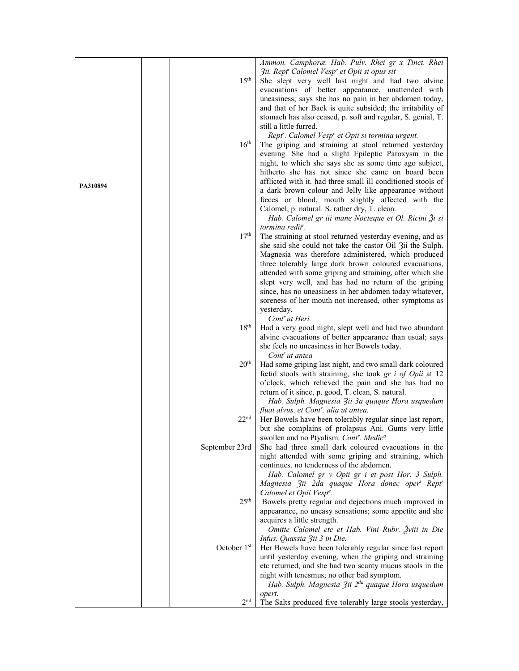|          |                         | Ammon. Camphoræ. Hab. Pulv. Rhei gr x Tinct. Rhei                      |
|----------|-------------------------|------------------------------------------------------------------------|
|          |                         | 3ii. Rept' Calomel Vesp <sup>e</sup> et Opii si opus sit               |
|          | 15 <sup>th</sup>        | She slept very well last night and had two alvine                      |
|          |                         | evacuations of better appearance, unattended with                      |
|          |                         | uneasiness; says she has no pain in her abdomen today,                 |
|          |                         | and that of her Back is quite subsided; the irritability of            |
|          |                         | stomach has also ceased, p. soft and regular, S. genial, T.            |
|          |                         | still a little furred.                                                 |
|          |                         | Rept'. Calomel Vesp <sup>e</sup> et Opii si tormina urgent.            |
|          | 16 <sup>th</sup>        | The griping and straining at stool returned yesterday                  |
|          |                         | evening. She had a slight Epileptic Paroxysm in the                    |
|          |                         | night, to which she says she as some time ago subject,                 |
|          |                         | hitherto she has not since she came on board been                      |
|          |                         |                                                                        |
| PA310894 |                         | afflicted with it. had three small ill conditioned stools of           |
|          |                         | a dark brown colour and Jelly like appearance without                  |
|          |                         | faces or blood, mouth slightly affected with the                       |
|          |                         | Calomel, p. natural. S. rather dry, T. clean.                          |
|          |                         | Hab. Calomel gr iii mane Nocteque et Ol. Ricini $\tilde{\beta}$ i si   |
|          |                         | tormina redit <sup>r</sup> .                                           |
|          | 17 <sup>th</sup>        | The straining at stool returned yesterday evening, and as              |
|          |                         | she said she could not take the castor Oil 3ii the Sulph.              |
|          |                         | Magnesia was therefore administered, which produced                    |
|          |                         | three tolerably large dark brown coloured evacuations,                 |
|          |                         | attended with some griping and straining, after which she              |
|          |                         | slept very well, and has had no return of the griping                  |
|          |                         | since, has no uneasiness in her abdomen today whatever,                |
|          |                         | soreness of her mouth not increased, other symptoms as                 |
|          |                         | yesterday.                                                             |
|          |                         | Cont <sup>r</sup> ut Heri.                                             |
|          | 18 <sup>th</sup>        | Had a very good night, slept well and had two abundant                 |
|          |                         | alvine evacuations of better appearance than usual; says               |
|          |                         | she feels no uneasiness in her Bowels today.                           |
|          |                         | Cont <sup>r</sup> ut antea                                             |
|          | 20 <sup>th</sup>        | Had some griping last night, and two small dark coloured               |
|          |                         | fœtid stools with straining, she took gr i of Opii at 12               |
|          |                         | o'clock, which relieved the pain and she has had no                    |
|          |                         | return of it since, p. good, T. clean, S. natural.                     |
|          |                         | Hab. Sulph. Magnesia 3ii 3a quaque Hora usquedum                       |
|          |                         | fluat alvus, et Cont <sup>r</sup> . alia ut antea.                     |
|          | 22 <sup>nd</sup>        | Her Bowels have been tolerably regular since last report,              |
|          |                         | but she complains of prolapsus Ani. Gums very little                   |
|          |                         | swollen and no Ptyalism. Cont'. Medic <sup>a</sup>                     |
|          | September 23rd          | She had three small dark coloured evacuations in the                   |
|          |                         | night attended with some griping and straining, which                  |
|          |                         | continues. no tenderness of the abdomen.                               |
|          |                         | Hab. Calomel gr v Opii gr i et post Hor. 3 Sulph.                      |
|          |                         | Magnesia Zii 2da quaque Hora donec oper <sup>t</sup> Rept <sup>r</sup> |
|          |                         | Calomel et Opii Vespe.                                                 |
|          | 25 <sup>th</sup>        | Bowels pretty regular and dejections much improved in                  |
|          |                         | appearance, no uneasy sensations; some appetite and she                |
|          |                         | acquires a little strength.                                            |
|          |                         | Omitte Calomel etc et Hab. Vini Rubr. Žviii in Die                     |
|          |                         | Infus. Quassia 3ii 3 in Die.                                           |
|          | October 1 <sup>st</sup> | Her Bowels have been tolerably regular since last report               |
|          |                         | until yesterday evening, when the griping and straining                |
|          |                         | etc returned, and she had two scanty mucus stools in the               |
|          |                         | night with tenesmus; no other bad symptom.                             |
|          |                         | Hab. Sulph. Magnesia 3ii 2 <sup>da</sup> quaque Hora usquedum          |
|          |                         | opert.                                                                 |
|          | 2 <sup>nd</sup>         | The Salts produced five tolerably large stools yesterday,              |
|          |                         |                                                                        |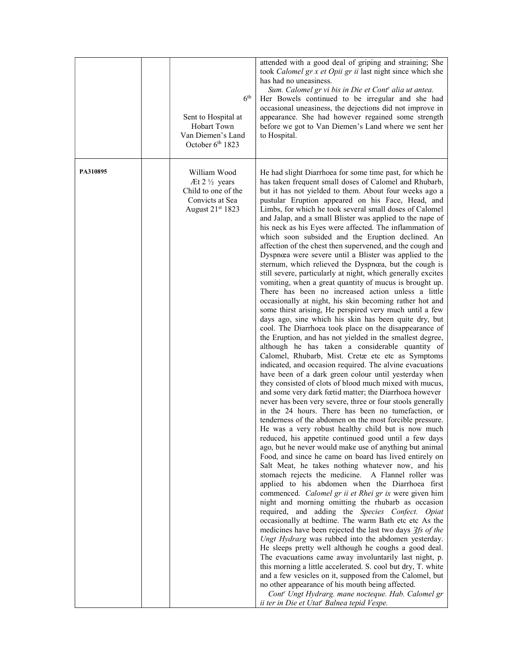|          | Sent to Hospital at<br><b>Hobart Town</b><br>Van Diemen's Land<br>October 6th 1823                    | attended with a good deal of griping and straining; She<br>took Calomel gr x et Opii gr ii last night since which she<br>has had no uneasiness.<br>Sum. Calomel gr vi bis in Die et Cont' alia ut antea.<br>6 <sup>th</sup><br>Her Bowels continued to be irregular and she had<br>occasional uneasiness, the dejections did not improve in<br>appearance. She had however regained some strength<br>before we got to Van Diemen's Land where we sent her<br>to Hospital.                                                                                                                                                                                                                                                                                                                                                                                                                                                                                                                                                                                                                                                                                                                                                                                                                                                                                                                                                                                                                                                                                                                                                                                                                                                                                                                                                                                                                                                                                                                                                                                                                                                                                                                                                                                                                                                                                                                                                                                                                                                                                                                                                                                                                                                                                                                                                                   |
|----------|-------------------------------------------------------------------------------------------------------|---------------------------------------------------------------------------------------------------------------------------------------------------------------------------------------------------------------------------------------------------------------------------------------------------------------------------------------------------------------------------------------------------------------------------------------------------------------------------------------------------------------------------------------------------------------------------------------------------------------------------------------------------------------------------------------------------------------------------------------------------------------------------------------------------------------------------------------------------------------------------------------------------------------------------------------------------------------------------------------------------------------------------------------------------------------------------------------------------------------------------------------------------------------------------------------------------------------------------------------------------------------------------------------------------------------------------------------------------------------------------------------------------------------------------------------------------------------------------------------------------------------------------------------------------------------------------------------------------------------------------------------------------------------------------------------------------------------------------------------------------------------------------------------------------------------------------------------------------------------------------------------------------------------------------------------------------------------------------------------------------------------------------------------------------------------------------------------------------------------------------------------------------------------------------------------------------------------------------------------------------------------------------------------------------------------------------------------------------------------------------------------------------------------------------------------------------------------------------------------------------------------------------------------------------------------------------------------------------------------------------------------------------------------------------------------------------------------------------------------------------------------------------------------------------------------------------------------------|
| PA310895 | William Wood<br>Æt $2\frac{1}{2}$ years<br>Child to one of the<br>Convicts at Sea<br>August 21st 1823 | He had slight Diarrhoea for some time past, for which he<br>has taken frequent small doses of Calomel and Rhubarb,<br>but it has not yielded to them. About four weeks ago a<br>pustular Eruption appeared on his Face, Head, and<br>Limbs, for which he took several small doses of Calomel<br>and Jalap, and a small Blister was applied to the nape of<br>his neck as his Eyes were affected. The inflammation of<br>which soon subsided and the Eruption declined. An<br>affection of the chest then supervened, and the cough and<br>Dyspnœa were severe until a Blister was applied to the<br>sternum, which relieved the Dyspnœa, but the cough is<br>still severe, particularly at night, which generally excites<br>vomiting, when a great quantity of mucus is brought up.<br>There has been no increased action unless a little<br>occasionally at night, his skin becoming rather hot and<br>some thirst arising, He perspired very much until a few<br>days ago, sine which his skin has been quite dry, but<br>cool. The Diarrhoea took place on the disappearance of<br>the Eruption, and has not yielded in the smallest degree,<br>although he has taken a considerable quantity of<br>Calomel, Rhubarb, Mist. Cretæ etc etc as Symptoms<br>indicated, and occasion required. The alvine evacuations<br>have been of a dark green colour until yesterday when<br>they consisted of clots of blood much mixed with mucus,<br>and some very dark fœtid matter; the Diarrhoea however<br>never has been very severe, three or four stools generally<br>in the 24 hours. There has been no tumefaction, or<br>tenderness of the abdomen on the most forcible pressure.<br>He was a very robust healthy child but is now much<br>reduced, his appetite continued good until a few days<br>ago, but he never would make use of anything but animal<br>Food, and since he came on board has lived entirely on<br>Salt Meat, he takes nothing whatever now, and his<br>stomach rejects the medicine. A Flannel roller was<br>applied to his abdomen when the Diarrhoea first<br>commenced. Calomel gr ii et Rhei gr ix were given him<br>night and morning omitting the rhubarb as occasion<br>required, and adding the Species Confect. Opiat<br>occasionally at bedtime. The warm Bath etc etc As the<br>medicines have been rejected the last two days 3fs of the<br>Ungt Hydrarg was rubbed into the abdomen yesterday.<br>He sleeps pretty well although he coughs a good deal.<br>The evacuations came away involuntarily last night, p.<br>this morning a little accelerated. S. cool but dry, T. white<br>and a few vesicles on it, supposed from the Calomel, but<br>no other appearance of his mouth being affected.<br>Cont" Ungt Hydrarg. mane nocteque. Hab. Calomel gr<br>ii ter in Die et Utat' Balnea tepid Vespe. |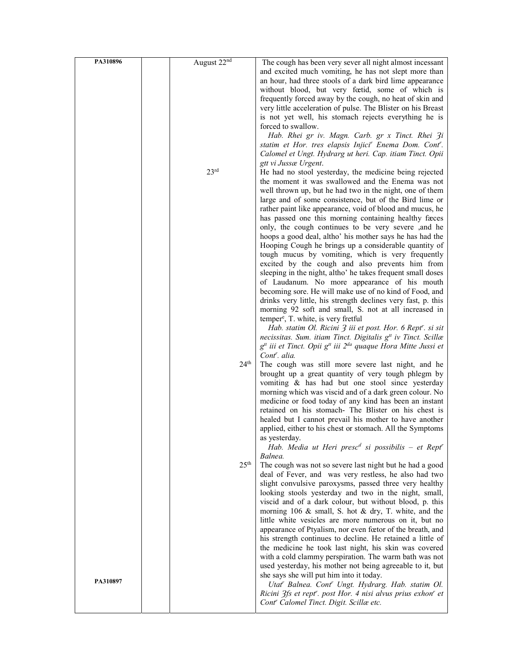| PA310896 | August 22nd      | The cough has been very sever all night almost incessant                             |
|----------|------------------|--------------------------------------------------------------------------------------|
|          |                  | and excited much vomiting, he has not slept more than                                |
|          |                  | an hour, had three stools of a dark bird lime appearance                             |
|          |                  | without blood, but very feetid, some of which is                                     |
|          |                  | frequently forced away by the cough, no heat of skin and                             |
|          |                  |                                                                                      |
|          |                  | very little acceleration of pulse. The Blister on his Breast                         |
|          |                  | is not yet well, his stomach rejects everything he is                                |
|          |                  | forced to swallow.                                                                   |
|          |                  | Hab. Rhei gr iv. Magn. Carb. gr x Tinct. Rhei 3i                                     |
|          |                  | statim et Hor. tres elapsis Injici" Enema Dom. Cont".                                |
|          |                  | Calomel et Ungt. Hydrarg ut heri. Cap. itiam Tinct. Opii                             |
|          |                  | gtt vi Jussæ Urgent.                                                                 |
|          | 23 <sup>rd</sup> | He had no stool yesterday, the medicine being rejected                               |
|          |                  | the moment it was swallowed and the Enema was not                                    |
|          |                  | well thrown up, but he had two in the night, one of them                             |
|          |                  | large and of some consistence, but of the Bird lime or                               |
|          |                  | rather paint like appearance, void of blood and mucus, he                            |
|          |                  | has passed one this morning containing healthy faces                                 |
|          |                  | only, the cough continues to be very severe ,and he                                  |
|          |                  | hoops a good deal, altho' his mother says he has had the                             |
|          |                  | Hooping Cough he brings up a considerable quantity of                                |
|          |                  | tough mucus by vomiting, which is very frequently                                    |
|          |                  | excited by the cough and also prevents him from                                      |
|          |                  | sleeping in the night, altho' he takes frequent small doses                          |
|          |                  | of Laudanum. No more appearance of his mouth                                         |
|          |                  | becoming sore. He will make use of no kind of Food, and                              |
|          |                  | drinks very little, his strength declines very fast, p. this                         |
|          |                  | morning 92 soft and small, S. not at all increased in                                |
|          |                  | temper <sup>e</sup> , T. white, is very fretful                                      |
|          |                  | Hab. statim Ol. Ricini 3 iii et post. Hor. 6 Rept''. si sit                          |
|          |                  | necissitas. Sum. itiam Tinct. Digitalis g <sup>tt</sup> iv Tinct. Scillæ             |
|          |                  | $g^{tt}$ iii et Tinct. Opii $g^{tt}$ iii $2^{da}$ quaque Hora Mitte Jussi et         |
|          |                  | Cont <sup>r</sup> . alia.                                                            |
|          | 24 <sup>th</sup> | The cough was still more severe last night, and he                                   |
|          |                  | brought up a great quantity of very tough phlegm by                                  |
|          |                  | vomiting & has had but one stool since yesterday                                     |
|          |                  | morning which was viscid and of a dark green colour. No                              |
|          |                  | medicine or food today of any kind has been an instant                               |
|          |                  | retained on his stomach- The Blister on his chest is                                 |
|          |                  | healed but I cannot prevail his mother to have another                               |
|          |                  | applied, either to his chest or stomach. All the Symptoms                            |
|          |                  | as yesterday.                                                                        |
|          |                  | Hab. Media ut Heri presc <sup>d</sup> si possibilis – et Rept <sup>r</sup>           |
|          |                  | Balnea.                                                                              |
|          | 25 <sup>th</sup> | The cough was not so severe last night but he had a good                             |
|          |                  | deal of Fever, and was very restless, he also had two                                |
|          |                  | slight convulsive paroxysms, passed three very healthy                               |
|          |                  | looking stools yesterday and two in the night, small,                                |
|          |                  |                                                                                      |
|          |                  | viscid and of a dark colour, but without blood, p. this                              |
|          |                  | morning 106 $\&$ small, S. hot $\&$ dry, T. white, and the                           |
|          |                  | little white vesicles are more numerous on it, but no                                |
|          |                  | appearance of Ptyalism, nor even fœtor of the breath, and                            |
|          |                  | his strength continues to decline. He retained a little of                           |
|          |                  | the medicine he took last night, his skin was covered                                |
|          |                  | with a cold clammy perspiration. The warm bath was not                               |
|          |                  | used yesterday, his mother not being agreeable to it, but                            |
| PA310897 |                  | she says she will put him into it today.                                             |
|          |                  | Utat" Balnea. Cont" Ungt. Hydrarg. Hab. statim Ol.                                   |
|          |                  | Ricini 3fs et rept <sup>r</sup> . post Hor. 4 nisi alvus prius exhon <sup>r</sup> et |
|          |                  | Cont <sup>r</sup> Calomel Tinct. Digit. Scillæ etc.                                  |
|          |                  |                                                                                      |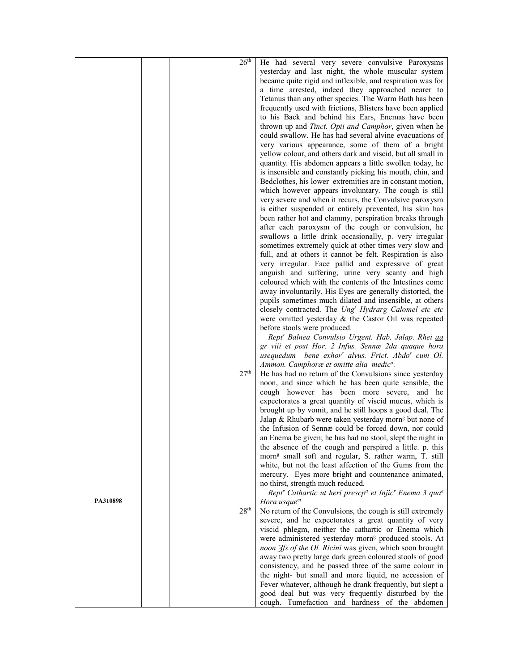|          | 26 <sup>th</sup> | He had several very severe convulsive Paroxysms                                |
|----------|------------------|--------------------------------------------------------------------------------|
|          |                  | yesterday and last night, the whole muscular system                            |
|          |                  | became quite rigid and inflexible, and respiration was for                     |
|          |                  |                                                                                |
|          |                  | a time arrested, indeed they approached nearer to                              |
|          |                  | Tetanus than any other species. The Warm Bath has been                         |
|          |                  | frequently used with frictions, Blisters have been applied                     |
|          |                  | to his Back and behind his Ears, Enemas have been                              |
|          |                  | thrown up and Tinct. Opii and Camphor, given when he                           |
|          |                  | could swallow. He has had several alvine evacuations of                        |
|          |                  | very various appearance, some of them of a bright                              |
|          |                  | yellow colour, and others dark and viscid, but all small in                    |
|          |                  | quantity. His abdomen appears a little swollen today, he                       |
|          |                  | is insensible and constantly picking his mouth, chin, and                      |
|          |                  | Bedclothes, his lower extremities are in constant motion,                      |
|          |                  | which however appears involuntary. The cough is still                          |
|          |                  | very severe and when it recurs, the Convulsive paroxysm                        |
|          |                  | is either suspended or entirely prevented, his skin has                        |
|          |                  | been rather hot and clammy, perspiration breaks through                        |
|          |                  | after each paroxysm of the cough or convulsion, he                             |
|          |                  | swallows a little drink occasionally, p. very irregular                        |
|          |                  | sometimes extremely quick at other times very slow and                         |
|          |                  | full, and at others it cannot be felt. Respiration is also                     |
|          |                  | very irregular. Face pallid and expressive of great                            |
|          |                  | anguish and suffering, urine very scanty and high                              |
|          |                  | coloured which with the contents of the Intestines come                        |
|          |                  | away involuntarily. His Eyes are generally distorted, the                      |
|          |                  | pupils sometimes much dilated and insensible, at others                        |
|          |                  | closely contracted. The Ung <sup>t</sup> Hydrarg Calomel etc etc               |
|          |                  | were omitted yesterday & the Castor Oil was repeated                           |
|          |                  | before stools were produced.                                                   |
|          |                  | Rept' Balnea Convulsio Urgent. Hab. Jalap. Rhei <i>aa</i>                      |
|          |                  |                                                                                |
|          |                  | gr viii et post Hor. 2 Infus. Sennæ 2da quaque hora                            |
|          |                  | usequedum bene exhor <sup>r</sup> alvus. Frict. Abdo <sup>s</sup> cum Ol.      |
|          | 27 <sup>th</sup> | Ammon. Camphoræ et omitte alia medic <sup>a</sup> .                            |
|          |                  | He has had no return of the Convulsions since yesterday                        |
|          |                  | noon, and since which he has been quite sensible, the                          |
|          |                  | cough however has been more severe, and he                                     |
|          |                  | expectorates a great quantity of viscid mucus, which is                        |
|          |                  | brought up by vomit, and he still hoops a good deal. The                       |
|          |                  | Jalap & Rhubarb were taken yesterday morn <sup>g</sup> but none of             |
|          |                  | the Infusion of Sennæ could be forced down, nor could                          |
|          |                  | an Enema be given; he has had no stool, slept the night in                     |
|          |                  | the absence of the cough and perspired a little. p. this                       |
|          |                  | morn <sup>g</sup> small soft and regular, S. rather warm, T. still             |
|          |                  | white, but not the least affection of the Gums from the                        |
|          |                  | mercury. Eyes more bright and countenance animated,                            |
|          |                  | no thirst, strength much reduced.                                              |
|          |                  | Rept' Cathartic ut heri prescp <sup>a</sup> et Injic' Enema 3 qua <sup>e</sup> |
| PA310898 |                  | Hora usque $m$                                                                 |
|          | 28 <sup>th</sup> | No return of the Convulsions, the cough is still extremely                     |
|          |                  | severe, and he expectorates a great quantity of very                           |
|          |                  | viscid phlegm, neither the cathartic or Enema which                            |
|          |                  | were administered yesterday morn <sup>g</sup> produced stools. At              |
|          |                  | noon 3fs of the Ol. Ricini was given, which soon brought                       |
|          |                  | away two pretty large dark green coloured stools of good                       |
|          |                  | consistency, and he passed three of the same colour in                         |
|          |                  | the night- but small and more liquid, no accession of                          |
|          |                  | Fever whatever, although he drank frequently, but slept a                      |
|          |                  | good deal but was very frequently disturbed by the                             |
|          |                  | cough. Tumefaction and hardness of the abdomen                                 |
|          |                  |                                                                                |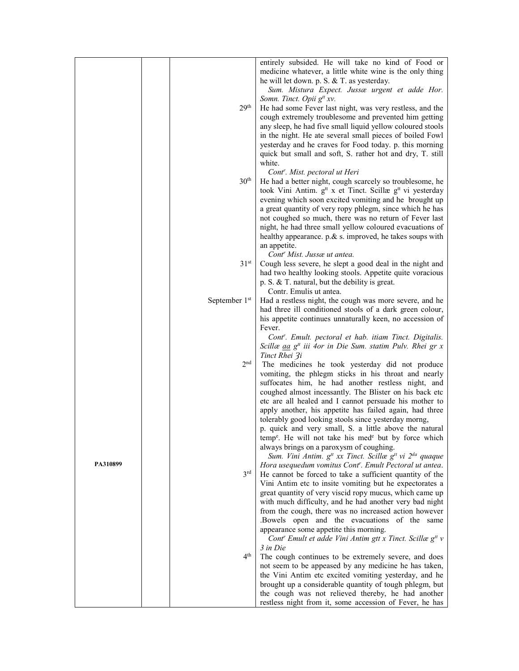|          |                  | entirely subsided. He will take no kind of Food or<br>medicine whatever, a little white wine is the only thing<br>he will let down. p. S. & T. as yesterday. |
|----------|------------------|--------------------------------------------------------------------------------------------------------------------------------------------------------------|
|          |                  | Sum. Mistura Expect. Jussæ urgent et adde Hor.<br>Somn. Tinct. Opii g <sup>tt</sup> xv.                                                                      |
|          | 29 <sup>th</sup> | He had some Fever last night, was very restless, and the                                                                                                     |
|          |                  | cough extremely troublesome and prevented him getting<br>any sleep, he had five small liquid yellow coloured stools                                          |
|          |                  | in the night. He ate several small pieces of boiled Fowl                                                                                                     |
|          |                  | yesterday and he craves for Food today. p. this morning<br>quick but small and soft, S. rather hot and dry, T. still                                         |
|          |                  | white.                                                                                                                                                       |
|          | 30 <sup>th</sup> | Cont''. Mist. pectoral ut Heri<br>He had a better night, cough scarcely so troublesome, he                                                                   |
|          |                  | took Vini Antim. g <sup>tt</sup> x et Tinct. Scillæ g <sup>tt</sup> vi yesterday                                                                             |
|          |                  | evening which soon excited vomiting and he brought up                                                                                                        |
|          |                  | a great quantity of very ropy phlegm, since which he has<br>not coughed so much, there was no return of Fever last                                           |
|          |                  | night, he had three small yellow coloured evacuations of                                                                                                     |
|          |                  | healthy appearance. p.& s. improved, he takes soups with                                                                                                     |
|          |                  | an appetite.<br>Cont <sup>r</sup> Mist. Jussæ ut antea.                                                                                                      |
|          | 31 <sup>st</sup> | Cough less severe, he slept a good deal in the night and                                                                                                     |
|          |                  | had two healthy looking stools. Appetite quite voracious<br>p. S. $&$ T. natural, but the debility is great.                                                 |
|          |                  | Contr. Emulis ut antea.                                                                                                                                      |
|          | September 1st    | Had a restless night, the cough was more severe, and he                                                                                                      |
|          |                  | had three ill conditioned stools of a dark green colour,<br>his appetite continues unnaturally keen, no accession of                                         |
|          |                  | Fever.                                                                                                                                                       |
|          |                  | Cont''. Emult. pectoral et hab. itiam Tinct. Digitalis.<br>Scillæ <u>aa</u> g <sup>tt</sup> iii 4or in Die Sum. statim Pulv. Rhei gr x                       |
|          |                  | Tinct Rhei 3i                                                                                                                                                |
|          | 2 <sub>nd</sub>  | The medicines he took yesterday did not produce                                                                                                              |
|          |                  | vomiting, the phlegm sticks in his throat and nearly<br>suffocates him, he had another restless night, and                                                   |
|          |                  | coughed almost incessantly. The Blister on his back etc                                                                                                      |
|          |                  | etc are all healed and I cannot persuade his mother to<br>apply another, his appetite has failed again, had three                                            |
|          |                  | tolerably good looking stools since yesterday morng,                                                                                                         |
|          |                  | p. quick and very small, S. a little above the natural                                                                                                       |
|          |                  | temp <sup>e</sup> . He will not take his med <sup>e</sup> but by force which<br>always brings on a paroxysm of coughing.                                     |
|          |                  | Sum. Vini Antim. g <sup>tt</sup> xx Tinct. Scillæ g <sup>tt</sup> vi 2 <sup>da</sup> quaque                                                                  |
| PA310899 | 3 <sup>rd</sup>  | Hora usequedum vomitus Cont''. Emult Pectoral ut antea.<br>He cannot be forced to take a sufficient quantity of the                                          |
|          |                  | Vini Antim etc to insite vomiting but he expectorates a                                                                                                      |
|          |                  | great quantity of very viscid ropy mucus, which came up                                                                                                      |
|          |                  | with much difficulty, and he had another very bad night<br>from the cough, there was no increased action however                                             |
|          |                  | Bowels open and the evacuations of the same                                                                                                                  |
|          |                  | appearance some appetite this morning.<br>Cont' Emult et adde Vini Antim gtt x Tinct. Scillæ g <sup>tt</sup> v                                               |
|          |                  | 3 in Die                                                                                                                                                     |
|          | 4 <sup>th</sup>  | The cough continues to be extremely severe, and does                                                                                                         |
|          |                  | not seem to be appeased by any medicine he has taken,<br>the Vini Antim etc excited vomiting yesterday, and he                                               |
|          |                  | brought up a considerable quantity of tough phlegm, but                                                                                                      |
|          |                  | the cough was not relieved thereby, he had another<br>restless night from it, some accession of Fever, he has                                                |
|          |                  |                                                                                                                                                              |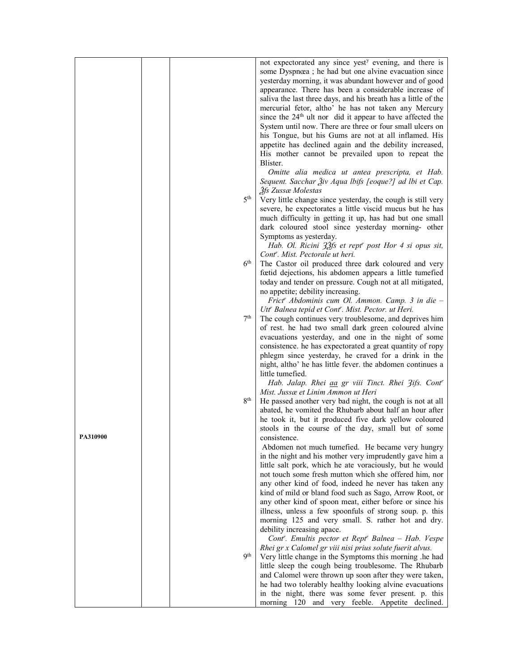|          |                 | not expectorated any since yest <sup>y</sup> evening, and there is                                                            |
|----------|-----------------|-------------------------------------------------------------------------------------------------------------------------------|
|          |                 | some Dyspnœa; he had but one alvine evacuation since                                                                          |
|          |                 | yesterday morning, it was abundant however and of good                                                                        |
|          |                 | appearance. There has been a considerable increase of                                                                         |
|          |                 | saliva the last three days, and his breath has a little of the                                                                |
|          |                 | mercurial fetor, altho' he has not taken any Mercury<br>since the 24 <sup>th</sup> ult nor did it appear to have affected the |
|          |                 | System until now. There are three or four small ulcers on                                                                     |
|          |                 | his Tongue, but his Gums are not at all inflamed. His                                                                         |
|          |                 | appetite has declined again and the debility increased,                                                                       |
|          |                 | His mother cannot be prevailed upon to repeat the                                                                             |
|          |                 | Blister.                                                                                                                      |
|          |                 | Omitte alia medica ut antea prescripta, et Hab.                                                                               |
|          |                 | Sequent. Sacchar Živ Aqua Ibifs [eoque?] ad Ibi et Cap.                                                                       |
|          | 5 <sup>th</sup> | 3fs Zussæ Molestas                                                                                                            |
|          |                 | Very little change since yesterday, the cough is still very                                                                   |
|          |                 | severe, he expectorates a little viscid mucus but he has<br>much difficulty in getting it up, has had but one small           |
|          |                 | dark coloured stool since yesterday morning- other                                                                            |
|          |                 | Symptoms as yesterday.                                                                                                        |
|          |                 | Hab. Ol. Ricini 32fs et rept <sup>r</sup> post Hor 4 si opus sit,                                                             |
|          |                 | Cont <sup>r</sup> . Mist. Pectorale ut heri.                                                                                  |
|          | 6 <sup>th</sup> | The Castor oil produced three dark coloured and very                                                                          |
|          |                 | fœtid dejections, his abdomen appears a little tumefied                                                                       |
|          |                 | today and tender on pressure. Cough not at all mitigated,                                                                     |
|          |                 | no appetite; debility increasing.                                                                                             |
|          |                 | Frict' Abdominis cum Ol. Ammon. Camp. 3 in die -                                                                              |
|          | 7 <sup>th</sup> | Utt' Balnea tepid et Cont''. Mist. Pector. ut Heri.<br>The cough continues very troublesome, and deprives him                 |
|          |                 | of rest. he had two small dark green coloured alvine                                                                          |
|          |                 | evacuations yesterday, and one in the night of some                                                                           |
|          |                 | consistence. he has expectorated a great quantity of ropy                                                                     |
|          |                 | phlegm since yesterday, he craved for a drink in the                                                                          |
|          |                 | night, altho' he has little fever. the abdomen continues a                                                                    |
|          |                 | little tumefied.                                                                                                              |
|          |                 | Hab. Jalap. Rhei aa gr viii Tinct. Rhei 3ifs. Cont'                                                                           |
|          | 8 <sup>th</sup> | Mist. Jussæ et Linim Ammon ut Heri<br>He passed another very bad night, the cough is not at all                               |
|          |                 | abated, he vomited the Rhubarb about half an hour after                                                                       |
|          |                 | he took it, but it produced five dark yellow coloured                                                                         |
|          |                 | stools in the course of the day, small but of some                                                                            |
| PA510900 |                 | consistence.                                                                                                                  |
|          |                 | Abdomen not much tumefied. He became very hungry                                                                              |
|          |                 | in the night and his mother very imprudently gave him a                                                                       |
|          |                 | little salt pork, which he ate voraciously, but he would<br>not touch some fresh mutton which she offered him, nor            |
|          |                 | any other kind of food, indeed he never has taken any                                                                         |
|          |                 | kind of mild or bland food such as Sago, Arrow Root, or                                                                       |
|          |                 | any other kind of spoon meat, either before or since his                                                                      |
|          |                 | illness, unless a few spoonfuls of strong soup. p. this                                                                       |
|          |                 | morning 125 and very small. S. rather hot and dry.                                                                            |
|          |                 | debility increasing apace.                                                                                                    |
|          |                 | Cont''. Emultis pector et Rept'' Balnea - Hab. Vespe                                                                          |
|          | <b>Qth</b>      | Rhei gr x Calomel gr viii nisi prius solute fuerit alvus.                                                                     |
|          |                 | Very little change in the Symptoms this morning .he had<br>little sleep the cough being troublesome. The Rhubarb              |
|          |                 | and Calomel were thrown up soon after they were taken,                                                                        |
|          |                 | he had two tolerably healthy looking alvine evacuations                                                                       |
|          |                 | in the night, there was some fever present. p. this                                                                           |
|          |                 | morning 120 and very feeble. Appetite declined.                                                                               |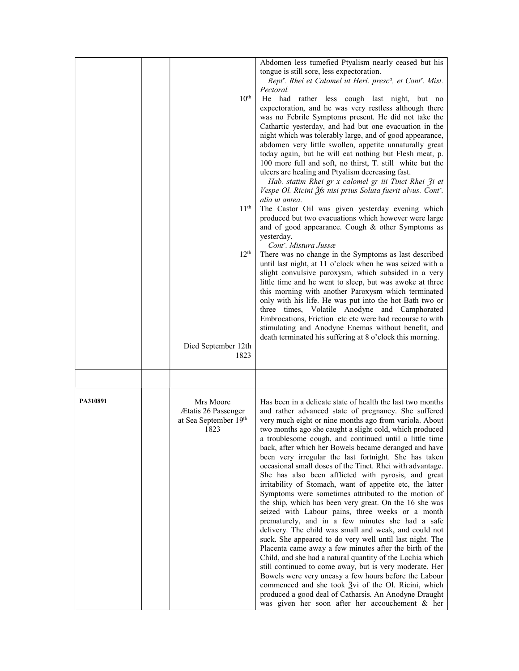|          | 10 <sup>th</sup><br>11 <sup>th</sup><br>12 <sup>th</sup><br>Died September 12th<br>1823 | Abdomen less tumefied Ptyalism nearly ceased but his<br>tongue is still sore, less expectoration.<br>Rept''. Rhei et Calomel ut Heri. presc <sup>a</sup> , et Cont''. Mist.<br>Pectoral.<br>He had rather less cough last night, but no<br>expectoration, and he was very restless although there<br>was no Febrile Symptoms present. He did not take the<br>Cathartic yesterday, and had but one evacuation in the<br>night which was tolerably large, and of good appearance,<br>abdomen very little swollen, appetite unnaturally great<br>today again, but he will eat nothing but Flesh meat, p.<br>100 more full and soft, no thirst, T. still white but the<br>ulcers are healing and Ptyalism decreasing fast.<br>Hab. statim Rhei gr x calomel gr iii Tinct Rhei 3i et<br>Vespe Ol. Ricini Žfs nisi prius Soluta fuerit alvus. Cont'.<br>alia ut antea.<br>The Castor Oil was given yesterday evening which<br>produced but two evacuations which however were large<br>and of good appearance. Cough & other Symptoms as<br>yesterday.<br>Cont <sup>r</sup> . Mistura Jussæ<br>There was no change in the Symptoms as last described<br>until last night, at 11 o'clock when he was seized with a<br>slight convulsive paroxysm, which subsided in a very<br>little time and he went to sleep, but was awoke at three<br>this morning with another Paroxysm which terminated<br>only with his life. He was put into the hot Bath two or<br>three times, Volatile Anodyne and Camphorated<br>Embrocations, Friction etc etc were had recourse to with<br>stimulating and Anodyne Enemas without benefit, and<br>death terminated his suffering at 8 o'clock this morning. |
|----------|-----------------------------------------------------------------------------------------|------------------------------------------------------------------------------------------------------------------------------------------------------------------------------------------------------------------------------------------------------------------------------------------------------------------------------------------------------------------------------------------------------------------------------------------------------------------------------------------------------------------------------------------------------------------------------------------------------------------------------------------------------------------------------------------------------------------------------------------------------------------------------------------------------------------------------------------------------------------------------------------------------------------------------------------------------------------------------------------------------------------------------------------------------------------------------------------------------------------------------------------------------------------------------------------------------------------------------------------------------------------------------------------------------------------------------------------------------------------------------------------------------------------------------------------------------------------------------------------------------------------------------------------------------------------------------------------------------------------------------------------------------------------------------------|
|          |                                                                                         |                                                                                                                                                                                                                                                                                                                                                                                                                                                                                                                                                                                                                                                                                                                                                                                                                                                                                                                                                                                                                                                                                                                                                                                                                                                                                                                                                                                                                                                                                                                                                                                                                                                                                    |
| PA310891 | Mrs Moore<br>Ætatis 26 Passenger<br>at Sea September 19th<br>1823                       | Has been in a delicate state of health the last two months<br>and rather advanced state of pregnancy. She suffered<br>very much eight or nine months ago from variola. About<br>two months ago she caught a slight cold, which produced<br>a troublesome cough, and continued until a little time<br>back, after which her Bowels became deranged and have<br>been very irregular the last fortnight. She has taken<br>occasional small doses of the Tinct. Rhei with advantage.<br>She has also been afflicted with pyrosis, and great<br>irritability of Stomach, want of appetite etc, the latter<br>Symptoms were sometimes attributed to the motion of<br>the ship, which has been very great. On the 16 she was<br>seized with Labour pains, three weeks or a month<br>prematurely, and in a few minutes she had a safe<br>delivery. The child was small and weak, and could not<br>suck. She appeared to do very well until last night. The<br>Placenta came away a few minutes after the birth of the<br>Child, and she had a natural quantity of the Lochia which<br>still continued to come away, but is very moderate. Her<br>Bowels were very uneasy a few hours before the Labour<br>commenced and she took $\frac{3}{2}$ vi of the Ol. Ricini, which<br>produced a good deal of Catharsis. An Anodyne Draught<br>was given her soon after her accouchement & her                                                                                                                                                                                                                                                                                                     |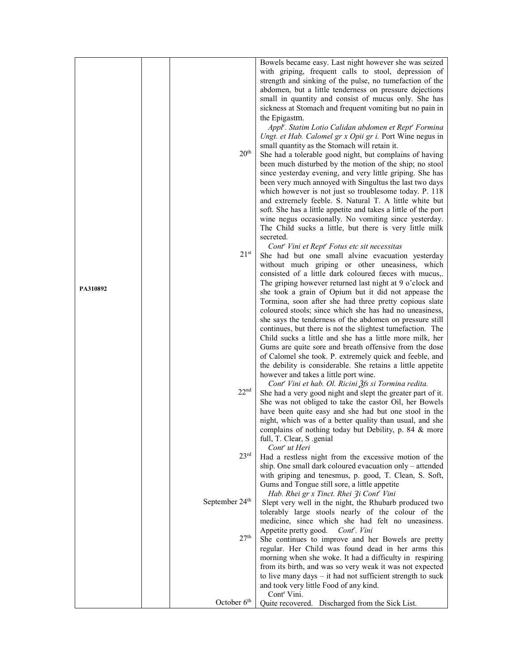|          |                            | Bowels became easy. Last night however she was seized                                                                  |
|----------|----------------------------|------------------------------------------------------------------------------------------------------------------------|
|          |                            | with griping, frequent calls to stool, depression of                                                                   |
|          |                            | strength and sinking of the pulse, no tumefaction of the                                                               |
|          |                            | abdomen, but a little tenderness on pressure dejections                                                                |
|          |                            | small in quantity and consist of mucus only. She has                                                                   |
|          |                            | sickness at Stomach and frequent vomiting but no pain in                                                               |
|          |                            | the Epigastm.                                                                                                          |
|          |                            | Appl'. Statim Lotio Calidan abdomen et Rept' Formina                                                                   |
|          |                            | Ungt. et Hab. Calomel gr x Opii gr i. Port Wine negus in                                                               |
|          | $20^{\rm th}$              | small quantity as the Stomach will retain it.                                                                          |
|          |                            | She had a tolerable good night, but complains of having                                                                |
|          |                            | been much disturbed by the motion of the ship; no stool<br>since yesterday evening, and very little griping. She has   |
|          |                            | been very much annoyed with Singultus the last two days                                                                |
|          |                            | which however is not just so troublesome today. P. 118                                                                 |
|          |                            | and extremely feeble. S. Natural T. A little white but                                                                 |
|          |                            | soft. She has a little appetite and takes a little of the port                                                         |
|          |                            | wine negus occasionally. No vomiting since yesterday.                                                                  |
|          |                            | The Child sucks a little, but there is very little milk                                                                |
|          |                            | secreted.                                                                                                              |
|          |                            | Cont <sup>r</sup> Vini et Rept <sup>r</sup> Fotus etc sit necessitas                                                   |
|          | $21^{st}$                  | She had but one small alvine evacuation yesterday                                                                      |
|          |                            | without much griping or other uneasiness, which                                                                        |
|          |                            | consisted of a little dark coloured fæces with mucus,.                                                                 |
| PA310892 |                            | The griping however returned last night at 9 o'clock and                                                               |
|          |                            | she took a grain of Opium but it did not appease the                                                                   |
|          |                            | Tormina, soon after she had three pretty copious slate                                                                 |
|          |                            | coloured stools; since which she has had no uneasiness,                                                                |
|          |                            | she says the tenderness of the abdomen on pressure still<br>continues, but there is not the slightest tumefaction. The |
|          |                            | Child sucks a little and she has a little more milk, her                                                               |
|          |                            | Gums are quite sore and breath offensive from the dose                                                                 |
|          |                            | of Calomel she took. P. extremely quick and feeble, and                                                                |
|          |                            | the debility is considerable. She retains a little appetite                                                            |
|          |                            | however and takes a little port wine.                                                                                  |
|          |                            | Cont <sup>r</sup> Vini et hab. Ol. Ricini Žfs si Tormina redita.                                                       |
|          | 22 <sup>nd</sup>           | She had a very good night and slept the greater part of it.                                                            |
|          |                            | She was not obliged to take the castor Oil, her Bowels                                                                 |
|          |                            | have been quite easy and she had but one stool in the                                                                  |
|          |                            | night, which was of a better quality than usual, and she                                                               |
|          |                            | complains of nothing today but Debility, p. 84 & more<br>full, T. Clear, S. genial                                     |
|          |                            | Cont <sup>r</sup> ut Heri                                                                                              |
|          | 23 <sup>rd</sup>           | Had a restless night from the excessive motion of the                                                                  |
|          |                            | ship. One small dark coloured evacuation only – attended                                                               |
|          |                            | with griping and tenesmus, p. good, T. Clean, S. Soft,                                                                 |
|          |                            | Gums and Tongue still sore, a little appetite                                                                          |
|          |                            | Hab. Rhei gr x Tinct. Rhei 3i Cont' Vini                                                                               |
|          | September 24 <sup>th</sup> | Slept very well in the night, the Rhubarb produced two                                                                 |
|          |                            | tolerably large stools nearly of the colour of the                                                                     |
|          |                            | medicine, since which she had felt no uneasiness.                                                                      |
|          | 27 <sup>th</sup>           | Appetite pretty good.<br>Cont <sup>r</sup> . Vini                                                                      |
|          |                            | She continues to improve and her Bowels are pretty                                                                     |
|          |                            | regular. Her Child was found dead in her arms this<br>morning when she woke. It had a difficulty in respiring          |
|          |                            | from its birth, and was so very weak it was not expected                                                               |
|          |                            | to live many days $-$ it had not sufficient strength to suck                                                           |
|          |                            | and took very little Food of any kind.                                                                                 |
|          |                            | Cont <sup>r</sup> Vini.                                                                                                |
|          | October 6 <sup>th</sup>    | Quite recovered. Discharged from the Sick List.                                                                        |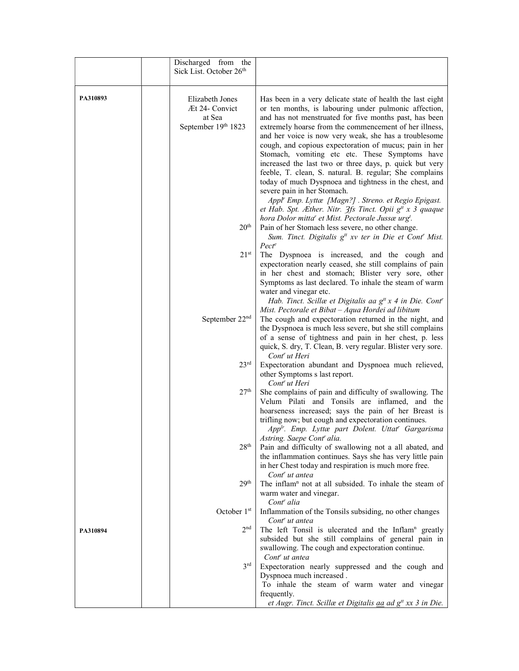|          | Discharged from the<br>Sick List. October 26th                     |                                                                                                                                                                                                                                                                                                                                                                                                                                                                                                                                                                                                                                                                                                                                                      |
|----------|--------------------------------------------------------------------|------------------------------------------------------------------------------------------------------------------------------------------------------------------------------------------------------------------------------------------------------------------------------------------------------------------------------------------------------------------------------------------------------------------------------------------------------------------------------------------------------------------------------------------------------------------------------------------------------------------------------------------------------------------------------------------------------------------------------------------------------|
| PA310893 | Elizabeth Jones<br>Æt 24- Convict<br>at Sea<br>September 19th 1823 | Has been in a very delicate state of health the last eight<br>or ten months, is labouring under pulmonic affection,<br>and has not menstruated for five months past, has been<br>extremely hoarse from the commencement of her illness,<br>and her voice is now very weak, she has a troublesome<br>cough, and copious expectoration of mucus; pain in her<br>Stomach, vomiting etc etc. These Symptoms have<br>increased the last two or three days, p. quick but very<br>feeble, T. clean, S. natural. B. regular; She complains<br>today of much Dyspnoea and tightness in the chest, and<br>severe pain in her Stomach.<br>Appl' Emp. Lyttæ [Magn?] . Streno. et Regio Epigast.<br>et Hab. Spt. Æther. Nitr. $3f_s$ Tinct. Opii $g^t$ x 3 quaque |
|          | 20 <sup>th</sup>                                                   | hora Dolor mitta" et Mist. Pectorale Jussæ urg <sup>t</sup> .<br>Pain of her Stomach less severe, no other change.<br>Sum. Tinct. Digitalis g <sup>tt</sup> xv ter in Die et Cont <sup>r</sup> Mist.                                                                                                                                                                                                                                                                                                                                                                                                                                                                                                                                                 |
|          | $21^{st}$                                                          | $Pect^e$<br>The Dyspnoea is increased, and the cough and<br>expectoration nearly ceased, she still complains of pain<br>in her chest and stomach; Blister very sore, other<br>Symptoms as last declared. To inhale the steam of warm<br>water and vinegar etc.                                                                                                                                                                                                                                                                                                                                                                                                                                                                                       |
|          | September 22 <sup>nd</sup>                                         | Hab. Tinct. Scillæ et Digitalis aa $g^t x$ 4 in Die. Cont <sup>r</sup><br>Mist. Pectorale et Bibat - Aqua Hordei ad libitum<br>The cough and expectoration returned in the night, and<br>the Dyspnoea is much less severe, but she still complains<br>of a sense of tightness and pain in her chest, p. less<br>quick, S. dry, T. Clean, B. very regular. Blister very sore.                                                                                                                                                                                                                                                                                                                                                                         |
|          | 23 <sup>rd</sup>                                                   | Cont <sup>r</sup> ut Heri<br>Expectoration abundant and Dyspnoea much relieved,<br>other Symptoms s last report.<br>Cont <sup>r</sup> ut Heri                                                                                                                                                                                                                                                                                                                                                                                                                                                                                                                                                                                                        |
|          | 27 <sup>th</sup>                                                   | She complains of pain and difficulty of swallowing. The<br>Velum Pilati and Tonsils are inflamed, and the<br>hoarseness increased; says the pain of her Breast is<br>trifling now; but cough and expectoration continues.<br>App <sup>lr</sup> . Emp. Lyttæ part Dolent. Uttat <sup>r</sup> Gargarisma                                                                                                                                                                                                                                                                                                                                                                                                                                               |
|          | 28 <sup>th</sup>                                                   | Astring. Saepe Cont <sup>r</sup> alia.<br>Pain and difficulty of swallowing not a all abated, and<br>the inflammation continues. Says she has very little pain<br>in her Chest today and respiration is much more free.<br>Cont <sup>r</sup> ut antea                                                                                                                                                                                                                                                                                                                                                                                                                                                                                                |
|          | 29 <sup>th</sup>                                                   | The inflam <sup>n</sup> not at all subsided. To inhale the steam of<br>warm water and vinegar.<br>Cont <sup>r</sup> alia                                                                                                                                                                                                                                                                                                                                                                                                                                                                                                                                                                                                                             |
|          | October 1st                                                        | Inflammation of the Tonsils subsiding, no other changes<br>Cont <sup>r</sup> ut antea                                                                                                                                                                                                                                                                                                                                                                                                                                                                                                                                                                                                                                                                |
| PA310894 | 2 <sub>nd</sub>                                                    | The left Tonsil is ulcerated and the Inflam <sup>n</sup> greatly<br>subsided but she still complains of general pain in<br>swallowing. The cough and expectoration continue.<br>Cont' ut antea                                                                                                                                                                                                                                                                                                                                                                                                                                                                                                                                                       |
|          | 3 <sup>rd</sup>                                                    | Expectoration nearly suppressed and the cough and<br>Dyspnoea much increased.<br>To inhale the steam of warm water and vinegar<br>frequently.<br>et Augr. Tinct. Scillæ et Digitalis aa ad g <sup>tt</sup> xx 3 in Die.                                                                                                                                                                                                                                                                                                                                                                                                                                                                                                                              |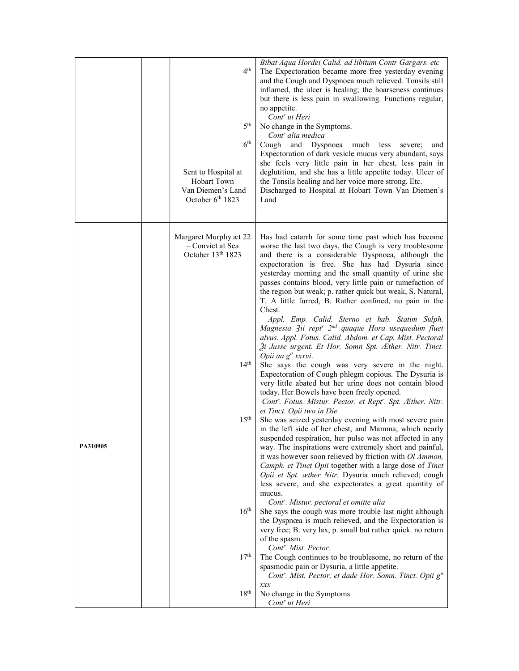|  |          | $4^{\text{th}}$<br>5 <sup>th</sup><br>$6^{\rm th}$<br>Sent to Hospital at<br>Hobart Town<br>Van Diemen's Land<br>October 6th 1823 | Bibat Aqua Hordei Calid. ad libitum Contr Gargars. etc<br>The Expectoration became more free yesterday evening<br>and the Cough and Dyspnoea much relieved. Tonsils still<br>inflamed, the ulcer is healing; the hoarseness continues<br>but there is less pain in swallowing. Functions regular,<br>no appetite.<br>Cont <sup>r</sup> ut Heri<br>No change in the Symptoms.<br>Cont' alia medica<br>Cough and Dyspnoea much less<br>severe;<br>and<br>Expectoration of dark vesicle mucus very abundant, says<br>she feels very little pain in her chest, less pain in<br>deglutition, and she has a little appetite today. Ulcer of<br>the Tonsils healing and her voice more strong. Etc.<br>Discharged to Hospital at Hobart Town Van Diemen's<br>Land                                                                                                                                                                                                                                                                                                                                                                                                                                                                                                                                                                                                                                                                                                                                                                                                                              |
|--|----------|-----------------------------------------------------------------------------------------------------------------------------------|-----------------------------------------------------------------------------------------------------------------------------------------------------------------------------------------------------------------------------------------------------------------------------------------------------------------------------------------------------------------------------------------------------------------------------------------------------------------------------------------------------------------------------------------------------------------------------------------------------------------------------------------------------------------------------------------------------------------------------------------------------------------------------------------------------------------------------------------------------------------------------------------------------------------------------------------------------------------------------------------------------------------------------------------------------------------------------------------------------------------------------------------------------------------------------------------------------------------------------------------------------------------------------------------------------------------------------------------------------------------------------------------------------------------------------------------------------------------------------------------------------------------------------------------------------------------------------------------|
|  | PA310905 | Margaret Murphy æt 22<br>- Convict at Sea<br>October 13th 1823<br>14 <sup>th</sup><br>15 <sup>th</sup>                            | Has had catarrh for some time past which has become<br>worse the last two days, the Cough is very troublesome<br>and there is a considerable Dyspnoea, although the<br>expectoration is free. She has had Dysuria since<br>yesterday morning and the small quantity of urine she<br>passes contains blood, very little pain or tumefaction of<br>the region but weak; p. rather quick but weak, S. Natural,<br>T. A little furred, B. Rather confined, no pain in the<br>Chest.<br>Appl. Emp. Calid. Sterno et hab. Statim Sulph.<br>Magnesia 3ii rept <sup>r</sup> 2 <sup>nd</sup> quaque Hora usequedum fluet<br>alvus. Appl. Fotus. Calid. Abdom. et Cap. Mist. Pectoral<br>Ži Jusse urgent. Et Hor. Somn Spt. Æther. Nitr. Tinct.<br>Opii aa g <sup>tt</sup> xxxvi.<br>She says the cough was very severe in the night.<br>Expectoration of Cough phlegm copious. The Dysuria is<br>very little abated but her urine does not contain blood<br>today. Her Bowels have been freely opened.<br>Cont''. Fotus. Mistur. Pector. et Rept''. Spt. Æther. Nitr.<br>et Tinct. Opii two in Die<br>She was seized yesterday evening with most severe pain<br>in the left side of her chest, and Mamma, which nearly<br>suspended respiration, her pulse was not affected in any<br>way. The inspirations were extremely short and painful,<br>it was however soon relieved by friction with Ol Ammon,<br>Camph. et Tinct Opii together with a large dose of Tinct<br>Opii et Spt. æther Nitr. Dysuria much relieved; cough<br>less severe, and she expectorates a great quantity of<br>mucus. |
|  |          | $16^{\text{th}}$                                                                                                                  | Cont <sup>r</sup> . Mistur. pectoral et omitte alia<br>She says the cough was more trouble last night although<br>the Dyspnœa is much relieved, and the Expectoration is<br>very free; B. very lax, p. small but rather quick. no return<br>of the spasm.<br>Cont <sup>r</sup> . Mist. Pector.                                                                                                                                                                                                                                                                                                                                                                                                                                                                                                                                                                                                                                                                                                                                                                                                                                                                                                                                                                                                                                                                                                                                                                                                                                                                                          |
|  |          | 17 <sup>th</sup>                                                                                                                  | The Cough continues to be troublesome, no return of the<br>spasmodic pain or Dysuria, a little appetite.<br>Cont''. Mist. Pector, et dade Hor. Somn. Tinct. Opii g <sup>tt</sup>                                                                                                                                                                                                                                                                                                                                                                                                                                                                                                                                                                                                                                                                                                                                                                                                                                                                                                                                                                                                                                                                                                                                                                                                                                                                                                                                                                                                        |
|  |          | 18 <sup>th</sup>                                                                                                                  | xxx<br>No change in the Symptoms<br>Cont <sup>r</sup> ut Heri                                                                                                                                                                                                                                                                                                                                                                                                                                                                                                                                                                                                                                                                                                                                                                                                                                                                                                                                                                                                                                                                                                                                                                                                                                                                                                                                                                                                                                                                                                                           |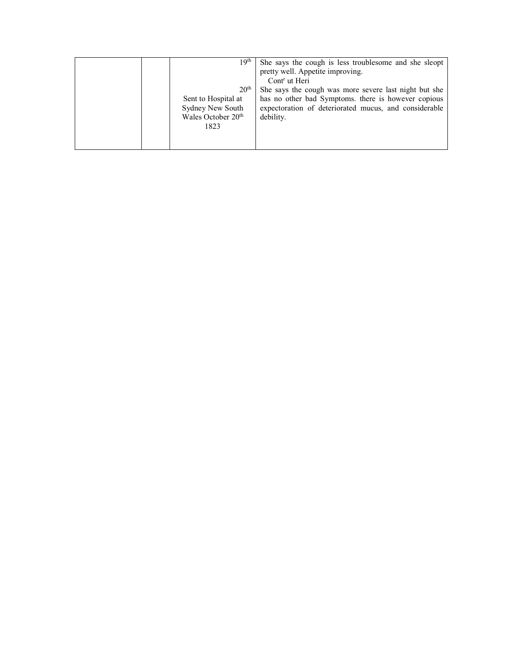| 19th                                                                                                  | She says the cough is less troublesome and she sleopt<br>pretty well. Appetite improving.<br>Cont <sup>r</sup> ut Heri                                                             |
|-------------------------------------------------------------------------------------------------------|------------------------------------------------------------------------------------------------------------------------------------------------------------------------------------|
| 20 <sup>th</sup><br>Sent to Hospital at<br>Sydney New South<br>Wales October 20 <sup>th</sup><br>1823 | She says the cough was more severe last night but she<br>has no other bad Symptoms. there is however copious<br>expectoration of deteriorated mucus, and considerable<br>debility. |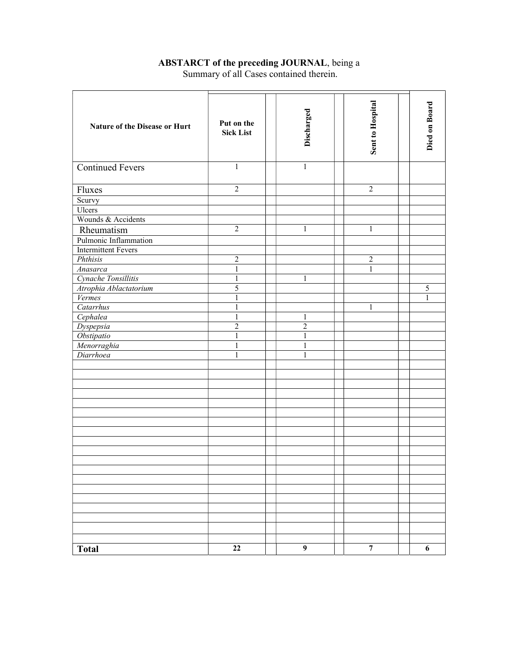## ABSTARCT of the preceding JOURNAL, being a Summary of all Cases contained therein.

| Nature of the Disease or Hurt | Put on the<br><b>Sick List</b> | Discharged     | <b>Sent to Hospital</b> | Died on Board    |
|-------------------------------|--------------------------------|----------------|-------------------------|------------------|
| <b>Continued Fevers</b>       | $\mathbf{1}$                   | $\mathbf{1}$   |                         |                  |
| Fluxes                        | $\overline{2}$                 |                | $\overline{2}$          |                  |
| Scurvy                        |                                |                |                         |                  |
| Ulcers                        |                                |                |                         |                  |
| Wounds & Accidents            |                                |                |                         |                  |
| Rheumatism                    | $\overline{2}$                 | $\mathbf{1}$   | $\mathbf{1}$            |                  |
| Pulmonic Inflammation         |                                |                |                         |                  |
| <b>Intermittent Fevers</b>    |                                |                |                         |                  |
| Phthisis                      | $\overline{2}$                 |                | $\overline{2}$          |                  |
| Anasarca                      | 1                              |                | 1                       |                  |
| Cynache Tonsillitis           | $\mathbf{1}$                   | 1              |                         |                  |
| Atrophia Ablactatorium        | 5                              |                |                         | 5                |
| Vermes                        | 1                              |                |                         | $\mathbf{1}$     |
| Catarrhus                     | 1                              |                | $\mathbf{1}$            |                  |
| Cephalea                      | $\mathbf{1}$                   | $\mathbf{1}$   |                         |                  |
| Dyspepsia                     | $\overline{2}$                 | $\overline{2}$ |                         |                  |
| Obstipatio                    | $\mathbf{1}$                   | $\mathbf{1}$   |                         |                  |
| Menorraghia                   | $\mathbf{1}$                   | $\mathbf{1}$   |                         |                  |
| Diarrhoea                     | 1                              | 1              |                         |                  |
|                               |                                |                |                         |                  |
|                               |                                |                |                         |                  |
|                               |                                |                |                         |                  |
|                               |                                |                |                         |                  |
|                               |                                |                |                         |                  |
|                               |                                |                |                         |                  |
|                               |                                |                |                         |                  |
|                               |                                |                |                         |                  |
|                               |                                |                |                         |                  |
|                               |                                |                |                         |                  |
|                               |                                |                |                         |                  |
|                               |                                |                |                         |                  |
|                               |                                |                |                         |                  |
|                               |                                |                |                         |                  |
|                               |                                |                |                         |                  |
|                               |                                |                |                         |                  |
|                               |                                |                |                         |                  |
|                               |                                |                |                         |                  |
| <b>Total</b>                  | $\bf{22}$                      | $\overline{9}$ | $\boldsymbol{7}$        | $\boldsymbol{6}$ |